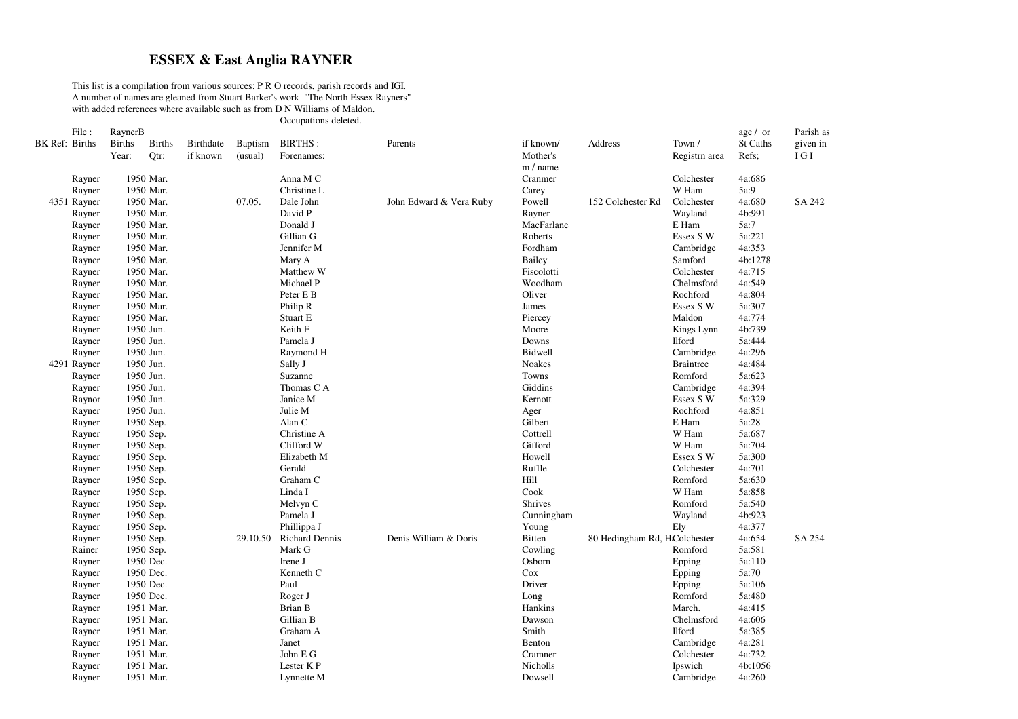## **ESSEX & East Anglia RAYNER**

This list is <sup>a</sup> compilation from various sources: P R O records, parish records and IGI. A number of names are gleaned from Stuart Barker's work "The North Essex Rayners" with added references where available such as from D N Williams of Maldon.

Occupations deleted.

|                | File:            | RaynerB       |                        |           |                |                       |                         |                 |                              |                             | age / or         | Parish as     |
|----------------|------------------|---------------|------------------------|-----------|----------------|-----------------------|-------------------------|-----------------|------------------------------|-----------------------------|------------------|---------------|
| BK Ref: Births |                  | <b>Births</b> | <b>Births</b>          | Birthdate | <b>Baptism</b> | <b>BIRTHS:</b>        | Parents                 | if known/       | Address                      | Town /                      | St Caths         | given in      |
|                |                  | Year:         | Qtr:                   | if known  | (usual)        | Forenames:            |                         | Mother's        |                              | Registrn area               | Refs;            | $\rm I\,G\,I$ |
|                |                  |               |                        |           |                |                       |                         | m / name        |                              |                             |                  |               |
|                | Rayner           |               | 1950 Mar.              |           |                | Anna M C              |                         | Cranmer         |                              | Colchester                  | 4a:686           |               |
|                | Rayner           |               | 1950 Mar.              |           |                | Christine L           |                         | Carey           |                              | W Ham                       | 5a:9             |               |
|                | 4351 Rayner      |               | 1950 Mar.              |           | 07.05.         | Dale John             | John Edward & Vera Ruby | Powell          | 152 Colchester Rd            | Colchester                  | 4a:680           | SA 242        |
|                | Rayner           |               | 1950 Mar.              |           |                | David P               |                         | Rayner          |                              | Wayland                     | 4b:991           |               |
|                | Rayner           |               | 1950 Mar.              |           |                | Donald J              |                         | MacFarlane      |                              | E Ham                       | 5a:7             |               |
|                | Rayner           |               | 1950 Mar.              |           |                | Gillian G             |                         | Roberts         |                              | Essex S W                   | 5a:221           |               |
|                | Rayner           |               | 1950 Mar.              |           |                | Jennifer M            |                         | Fordham         |                              | Cambridge                   | 4a:353           |               |
|                | Rayner           |               | 1950 Mar.              |           |                | Mary A                |                         | Bailey          |                              | Samford                     | 4b:1278          |               |
|                | Rayner           |               | 1950 Mar.              |           |                | Matthew W             |                         | Fiscolotti      |                              | Colchester                  | 4a:715           |               |
|                | Rayner           |               | 1950 Mar.              |           |                | Michael P             |                         | Woodham         |                              | Chelmsford                  | 4a:549           |               |
|                | Rayner           |               | 1950 Mar.              |           |                | Peter E B             |                         | Oliver          |                              | Rochford                    | 4a:804           |               |
|                | Rayner           |               | 1950 Mar.              |           |                | Philip R              |                         | James           |                              | Essex S W                   | 5a:307           |               |
|                | Rayner           |               | 1950 Mar.              |           |                | Stuart E              |                         | Piercey         |                              | Maldon                      | 4a:774           |               |
|                | Rayner           |               | 1950 Jun.              |           |                | Keith F               |                         | Moore           |                              | Kings Lynn                  | 4b:739           |               |
|                | Rayner           |               | 1950 Jun.              |           |                | Pamela J              |                         | Downs           |                              | <b>Ilford</b>               | 5a:444           |               |
|                | Rayner           |               | 1950 Jun.              |           |                | Raymond H             |                         | Bidwell         |                              | Cambridge                   | 4a:296           |               |
|                | 4291 Rayner      |               | 1950 Jun.              |           |                | Sally J               |                         | Noakes          |                              | <b>Braintree</b>            | 4a:484           |               |
|                | Rayner           |               | 1950 Jun.              |           |                | Suzanne               |                         | Towns           |                              | Romford                     | 5a:623           |               |
|                | Rayner           |               | 1950 Jun.              |           |                | Thomas C A            |                         | Giddins         |                              | Cambridge                   | 4a:394           |               |
|                | Raynor           |               | 1950 Jun.              |           |                | Janice M              |                         | Kernott         |                              | Essex S W                   | 5a:329           |               |
|                | Rayner           |               | 1950 Jun.              |           |                | Julie M               |                         | Ager            |                              | Rochford                    | 4a:851           |               |
|                | Rayner           |               | 1950 Sep.              |           |                | Alan C                |                         | Gilbert         |                              | E Ham                       | 5a:28            |               |
|                | Rayner           |               | 1950 Sep.              |           |                | Christine A           |                         | Cottrell        |                              | W Ham                       | 5a:687           |               |
|                | Rayner           |               | 1950 Sep.              |           |                | Clifford W            |                         | Gifford         |                              | W Ham                       | 5a:704           |               |
|                | Rayner           |               | 1950 Sep.              |           |                | Elizabeth M           |                         | Howell          |                              | Essex S W                   | 5a:300           |               |
|                | Rayner           |               | 1950 Sep.              |           |                | Gerald                |                         | Ruffle          |                              | Colchester                  | 4a:701           |               |
|                | Rayner           |               | 1950 Sep.              |           |                | Graham C              |                         | Hill            |                              | Romford                     | 5a:630           |               |
|                | Rayner           |               | 1950 Sep.              |           |                | Linda I               |                         | Cook            |                              | W Ham                       | 5a:858           |               |
|                | Rayner           |               | 1950 Sep.              |           |                | Melvyn C              |                         | Shrives         |                              | Romford                     | 5a:540           |               |
|                | Rayner           |               | 1950 Sep.              |           |                | Pamela J              |                         | Cunningham      |                              | Wayland                     | 4b:923           |               |
|                | Rayner           |               | 1950 Sep.              |           |                | Phillippa J           |                         | Young           |                              | Ely                         | 4a:377           |               |
|                | Rayner           |               | 1950 Sep.              |           | 29.10.50       | <b>Richard Dennis</b> | Denis William & Doris   | Bitten          | 80 Hedingham Rd, HColchester |                             | 4a:654<br>5a:581 | SA 254        |
|                | Rainer           |               | 1950 Sep.              |           |                | Mark G                |                         | Cowling         |                              | Romford                     |                  |               |
|                | Rayner           |               | 1950 Dec.              |           |                | Irene J               |                         | Osborn          |                              | Epping                      | 5a:110<br>5a:70  |               |
|                | Rayner           |               | 1950 Dec.              |           |                | Kenneth C             |                         | Cox             |                              | Epping                      |                  |               |
|                | Rayner           |               | 1950 Dec.<br>1950 Dec. |           |                | Paul                  |                         | Driver          |                              | Epping<br>Romford           | 5a:106<br>5a:480 |               |
|                | Rayner           |               | 1951 Mar.              |           |                | Roger J<br>Brian B    |                         | Long<br>Hankins |                              | March.                      | 4a:415           |               |
|                | Rayner           |               | 1951 Mar.              |           |                | Gillian B             |                         |                 |                              |                             | 4a:606           |               |
|                | Rayner           |               | 1951 Mar.              |           |                | Graham A              |                         | Dawson<br>Smith |                              | Chelmsford<br><b>Ilford</b> | 5a:385           |               |
|                | Rayner           |               | 1951 Mar.              |           |                | Janet                 |                         | Benton          |                              | Cambridge                   | 4a:281           |               |
|                | Rayner           |               | 1951 Mar.              |           |                | John E ${\rm G}$      |                         | Cramner         |                              | Colchester                  | 4a:732           |               |
|                | Rayner<br>Rayner |               | 1951 Mar.              |           |                | Lester KP             |                         | Nicholls        |                              | Ipswich                     | 4b:1056          |               |
|                |                  |               | 1951 Mar.              |           |                |                       |                         | Dowsell         |                              | Cambridge                   | 4a:260           |               |
|                | Rayner           |               |                        |           |                | Lynnette M            |                         |                 |                              |                             |                  |               |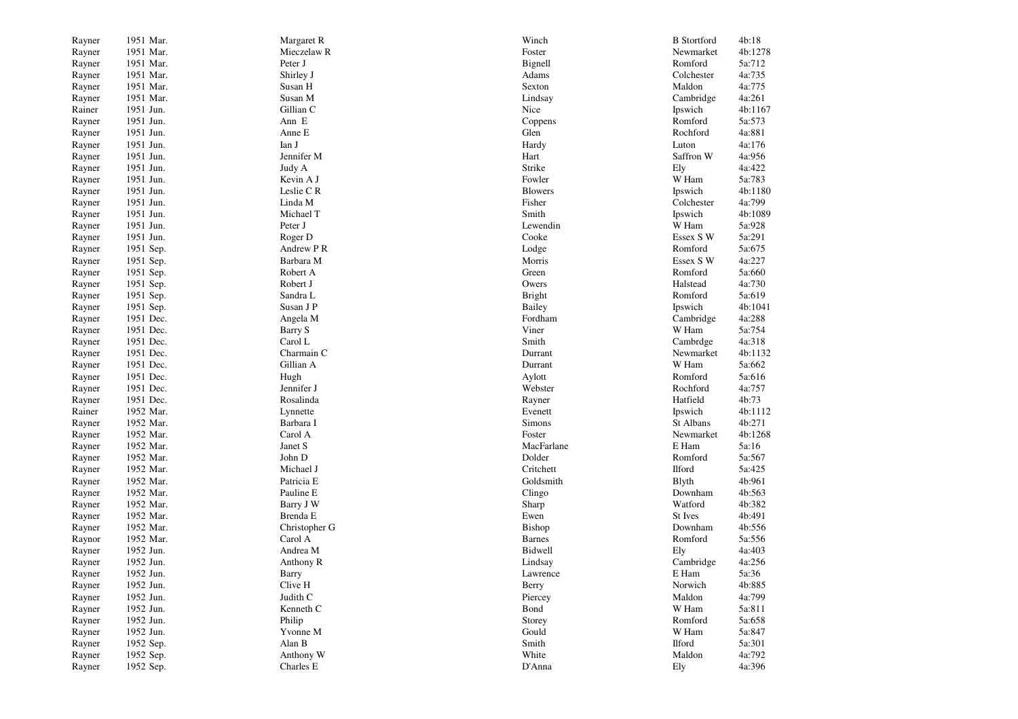| Rayner           | 1951 Mar. | Margaret R    | Winch             | <b>B</b> Stortford | 4b:18   |
|------------------|-----------|---------------|-------------------|--------------------|---------|
| Rayner           | 1951 Mar. | Mieczelaw R   | Foster            | Newmarket          | 4b:1278 |
| Rayner           | 1951 Mar. | Peter J       | Bignell           | Romford            | 5a:712  |
| Rayner           | 1951 Mar. | Shirley J     | Adams             | Colchester         | 4a:735  |
| Rayner           | 1951 Mar. | Susan H       | Sexton            | Maldon             | 4a:775  |
| Rayner           | 1951 Mar. | Susan M       | Lindsay           | Cambridge          | 4a:261  |
| Rainer           | 1951 Jun. | Gillian C     | Nice              | Ipswich            | 4b:1167 |
| Rayner           | 1951 Jun. | Ann E         | Coppens           | Romford            | 5a:573  |
| Rayner           | 1951 Jun. | Anne E        | Glen              | Rochford           | 4a:881  |
| Rayner           | 1951 Jun. | Ian J         | Hardy             | Luton              | 4a:176  |
| Rayner           | 1951 Jun. | Jennifer M    | Hart              | Saffron W          | 4a:956  |
| Rayner           | 1951 Jun. | Judy A        | Strike            | Ely                | 4a:422  |
| Rayner           | 1951 Jun. | Kevin A J     | Fowler            | W Ham              | 5a:783  |
| Rayner           | 1951 Jun. | Leslie CR     | <b>Blowers</b>    | Ipswich            | 4b:1180 |
| Rayner           | 1951 Jun. | Linda M       | Fisher            | Colchester         | 4a:799  |
| Rayner           | 1951 Jun. | Michael T     | Smith             | Ipswich            | 4b:1089 |
| Rayner           | 1951 Jun. | Peter J       | Lewendin          | W Ham              | 5a:928  |
| Rayner           | 1951 Jun. | Roger D       | Cooke             | Essex S W          | 5a:291  |
| Rayner           | 1951 Sep. | Andrew P R    | Lodge             | Romford            | 5a:675  |
| Rayner           | 1951 Sep. | Barbara M     | Morris            | Essex S W          | 4a:227  |
| Rayner           | 1951 Sep. | Robert A      | Green             | Romford            | 5a:660  |
| Rayner           | 1951 Sep. | Robert J      | Owers             | Halstead           | 4a:730  |
| Rayner           | 1951 Sep. | Sandra L      | <b>Bright</b>     | Romford            | 5a:619  |
| Rayner           | 1951 Sep. | Susan J P     | <b>Bailey</b>     | Ipswich            | 4b:1041 |
| Rayner           | 1951 Dec. | Angela M      | Fordham           | Cambridge          | 4a:288  |
| Rayner           | 1951 Dec. | Barry S       | Viner             | W Ham              | 5a:754  |
| Rayner           | 1951 Dec. | Carol L       | Smith             | Cambrdge           | 4a:318  |
| Rayner           | 1951 Dec. | Charmain C    | Durrant           | Newmarket          | 4b:1132 |
| Rayner           | 1951 Dec. | Gillian A     | Durrant           | W Ham              | 5a:662  |
|                  | 1951 Dec. | Hugh          | Aylott            | Romford            | 5a:616  |
| Rayner           | 1951 Dec. | Jennifer J    | Webster           | Rochford           | 4a:757  |
| Rayner           | 1951 Dec. | Rosalinda     |                   | Hatfield           | 4b:73   |
| Rayner<br>Rainer | 1952 Mar. | Lynnette      | Rayner<br>Evenett | Ipswich            | 4b:1112 |
|                  | 1952 Mar. | Barbara I     | Simons            | St Albans          | 4b:271  |
| Rayner           |           |               |                   |                    | 4b:1268 |
| Rayner           | 1952 Mar. | Carol A       | Foster            | Newmarket<br>E Ham | 5a:16   |
| Rayner           | 1952 Mar. | Janet S       | MacFarlane        |                    |         |
| Rayner           | 1952 Mar. | John D        | Dolder            | Romford            | 5a:567  |
| Rayner           | 1952 Mar. | Michael J     | Critchett         | <b>Ilford</b>      | 5a:425  |
| Rayner           | 1952 Mar. | Patricia E    | Goldsmith         | Blyth              | 4b:961  |
| Rayner           | 1952 Mar. | Pauline E     | Clingo            | Downham            | 4b:563  |
| Rayner           | 1952 Mar. | Barry J W     | Sharp             | Watford            | 4b:382  |
| Rayner           | 1952 Mar. | Brenda E      | Ewen              | St Ives            | 4b:491  |
| Rayner           | 1952 Mar. | Christopher G | Bishop            | Downham            | 4b:556  |
| Raynor           | 1952 Mar. | Carol A       | <b>Barnes</b>     | Romford            | 5a:556  |
| Rayner           | 1952 Jun. | Andrea M      | Bidwell           | Ely                | 4a:403  |
| Rayner           | 1952 Jun. | Anthony R     | Lindsay           | Cambridge          | 4a:256  |
| Rayner           | 1952 Jun. | Barry         | Lawrence          | E Ham              | 5a:36   |
| Rayner           | 1952 Jun. | Clive H       | Berry             | Norwich            | 4b:885  |
| Rayner           | 1952 Jun. | Judith C      | Piercey           | Maldon             | 4a:799  |
| Rayner           | 1952 Jun. | Kenneth C     | Bond              | W Ham              | 5a:811  |
| Rayner           | 1952 Jun. | Philip        | Storey            | Romford            | 5a:658  |
| Rayner           | 1952 Jun. | Yvonne M      | Gould             | W Ham              | 5a:847  |
| Rayner           | 1952 Sep. | Alan B        | Smith             | <b>Ilford</b>      | 5a:301  |
| Rayner           | 1952 Sep. | Anthony W     | White             | Maldon             | 4a:792  |
| Rayner           | 1952 Sep. | Charles E     | D'Anna            | Ely                | 4a:396  |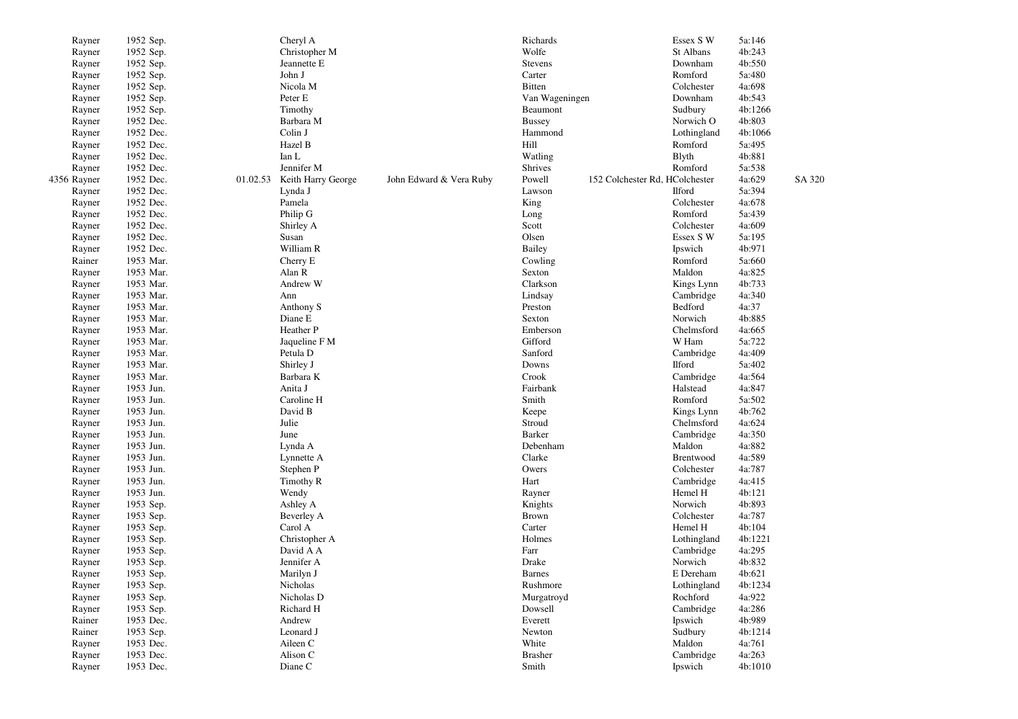| Rayner      | 1952 Sep. | Cheryl A                    |                         | Richards       |                                | Essex S W     | 5a:146  |        |
|-------------|-----------|-----------------------------|-------------------------|----------------|--------------------------------|---------------|---------|--------|
| Rayner      | 1952 Sep. | Christopher M               |                         | Wolfe          |                                | St Albans     | 4b:243  |        |
| Rayner      | 1952 Sep. | Jeannette E                 |                         | Stevens        |                                | Downham       | 4b:550  |        |
| Rayner      | 1952 Sep. | John J                      |                         | Carter         |                                | Romford       | 5a:480  |        |
| Rayner      | 1952 Sep. | Nicola M                    |                         | <b>Bitten</b>  |                                | Colchester    | 4a:698  |        |
| Rayner      | 1952 Sep. | Peter E                     |                         | Van Wageningen |                                | Downham       | 4b:543  |        |
| Rayner      | 1952 Sep. | Timothy                     |                         | Beaumont       |                                | Sudbury       | 4b:1266 |        |
| Rayner      | 1952 Dec. | Barbara M                   |                         | <b>Bussey</b>  |                                | Norwich O     | 4b:803  |        |
| Rayner      | 1952 Dec. | Colin J                     |                         | Hammond        |                                | Lothingland   | 4b:1066 |        |
| Rayner      | 1952 Dec. | Hazel B                     |                         | Hill           |                                | Romford       | 5a:495  |        |
| Rayner      | 1952 Dec. | Ian L                       |                         | Watling        |                                | <b>B</b> lyth | 4b:881  |        |
| Rayner      | 1952 Dec. | Jennifer M                  |                         | Shrives        |                                | Romford       | 5a:538  |        |
| 4356 Rayner | 1952 Dec. | 01.02.53 Keith Harry George | John Edward & Vera Ruby | Powell         | 152 Colchester Rd, HColchester |               | 4a:629  | SA 320 |
| Rayner      | 1952 Dec. | Lynda J                     |                         | Lawson         |                                | <b>Ilford</b> | 5a:394  |        |
| Rayner      | 1952 Dec. | Pamela                      |                         | King           |                                | Colchester    | 4a:678  |        |
| Rayner      | 1952 Dec. | Philip G                    |                         | Long           |                                | Romford       | 5a:439  |        |
| Rayner      | 1952 Dec. | Shirley A                   |                         | Scott          |                                | Colchester    | 4a:609  |        |
| Rayner      | 1952 Dec. | Susan                       |                         | Olsen          |                                | Essex S W     | 5a:195  |        |
| Rayner      | 1952 Dec. | William R                   |                         | <b>Bailey</b>  |                                | Ipswich       | 4b:971  |        |
| Rainer      | 1953 Mar. | Cherry E                    |                         | Cowling        |                                | Romford       | 5a:660  |        |
| Rayner      | 1953 Mar. | Alan R                      |                         | Sexton         |                                | Maldon        | 4a:825  |        |
| Rayner      | 1953 Mar. | Andrew W                    |                         | Clarkson       |                                | Kings Lynn    | 4b:733  |        |
| Rayner      | 1953 Mar. | Ann                         |                         | Lindsay        |                                | Cambridge     | 4a:340  |        |
| Rayner      | 1953 Mar. | Anthony S                   |                         | Preston        |                                | Bedford       | 4a:37   |        |
| Rayner      | 1953 Mar. | Diane E                     |                         | Sexton         |                                | Norwich       | 4b:885  |        |
| Rayner      | 1953 Mar. | Heather P                   |                         | Emberson       |                                | Chelmsford    | 4a:665  |        |
| Rayner      | 1953 Mar. | Jaqueline F M               |                         | Gifford        |                                | W Ham         | 5a:722  |        |
| Rayner      | 1953 Mar. | Petula D                    |                         | Sanford        |                                | Cambridge     | 4a:409  |        |
| Rayner      | 1953 Mar. | Shirley J                   |                         | Downs          |                                | <b>Ilford</b> | 5a:402  |        |
| Rayner      | 1953 Mar. | Barbara K                   |                         | Crook          |                                | Cambridge     | 4a:564  |        |
| Rayner      | 1953 Jun. | Anita J                     |                         | Fairbank       |                                | Halstead      | 4a:847  |        |
| Rayner      | 1953 Jun. | Caroline H                  |                         | Smith          |                                | Romford       | 5a:502  |        |
| Rayner      | 1953 Jun. | David B                     |                         | Keepe          |                                | Kings Lynn    | 4b:762  |        |
| Rayner      | 1953 Jun. | Julie                       |                         | Stroud         |                                | Chelmsford    | 4a:624  |        |
| Rayner      | 1953 Jun. | June                        |                         | Barker         |                                | Cambridge     | 4a:350  |        |
| Rayner      | 1953 Jun. | Lynda A                     |                         | Debenham       |                                | Maldon        | 4a:882  |        |
| Rayner      | 1953 Jun. | Lynnette A                  |                         | Clarke         |                                | Brentwood     | 4a:589  |        |
| Rayner      | 1953 Jun. | Stephen P                   |                         | Owers          |                                | Colchester    | 4a:787  |        |
| Rayner      | 1953 Jun. | Timothy R                   |                         | Hart           |                                | Cambridge     | 4a:415  |        |
| Rayner      | 1953 Jun. | Wendy                       |                         | Rayner         |                                | Hemel H       | 4b:121  |        |
| Rayner      | 1953 Sep. | Ashley A                    |                         | Knights        |                                | Norwich       | 4b:893  |        |
| Rayner      | 1953 Sep. | Beverley A                  |                         | <b>Brown</b>   |                                | Colchester    | 4a:787  |        |
| Rayner      | 1953 Sep. | Carol A                     |                         | Carter         |                                | Hemel H       | 4b:104  |        |
| Rayner      | 1953 Sep. | Christopher A               |                         | Holmes         |                                | Lothingland   | 4b:1221 |        |
| Rayner      | 1953 Sep. | David A A                   |                         | Farr           |                                | Cambridge     | 4a:295  |        |
| Rayner      | 1953 Sep. | Jennifer A                  |                         | Drake          |                                | Norwich       | 4b:832  |        |
| Rayner      | 1953 Sep. | Marilyn J                   |                         | <b>Barnes</b>  |                                | E Dereham     | 4b:621  |        |
| Rayner      | 1953 Sep. | Nicholas                    |                         | Rushmore       |                                | Lothingland   | 4b:1234 |        |
| Rayner      | 1953 Sep. | Nicholas D                  |                         | Murgatroyd     |                                | Rochford      | 4a:922  |        |
| Rayner      | 1953 Sep. | Richard H                   |                         | Dowsell        |                                | Cambridge     | 4a:286  |        |
| Rainer      | 1953 Dec. | Andrew                      |                         | Everett        |                                | Ipswich       | 4b:989  |        |
| Rainer      | 1953 Sep. | Leonard J                   |                         | Newton         |                                | Sudbury       | 4b:1214 |        |
| Rayner      | 1953 Dec. | Aileen C                    |                         | White          |                                | Maldon        | 4a:761  |        |
| Rayner      | 1953 Dec. | Alison C                    |                         | <b>Brasher</b> |                                | Cambridge     | 4a:263  |        |
| Rayner      | 1953 Dec. | Diane C                     |                         | Smith          |                                | Ipswich       | 4b:1010 |        |
|             |           |                             |                         |                |                                |               |         |        |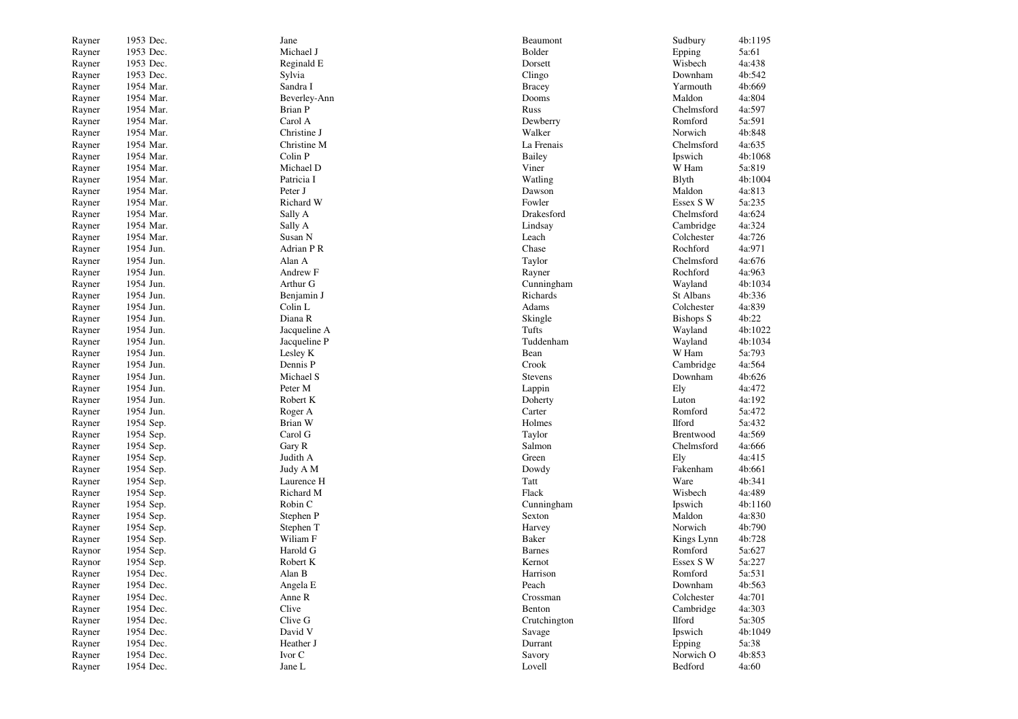| Rayner | 1953 Dec. | Jane         | Beaumont      | Sudbury          | 4b:1195 |
|--------|-----------|--------------|---------------|------------------|---------|
| Rayner | 1953 Dec. | Michael J    | Bolder        | Epping           | 5a:61   |
| Rayner | 1953 Dec. | Reginald E   | Dorsett       | Wisbech          | 4a:438  |
| Rayner | 1953 Dec. | Sylvia       | Clingo        | Downham          | 4b:542  |
| Rayner | 1954 Mar. | Sandra I     | <b>Bracey</b> | Yarmouth         | 4b:669  |
| Rayner | 1954 Mar. | Beverley-Ann | Dooms         | Maldon           | 4a:804  |
| Rayner | 1954 Mar. | Brian P      | Russ          | Chelmsford       | 4a:597  |
| Rayner | 1954 Mar. | Carol A      | Dewberry      | Romford          | 5a:591  |
| Rayner | 1954 Mar. | Christine J  | Walker        | Norwich          | 4b:848  |
| Rayner | 1954 Mar. | Christine M  | La Frenais    | Chelmsford       | 4a:635  |
| Rayner | 1954 Mar. | Colin P      | Bailey        | Ipswich          | 4b:1068 |
| Rayner | 1954 Mar. | Michael D    | Viner         | W Ham            | 5a:819  |
| Rayner | 1954 Mar. | Patricia I   | Watling       | <b>B</b> lyth    | 4b:1004 |
| Rayner | 1954 Mar. | Peter J      | Dawson        | Maldon           | 4a:813  |
| Rayner | 1954 Mar. | Richard W    | Fowler        | Essex S W        | 5a:235  |
| Rayner | 1954 Mar. | Sally A      | Drakesford    | Chelmsford       | 4a:624  |
| Rayner | 1954 Mar. | Sally A      | Lindsay       | Cambridge        | 4a:324  |
| Rayner | 1954 Mar. | Susan N      | Leach         | Colchester       | 4a:726  |
| Rayner | 1954 Jun. | Adrian P R   | Chase         | Rochford         | 4a:971  |
| Rayner | 1954 Jun. | Alan A       | Taylor        | Chelmsford       | 4a:676  |
| Rayner | 1954 Jun. | Andrew F     | Rayner        | Rochford         | 4a:963  |
| Rayner | 1954 Jun. | Arthur G     | Cunningham    | Wayland          | 4b:1034 |
| Rayner | 1954 Jun. | Benjamin J   | Richards      | St Albans        | 4b:336  |
| Rayner | 1954 Jun. | Colin L      | Adams         | Colchester       | 4a:839  |
| Rayner | 1954 Jun. | Diana R      | Skingle       | <b>Bishops S</b> | 4b:22   |
| Rayner | 1954 Jun. | Jacqueline A | Tufts         | Wayland          | 4b:1022 |
| Rayner | 1954 Jun. | Jacqueline P | Tuddenham     | Wayland          | 4b:1034 |
| Rayner | 1954 Jun. | Lesley K     | Bean          | W Ham            | 5a:793  |
| Rayner | 1954 Jun. | Dennis P     | Crook         | Cambridge        | 4a:564  |
| Rayner | 1954 Jun. | Michael S    | Stevens       | Downham          | 4b:626  |
| Rayner | 1954 Jun. | Peter M      | Lappin        | Ely              | 4a:472  |
| Rayner | 1954 Jun. | Robert K     | Doherty       | Luton            | 4a:192  |
| Rayner | 1954 Jun. | Roger A      | Carter        | Romford          | 5a:472  |
| Rayner | 1954 Sep. | Brian W      | Holmes        | <b>Ilford</b>    | 5a:432  |
| Rayner | 1954 Sep. | Carol G      | Taylor        | Brentwood        | 4a:569  |
| Rayner | 1954 Sep. | Gary R       | Salmon        | Chelmsford       | 4a:666  |
| Rayner | 1954 Sep. | Judith A     | Green         | Ely              | 4a:415  |
| Rayner | 1954 Sep. | Judy A M     | Dowdy         | Fakenham         | 4b:661  |
| Rayner | 1954 Sep. | Laurence H   | Tatt          | Ware             | 4b:341  |
| Rayner | 1954 Sep. | Richard M    | Flack         | Wisbech          | 4a:489  |
| Rayner | 1954 Sep. | Robin C      | Cunningham    | Ipswich          | 4b:1160 |
| Rayner | 1954 Sep. | Stephen P    | Sexton        | Maldon           | 4a:830  |
| Rayner | 1954 Sep. | Stephen T    | Harvey        | Norwich          | 4b:790  |
| Rayner | 1954 Sep. | Wiliam F     | Baker         | Kings Lynn       | 4b:728  |
| Raynor | 1954 Sep. | Harold G     | <b>Barnes</b> | Romford          | 5a:627  |
| Raynor | 1954 Sep. | Robert K     | Kernot        | Essex S W        | 5a:227  |
| Rayner | 1954 Dec. | Alan B       | Harrison      | Romford          | 5a:531  |
| Rayner | 1954 Dec. | Angela E     | Peach         | Downham          | 4b:563  |
| Rayner | 1954 Dec. | Anne R       | Crossman      | Colchester       | 4a:701  |
| Rayner | 1954 Dec. | Clive        | Benton        | Cambridge        | 4a:303  |
| Rayner | 1954 Dec. | Clive G      | Crutchington  | <b>Ilford</b>    | 5a:305  |
| Rayner | 1954 Dec. | David V      | Savage        | Ipswich          | 4b:1049 |
| Rayner | 1954 Dec. | Heather J    | Durrant       | Epping           | 5a:38   |
| Rayner | 1954 Dec. | Ivor C       | Savory        | Norwich O        | 4b:853  |
| Rayner | 1954 Dec. | Jane L       | Lovell        | Bedford          | 4a:60   |
|        |           |              |               |                  |         |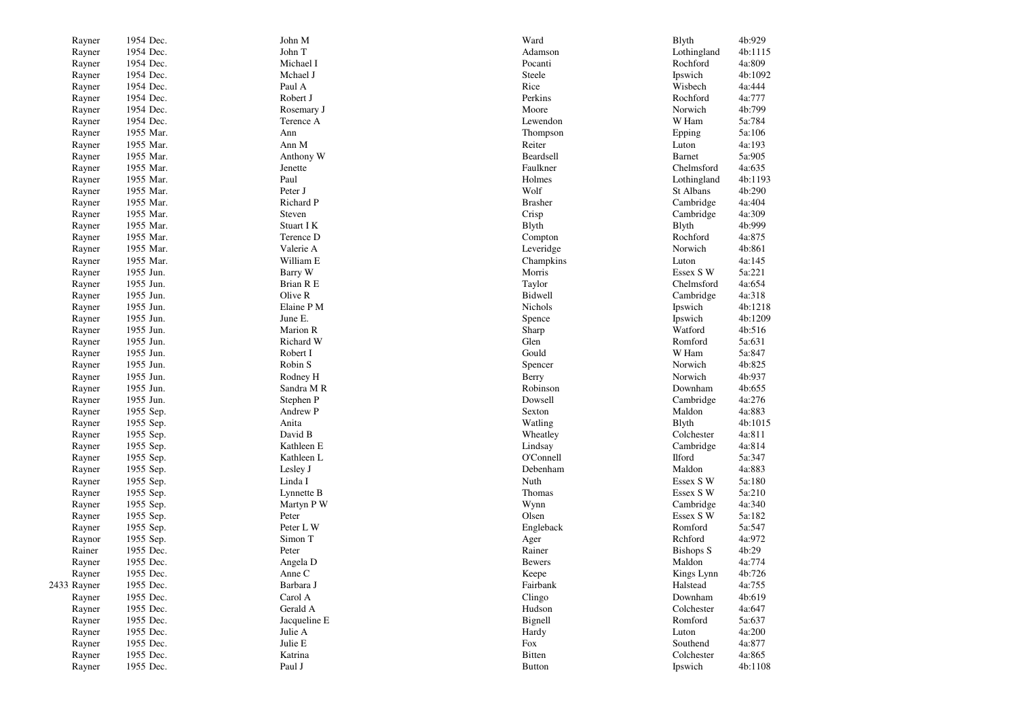| Rayner           | 1954 Dec.              | John M              | Ward           | Blyth             | 4b:929           |
|------------------|------------------------|---------------------|----------------|-------------------|------------------|
| Rayner           | 1954 Dec.              | John T              | Adamson        | Lothingland       | 4b:1115          |
| Rayner           | 1954 Dec.              | Michael I           | Pocanti        | Rochford          | 4a:809           |
| Rayner           | 1954 Dec.              | Mchael J            | Steele         | Ipswich           | 4b:1092          |
| Rayner           | 1954 Dec.              | Paul A              | Rice           | Wisbech           | 4a:444           |
| Rayner           | 1954 Dec.              | Robert J            | Perkins        | Rochford          | 4a:777           |
| Rayner           | 1954 Dec.              | Rosemary J          | Moore          | Norwich           | 4b:799           |
| Rayner           | 1954 Dec.              | Terence A           | Lewendon       | W Ham             | 5a:784           |
| Rayner           | 1955 Mar.              | Ann                 | Thompson       | Epping            | 5a:106           |
| Rayner           | 1955 Mar.              | Ann M               | Reiter         | Luton             | 4a:193           |
| Rayner           | 1955 Mar.              | Anthony W           | Beardsell      | Barnet            | 5a:905           |
| Rayner           | 1955 Mar.              | Jenette             | Faulkner       | Chelmsford        | 4a:635           |
| Rayner           | 1955 Mar.              | Paul                | Holmes         | Lothingland       | 4b:1193          |
| Rayner           | 1955 Mar.              | Peter J             | Wolf           | St Albans         | 4b:290           |
| Rayner           | 1955 Mar.              | Richard P           | <b>Brasher</b> | Cambridge         | 4a:404           |
| Rayner           | 1955 Mar.              | Steven              | Crisp          | Cambridge         | 4a:309           |
| Rayner           | 1955 Mar.              | Stuart I K          | <b>B</b> lyth  | Blyth             | 4b:999           |
| Rayner           | 1955 Mar.              | Terence D           | Compton        | Rochford          | 4a:875           |
| Rayner           | 1955 Mar.              | Valerie A           | Leveridge      | Norwich           | 4b:861           |
| Rayner           | 1955 Mar.              | William E           | Champkins      | Luton             | 4a:145           |
| Rayner           | 1955 Jun.              | Barry W             | Morris         | Essex S W         | 5a:221           |
| Rayner           | 1955 Jun.              | Brian R E           | Taylor         | Chelmsford        | 4a:654           |
| Rayner           | 1955 Jun.              | Olive R             | Bidwell        | Cambridge         | 4a:318           |
| Rayner           | 1955 Jun.              | Elaine P M          | Nichols        | Ipswich           | 4b:1218          |
| Rayner           | 1955 Jun.              | June E.             | Spence         | Ipswich           | 4b:1209          |
| Rayner           | 1955 Jun.              | Marion R            | Sharp          | Watford           | 4b:516           |
| Rayner           | 1955 Jun.              | Richard W           | Glen           | Romford           | 5a:631           |
| Rayner           | 1955 Jun.              | Robert I            | Gould          | W Ham             | 5a:847           |
| Rayner           | 1955 Jun.              | Robin S             | Spencer        | Norwich           | 4b:825           |
| Rayner           | 1955 Jun.              | Rodney H            | Berry          | Norwich           | 4b:937           |
| Rayner           | 1955 Jun.              | Sandra M R          | Robinson       | Downham           | 4b:655           |
| Rayner           | 1955 Jun.              | Stephen P           | Dowsell        | Cambridge         | 4a:276           |
| Rayner           | 1955 Sep.              | Andrew P            | Sexton         | Maldon            | 4a:883           |
| Rayner           | 1955 Sep.              | Anita               | Watling        | <b>B</b> lyth     | 4b:1015          |
| Rayner           | 1955 Sep.              | David B             | Wheatley       | Colchester        | 4a:811           |
| Rayner           | 1955 Sep.              | Kathleen E          | Lindsay        | Cambridge         | 4a:814           |
| Rayner           | 1955 Sep.              | Kathleen L          | O'Connell      | <b>Ilford</b>     | 5a:347           |
| Rayner           | 1955 Sep.              | Lesley J            | Debenham       | Maldon            | 4a:883           |
| Rayner           | 1955 Sep.              | Linda I             | Nuth           | Essex S W         | 5a:180           |
| Rayner           | 1955 Sep.              | Lynnette B          | Thomas         | Essex S W         | 5a:210           |
| Rayner           | 1955 Sep.              | Martyn P W          | Wynn           | Cambridge         | 4a:340           |
| Rayner           | 1955 Sep.              | Peter               | Olsen          | Essex S W         | 5a:182           |
| Rayner           | 1955 Sep.              | Peter L W           | Engleback      | Romford           | 5a:547           |
| Raynor           | 1955 Sep.              | Simon T             | Ager           | Rchford           | 4a:972           |
| Rainer           | 1955 Dec.              | Peter               | Rainer         | <b>Bishops S</b>  | 4b:29            |
| Rayner           | 1955 Dec.              | Angela D            | <b>Bewers</b>  | Maldon            | 4a:774           |
| Rayner           |                        |                     | Keepe          | Kings Lynn        |                  |
| 2433 Rayner      | 1955 Dec.<br>1955 Dec. | Anne C<br>Barbara J | Fairbank       | Halstead          | 4b:726<br>4a:755 |
| Rayner           | 1955 Dec.              | Carol A             | Clingo         | Downham           | 4b:619           |
| Rayner           | 1955 Dec.              | Gerald A            | Hudson         | Colchester        | 4a:647           |
| Rayner           | 1955 Dec.              | Jacqueline E        | Bignell        | Romford           | 5a:637           |
|                  |                        |                     |                |                   |                  |
| Rayner<br>Rayner | 1955 Dec.<br>1955 Dec. | Julie A<br>Julie E  | Hardy<br>Fox   | Luton<br>Southend | 4a:200<br>4a:877 |
| Rayner           | 1955 Dec.              | Katrina             | <b>Bitten</b>  | Colchester        | 4a:865           |
|                  |                        |                     |                |                   |                  |
| Rayner           | 1955 Dec.              | Paul J              | <b>Button</b>  | Ipswich           | 4b:1108          |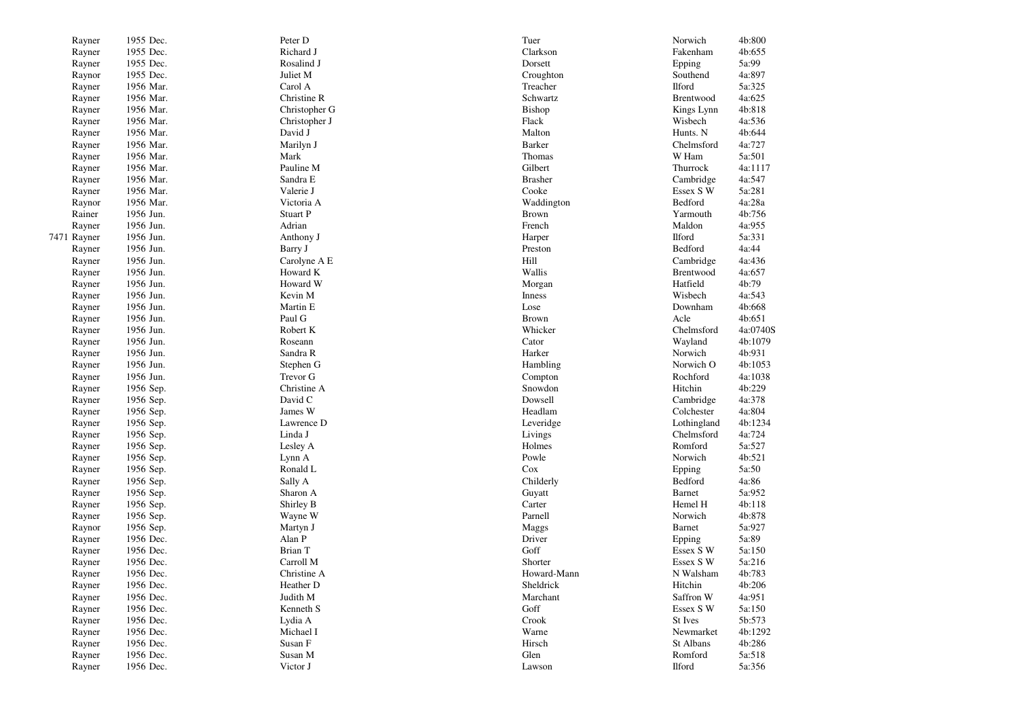| Rayner      | 1955 Dec. | Peter D       | Tuer               | Norwich       | 4b:800   |
|-------------|-----------|---------------|--------------------|---------------|----------|
| Rayner      | 1955 Dec. | Richard J     | Clarkson           | Fakenham      | 4b:655   |
| Rayner      | 1955 Dec. | Rosalind J    | Dorsett            | Epping        | 5a:99    |
| Raynor      | 1955 Dec. | Juliet M      | Croughton          | Southend      | 4a:897   |
| Rayner      | 1956 Mar. | Carol A       | Treacher           | <b>Ilford</b> | 5a:325   |
| Rayner      | 1956 Mar. | Christine R   | Schwartz           | Brentwood     | 4a:625   |
| Rayner      | 1956 Mar. | Christopher G | Bishop             | Kings Lynn    | 4b:818   |
| Rayner      | 1956 Mar. | Christopher J | Flack              | Wisbech       | 4a:536   |
| Rayner      | 1956 Mar. | David J       | Malton             | Hunts. N      | 4b:644   |
| Rayner      | 1956 Mar. | Marilyn J     | Barker             | Chelmsford    | 4a:727   |
| Rayner      | 1956 Mar. | Mark          | Thomas             | W Ham         | 5a:501   |
| Rayner      | 1956 Mar. | Pauline M     | Gilbert            | Thurrock      | 4a:1117  |
| Rayner      | 1956 Mar. | Sandra E      | <b>Brasher</b>     | Cambridge     | 4a:547   |
| Rayner      | 1956 Mar. | Valerie J     | Cooke              | Essex S W     | 5a:281   |
| Raynor      | 1956 Mar. | Victoria A    | Waddington         | Bedford       | 4a:28a   |
| Rainer      | 1956 Jun. | Stuart P      | <b>Brown</b>       | Yarmouth      | 4b:756   |
| Rayner      | 1956 Jun. | Adrian        | French             | Maldon        | 4a:955   |
| 7471 Rayner | 1956 Jun. | Anthony J     | Harper             | <b>Ilford</b> | 5a:331   |
| Rayner      | 1956 Jun. | Barry J       | Preston            | Bedford       | 4a:44    |
| Rayner      | 1956 Jun. | Carolyne A E  | Hill               | Cambridge     | 4a:436   |
| Rayner      | 1956 Jun. | Howard K      | Wallis             | Brentwood     | 4a:657   |
| Rayner      | 1956 Jun. | Howard W      | Morgan             | Hatfield      | 4b:79    |
| Rayner      | 1956 Jun. | Kevin M       | Inness             | Wisbech       | 4a:543   |
| Rayner      | 1956 Jun. | Martin E      | Lose               | Downham       | 4b:668   |
| Rayner      | 1956 Jun. | Paul G        | <b>Brown</b>       | Acle          | 4b:651   |
| Rayner      | 1956 Jun. | Robert K      | Whicker            | Chelmsford    | 4a:0740S |
| Rayner      | 1956 Jun. | Roseann       | Cator              | Wayland       | 4b:1079  |
|             | 1956 Jun. | Sandra R      | Harker             | Norwich       | 4b:931   |
| Rayner      | 1956 Jun. | Stephen G     |                    | Norwich O     | 4b:1053  |
| Rayner      | 1956 Jun. | Trevor G      | Hambling           | Rochford      | 4a:1038  |
| Rayner      |           | Christine A   | Compton<br>Snowdon | Hitchin       | 4b:229   |
| Rayner      | 1956 Sep. |               |                    |               |          |
| Rayner      | 1956 Sep. | David C       | Dowsell            | Cambridge     | 4a:378   |
| Rayner      | 1956 Sep. | James W       | Headlam            | Colchester    | 4a:804   |
| Rayner      | 1956 Sep. | Lawrence D    | Leveridge          | Lothingland   | 4b:1234  |
| Rayner      | 1956 Sep. | Linda J       | Livings            | Chelmsford    | 4a:724   |
| Rayner      | 1956 Sep. | Lesley A      | Holmes             | Romford       | 5a:527   |
| Rayner      | 1956 Sep. | Lynn A        | Powle              | Norwich       | 4b:521   |
| Rayner      | 1956 Sep. | Ronald L      | Cox                | Epping        | 5a:50    |
| Rayner      | 1956 Sep. | Sally A       | Childerly          | Bedford       | 4a:86    |
| Rayner      | 1956 Sep. | Sharon A      | Guyatt             | Barnet        | 5a:952   |
| Rayner      | 1956 Sep. | Shirley B     | Carter             | Hemel H       | 4b:118   |
| Rayner      | 1956 Sep. | Wayne W       | Parnell            | Norwich       | 4b:878   |
| Raynor      | 1956 Sep. | Martyn J      | Maggs              | Barnet        | 5a:927   |
| Rayner      | 1956 Dec. | Alan P        | Driver             | Epping        | 5a:89    |
| Rayner      | 1956 Dec. | Brian T       | Goff               | Essex S W     | 5a:150   |
| Rayner      | 1956 Dec. | Carroll M     | Shorter            | Essex S W     | 5a:216   |
| Rayner      | 1956 Dec. | Christine A   | Howard-Mann        | N Walsham     | 4b:783   |
| Rayner      | 1956 Dec. | Heather D     | Sheldrick          | Hitchin       | 4b:206   |
| Rayner      | 1956 Dec. | Judith M      | Marchant           | Saffron W     | 4a:951   |
| Rayner      | 1956 Dec. | Kenneth S     | Goff               | Essex S W     | 5a:150   |
| Rayner      | 1956 Dec. | Lydia A       | Crook              | St Ives       | 5b:573   |
| Rayner      | 1956 Dec. | Michael I     | Warne              | Newmarket     | 4b:1292  |
| Rayner      | 1956 Dec. | Susan F       | Hirsch             | St Albans     | 4b:286   |
| Rayner      | 1956 Dec. | Susan M       | Glen               | Romford       | 5a:518   |
| Rayner      | 1956 Dec. | Victor J      | Lawson             | Ilford        | 5a:356   |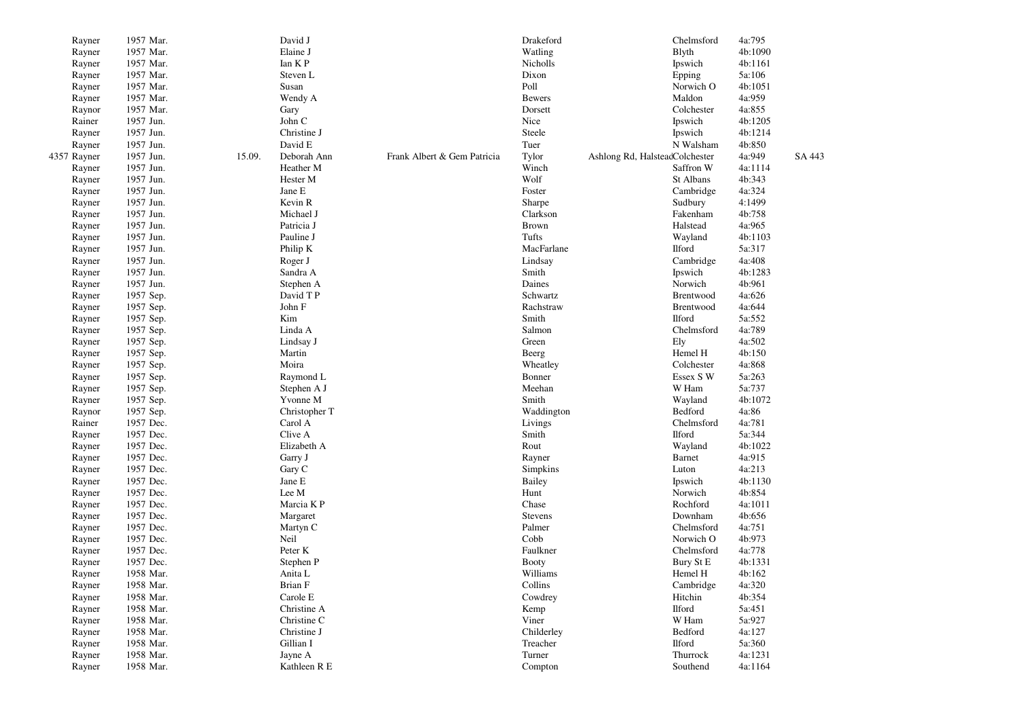| Rayner      | 1957 Mar. |        | David J       |                             | Drakeford    |                                | Chelmsford    | 4a:795  |        |
|-------------|-----------|--------|---------------|-----------------------------|--------------|--------------------------------|---------------|---------|--------|
| Rayner      | 1957 Mar. |        | Elaine J      |                             | Watling      |                                | Blyth         | 4b:1090 |        |
| Rayner      | 1957 Mar. |        | Ian KP        |                             | Nicholls     |                                | Ipswich       | 4b:1161 |        |
| Rayner      | 1957 Mar. |        | Steven L      |                             | Dixon        |                                | Epping        | 5a:106  |        |
| Rayner      | 1957 Mar. |        | Susan         |                             | Poll         |                                | Norwich O     | 4b:1051 |        |
| Rayner      | 1957 Mar. |        | Wendy A       |                             | Bewers       |                                | Maldon        | 4a:959  |        |
| Raynor      | 1957 Mar. |        | Gary          |                             | Dorsett      |                                | Colchester    | 4a:855  |        |
| Rainer      | 1957 Jun. |        | John C        |                             | Nice         |                                | Ipswich       | 4b:1205 |        |
| Rayner      | 1957 Jun. |        | Christine J   |                             | Steele       |                                | Ipswich       | 4b:1214 |        |
| Rayner      | 1957 Jun. |        | David E       |                             | Tuer         |                                | N Walsham     | 4b:850  |        |
| 4357 Rayner | 1957 Jun. | 15.09. | Deborah Ann   | Frank Albert & Gem Patricia | Tylor        | Ashlong Rd, HalsteadColchester |               | 4a:949  | SA 443 |
| Rayner      | 1957 Jun. |        | Heather M     |                             | Winch        |                                | Saffron W     | 4a:1114 |        |
| Rayner      | 1957 Jun. |        | Hester M      |                             | Wolf         |                                | St Albans     | 4b:343  |        |
| Rayner      | 1957 Jun. |        | Jane E        |                             | Foster       |                                | Cambridge     | 4a:324  |        |
| Rayner      | 1957 Jun. |        | Kevin R       |                             | Sharpe       |                                | Sudbury       | 4:1499  |        |
| Rayner      | 1957 Jun. |        | Michael J     |                             | Clarkson     |                                | Fakenham      | 4b:758  |        |
| Rayner      | 1957 Jun. |        | Patricia J    |                             | <b>Brown</b> |                                | Halstead      | 4a:965  |        |
| Rayner      | 1957 Jun. |        | Pauline J     |                             | Tufts        |                                | Wayland       | 4b:1103 |        |
| Rayner      | 1957 Jun. |        | Philip K      |                             | MacFarlane   |                                | <b>Ilford</b> | 5a:317  |        |
| Rayner      | 1957 Jun. |        | Roger J       |                             | Lindsay      |                                | Cambridge     | 4a:408  |        |
| Rayner      | 1957 Jun. |        | Sandra A      |                             | Smith        |                                | Ipswich       | 4b:1283 |        |
| Rayner      | 1957 Jun. |        | Stephen A     |                             | Daines       |                                | Norwich       | 4b:961  |        |
| Rayner      | 1957 Sep. |        | David T P     |                             | Schwartz     |                                | Brentwood     | 4a:626  |        |
| Rayner      | 1957 Sep. |        | John F        |                             | Rachstraw    |                                | Brentwood     | 4a:644  |        |
| Rayner      | 1957 Sep. |        | Kim           |                             | Smith        |                                | <b>Ilford</b> | 5a:552  |        |
| Rayner      | 1957 Sep. |        | Linda A       |                             | Salmon       |                                | Chelmsford    | 4a:789  |        |
| Rayner      | 1957 Sep. |        | Lindsay J     |                             | Green        |                                | Ely           | 4a:502  |        |
| Rayner      | 1957 Sep. |        | Martin        |                             | Beerg        |                                | Hemel H       | 4b:150  |        |
| Rayner      | 1957 Sep. |        | Moira         |                             | Wheatley     |                                | Colchester    | 4a:868  |        |
| Rayner      | 1957 Sep. |        | Raymond L     |                             | Bonner       |                                | Essex S W     | 5a:263  |        |
| Rayner      | 1957 Sep. |        | Stephen A J   |                             | Meehan       |                                | W Ham         | 5a:737  |        |
| Rayner      | 1957 Sep. |        | Yvonne M      |                             | Smith        |                                | Wayland       | 4b:1072 |        |
| Raynor      | 1957 Sep. |        | Christopher T |                             | Waddington   |                                | Bedford       | 4a:86   |        |
| Rainer      | 1957 Dec. |        | Carol A       |                             | Livings      |                                | Chelmsford    | 4a:781  |        |
| Rayner      | 1957 Dec. |        | Clive A       |                             | Smith        |                                | <b>Ilford</b> | 5a:344  |        |
| Rayner      | 1957 Dec. |        | Elizabeth A   |                             | Rout         |                                | Wayland       | 4b:1022 |        |
| Rayner      | 1957 Dec. |        | Garry J       |                             | Rayner       |                                | Barnet        | 4a:915  |        |
| Rayner      | 1957 Dec. |        | Gary C        |                             | Simpkins     |                                | Luton         | 4a:213  |        |
| Rayner      | 1957 Dec. |        | Jane E        |                             | Bailey       |                                | Ipswich       | 4b:1130 |        |
| Rayner      | 1957 Dec. |        | Lee M         |                             | Hunt         |                                | Norwich       | 4b:854  |        |
| Rayner      | 1957 Dec. |        | Marcia KP     |                             | Chase        |                                | Rochford      | 4a:1011 |        |
| Rayner      | 1957 Dec. |        | Margaret      |                             | Stevens      |                                | Downham       | 4b:656  |        |
| Rayner      | 1957 Dec. |        | Martyn C      |                             | Palmer       |                                | Chelmsford    | 4a:751  |        |
| Rayner      | 1957 Dec. |        | Neil          |                             | Cobb         |                                | Norwich O     | 4b:973  |        |
| Rayner      | 1957 Dec. |        | Peter K       |                             | Faulkner     |                                | Chelmsford    | 4a:778  |        |
| Rayner      | 1957 Dec. |        | Stephen P     |                             | <b>Booty</b> |                                | Bury St E     | 4b:1331 |        |
| Rayner      | 1958 Mar. |        | Anita L       |                             | Williams     |                                | Hemel H       | 4b:162  |        |
| Rayner      | 1958 Mar. |        | Brian F       |                             | Collins      |                                | Cambridge     | 4a:320  |        |
| Rayner      | 1958 Mar. |        | Carole E      |                             | Cowdrey      |                                | Hitchin       | 4b:354  |        |
| Rayner      | 1958 Mar. |        | Christine A   |                             | Kemp         |                                | <b>Ilford</b> | 5a:451  |        |
| Rayner      | 1958 Mar. |        | Christine C   |                             | Viner        |                                | W Ham         | 5a:927  |        |
| Rayner      | 1958 Mar. |        | Christine J   |                             | Childerley   |                                | Bedford       | 4a:127  |        |
| Rayner      | 1958 Mar. |        | Gillian I     |                             | Treacher     |                                | <b>Ilford</b> | 5a:360  |        |
| Rayner      | 1958 Mar. |        | Jayne A       |                             | Turner       |                                | Thurrock      | 4a:1231 |        |
| Rayner      | 1958 Mar. |        | Kathleen R E  |                             | Compton      |                                | Southend      | 4a:1164 |        |
|             |           |        |               |                             |              |                                |               |         |        |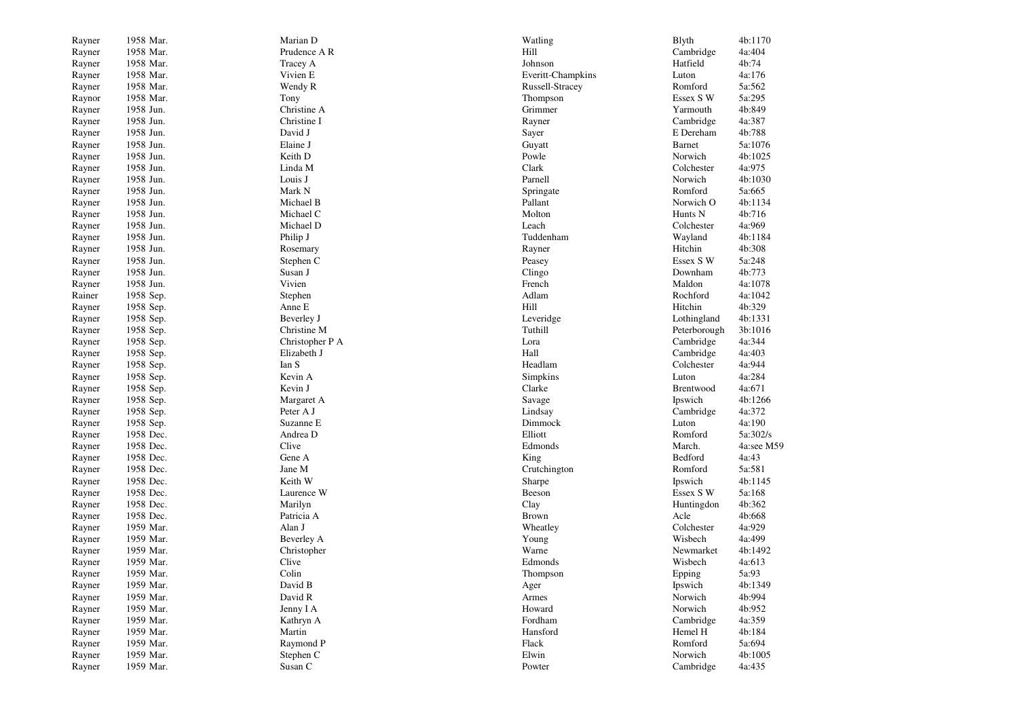| Rayner | 1958 Mar. | Marian D        | Watling           | <b>B</b> lyth      | 4b:1170    |
|--------|-----------|-----------------|-------------------|--------------------|------------|
| Rayner | 1958 Mar. | Prudence A R    | Hill              | Cambridge          | 4a:404     |
| Rayner | 1958 Mar. | Tracey A        | Johnson           | Hatfield           | 4b:74      |
| Rayner | 1958 Mar. | Vivien E        | Everitt-Champkins | Luton              | 4a:176     |
| Rayner | 1958 Mar. | Wendy R         | Russell-Stracey   | Romford            | 5a:562     |
| Raynor | 1958 Mar. | Tony            | Thompson          | Essex S W          | 5a:295     |
| Rayner | 1958 Jun. | Christine A     | Grimmer           | Yarmouth           | 4b:849     |
| Rayner | 1958 Jun. | Christine I     | Rayner            | Cambridge          | 4a:387     |
| Rayner | 1958 Jun. | David J         | Sayer             | E Dereham          | 4b:788     |
| Rayner | 1958 Jun. | Elaine J        | Guyatt            | <b>Barnet</b>      | 5a:1076    |
| Rayner | 1958 Jun. | Keith D         | Powle             | Norwich            | 4b:1025    |
| Rayner | 1958 Jun. | Linda M         | Clark             | Colchester         | 4a:975     |
| Rayner | 1958 Jun. | Louis J         | Parnell           | Norwich            | 4b:1030    |
| Rayner | 1958 Jun. | Mark N          | Springate         | Romford            | 5a:665     |
| Rayner | 1958 Jun. | Michael B       | Pallant           | Norwich O          | 4b:1134    |
| Rayner | 1958 Jun. | Michael C       | Molton            | Hunts <sub>N</sub> | 4b:716     |
| Rayner | 1958 Jun. | Michael D       | Leach             | Colchester         | 4a:969     |
| Rayner | 1958 Jun. | Philip J        | Tuddenham         | Wayland            | 4b:1184    |
| Rayner | 1958 Jun. | Rosemary        | Rayner            | Hitchin            | 4b:308     |
| Rayner | 1958 Jun. | Stephen C       | Peasey            | Essex SW           | 5a:248     |
| Rayner | 1958 Jun. | Susan J         | Clingo            | Downham            | 4b:773     |
| Rayner | 1958 Jun. | Vivien          | French            | Maldon             | 4a:1078    |
| Rainer | 1958 Sep. | Stephen         | Adlam             | Rochford           | 4a:1042    |
| Rayner | 1958 Sep. | Anne E          | Hill              | Hitchin            | 4b:329     |
| Rayner | 1958 Sep. | Beverley J      | Leveridge         | Lothingland        | 4b:1331    |
| Rayner | 1958 Sep. | Christine M     | Tuthill           | Peterborough       | 3b:1016    |
| Rayner | 1958 Sep. | Christopher P A | Lora              | Cambridge          | 4a:344     |
| Rayner | 1958 Sep. | Elizabeth J     | Hall              | Cambridge          | 4a:403     |
| Rayner | 1958 Sep. | Ian S           | Headlam           | Colchester         | 4a:944     |
| Rayner | 1958 Sep. | Kevin A         | Simpkins          | Luton              | 4a:284     |
| Rayner | 1958 Sep. | Kevin J         | Clarke            | Brentwood          | 4a:671     |
| Rayner | 1958 Sep. | Margaret A      | Savage            | Ipswich            | 4b:1266    |
| Rayner | 1958 Sep. | Peter A J       | Lindsay           | Cambridge          | 4a:372     |
| Rayner | 1958 Sep. | Suzanne E       | Dimmock           | Luton              | 4a:190     |
| Rayner | 1958 Dec. | Andrea D        | Elliott           | Romford            | 5a:302/s   |
| Rayner | 1958 Dec. | Clive           | Edmonds           | March.             | 4a:see M59 |
| Rayner | 1958 Dec. | Gene A          | King              | Bedford            | 4a:43      |
| Rayner | 1958 Dec. | Jane M          | Crutchington      | Romford            | 5a:581     |
| Rayner | 1958 Dec. | Keith W         | Sharpe            | Ipswich            | 4b:1145    |
| Rayner | 1958 Dec. | Laurence W      | Beeson            | Essex S W          | 5a:168     |
| Rayner | 1958 Dec. | Marilyn         | Clay              | Huntingdon         | 4b:362     |
| Rayner | 1958 Dec. | Patricia A      | <b>Brown</b>      | Acle               | 4b:668     |
| Rayner | 1959 Mar. | Alan J          | Wheatley          | Colchester         | 4a:929     |
| Rayner | 1959 Mar. | Beverley A      | Young             | Wisbech            | 4a:499     |
| Rayner | 1959 Mar. | Christopher     | Warne             | Newmarket          | 4b:1492    |
| Rayner | 1959 Mar. | Clive           | Edmonds           | Wisbech            | 4a:613     |
| Rayner | 1959 Mar. | Colin           | Thompson          | Epping             | 5a:93      |
| Rayner | 1959 Mar. | David B         | Ager              | Ipswich            | 4b:1349    |
| Rayner | 1959 Mar. | David R         | Armes             | Norwich            | 4b:994     |
| Rayner | 1959 Mar. | Jenny I A       | Howard            | Norwich            | 4b:952     |
| Rayner | 1959 Mar. | Kathryn A       | Fordham           | Cambridge          | 4a:359     |
| Rayner | 1959 Mar. | Martin          | Hansford          | Hemel H            | 4b:184     |
| Rayner | 1959 Mar. | Raymond P       | Flack             | Romford            | 5a:694     |
| Rayner | 1959 Mar. | Stephen C       | Elwin             | Norwich            | 4b:1005    |
| Rayner | 1959 Mar. | Susan C         | Powter            | Cambridge          | 4a:435     |
|        |           |                 |                   |                    |            |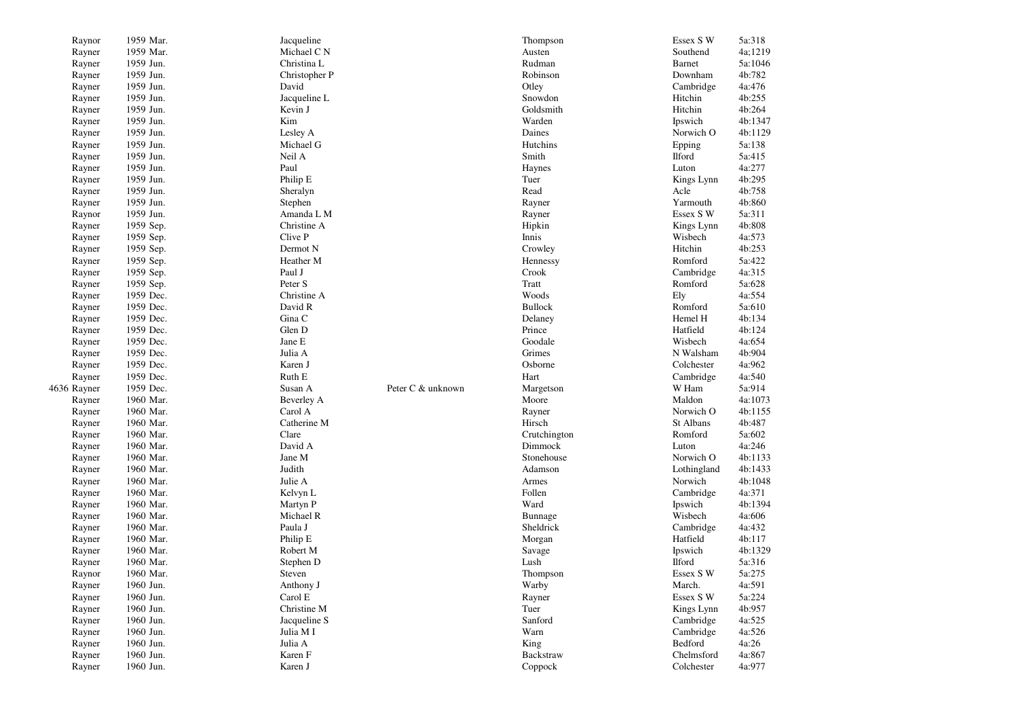| Raynor           | 1959 Mar.              | Jacqueline    |                   | Thompson          | Essex S W   | 5a:318  |
|------------------|------------------------|---------------|-------------------|-------------------|-------------|---------|
| Rayner           | 1959 Mar.              | Michael C N   |                   | Austen            | Southend    | 4a;1219 |
| Rayner           | 1959 Jun.              | Christina L   |                   | Rudman            | Barnet      | 5a:1046 |
| Rayner           | 1959 Jun.              | Christopher P |                   | Robinson          | Downham     | 4b:782  |
| Rayner           | 1959 Jun.              | David         |                   | Otley             | Cambridge   | 4a:476  |
| Rayner           | 1959 Jun.              | Jacqueline L  |                   | Snowdon           | Hitchin     | 4b:255  |
| Rayner           | 1959 Jun.              | Kevin J       |                   | Goldsmith         | Hitchin     | 4b:264  |
| Rayner           | 1959 Jun.              | Kim           |                   | Warden            | Ipswich     | 4b:1347 |
| Rayner           | 1959 Jun.              | Lesley A      |                   | Daines            | Norwich O   | 4b:1129 |
| Rayner           | 1959 Jun.              | Michael G     |                   | Hutchins          | Epping      | 5a:138  |
| Rayner           | 1959 Jun.              | Neil A        |                   | Smith             | Ilford      | 5a:415  |
| Rayner           | 1959 Jun.              | Paul          |                   | Haynes            | Luton       | 4a:277  |
| Rayner           | 1959 Jun.              | Philip E      |                   | Tuer              | Kings Lynn  | 4b:295  |
| Rayner           | 1959 Jun.              | Sheralyn      |                   | Read              | Acle        | 4b:758  |
| Rayner           | 1959 Jun.              | Stephen       |                   | Rayner            | Yarmouth    | 4b:860  |
| Raynor           | 1959 Jun.              | Amanda L M    |                   | Rayner            | Essex S W   | 5a:311  |
| Rayner           | 1959 Sep.              | Christine A   |                   | Hipkin            | Kings Lynn  | 4b:808  |
| Rayner           | 1959 Sep.              | Clive P       |                   | Innis             | Wisbech     | 4a:573  |
| Rayner           | 1959 Sep.              | Dermot N      |                   | Crowley           | Hitchin     | 4b:253  |
| Rayner           | 1959 Sep.              | Heather M     |                   | Hennessy          | Romford     | 5a:422  |
| Rayner           | 1959 Sep.              | Paul J        |                   | Crook             | Cambridge   | 4a:315  |
| Rayner           | 1959 Sep.              | Peter S       |                   | Tratt             | Romford     | 5a:628  |
| Rayner           | 1959 Dec.              | Christine A   |                   | Woods             | Ely         | 4a:554  |
| Rayner           | 1959 Dec.              | David R       |                   | <b>Bullock</b>    | Romford     | 5a:610  |
|                  | 1959 Dec.              | Gina C        |                   |                   | Hemel H     | 4b:134  |
| Rayner<br>Rayner | 1959 Dec.              | Glen D        |                   | Delaney<br>Prince | Hatfield    | 4b:124  |
|                  |                        | Jane E        |                   | Goodale           | Wisbech     | 4a:654  |
| Rayner           | 1959 Dec.<br>1959 Dec. | Julia A       |                   | Grimes            | N Walsham   | 4b:904  |
| Rayner           | 1959 Dec.              | Karen J       |                   | Osborne           |             | 4a:962  |
| Rayner           |                        |               |                   |                   | Colchester  |         |
| Rayner           | 1959 Dec.              | Ruth E        |                   | Hart              | Cambridge   | 4a:540  |
| 4636 Rayner      | 1959 Dec.              | Susan A       | Peter C & unknown | Margetson         | W Ham       | 5a:914  |
| Rayner           | 1960 Mar.              | Beverley A    |                   | Moore             | Maldon      | 4a:1073 |
| Rayner           | 1960 Mar.              | Carol A       |                   | Rayner            | Norwich O   | 4b:1155 |
| Rayner           | 1960 Mar.              | Catherine M   |                   | Hirsch            | St Albans   | 4b:487  |
| Rayner           | 1960 Mar.              | Clare         |                   | Crutchington      | Romford     | 5a:602  |
| Rayner           | 1960 Mar.              | David A       |                   | Dimmock           | Luton       | 4a:246  |
| Rayner           | 1960 Mar.              | Jane M        |                   | Stonehouse        | Norwich O   | 4b:1133 |
| Rayner           | 1960 Mar.              | Judith        |                   | Adamson           | Lothingland | 4b:1433 |
| Rayner           | 1960 Mar.              | Julie A       |                   | Armes             | Norwich     | 4b:1048 |
| Rayner           | 1960 Mar.              | Kelvyn L      |                   | Follen            | Cambridge   | 4a:371  |
| Rayner           | 1960 Mar.              | Martyn P      |                   | Ward              | Ipswich     | 4b:1394 |
| Rayner           | 1960 Mar.              | Michael R     |                   | Bunnage           | Wisbech     | 4a:606  |
| Rayner           | 1960 Mar.              | Paula J       |                   | Sheldrick         | Cambridge   | 4a:432  |
| Rayner           | 1960 Mar.              | Philip E      |                   | Morgan            | Hatfield    | 4b:117  |
| Rayner           | 1960 Mar.              | Robert M      |                   | Savage            | Ipswich     | 4b:1329 |
| Rayner           | 1960 Mar.              | Stephen D     |                   | Lush              | Ilford      | 5a:316  |
| Raynor           | 1960 Mar.              | Steven        |                   | Thompson          | Essex S W   | 5a:275  |
| Rayner           | 1960 Jun.              | Anthony J     |                   | Warby             | March.      | 4a:591  |
| Rayner           | 1960 Jun.              | Carol E       |                   | Rayner            | Essex SW    | 5a:224  |
| Rayner           | 1960 Jun.              | Christine M   |                   | Tuer              | Kings Lynn  | 4b:957  |
| Rayner           | 1960 Jun.              | Jacqueline S  |                   | Sanford           | Cambridge   | 4a:525  |
| Rayner           | 1960 Jun.              | Julia M I     |                   | Warn              | Cambridge   | 4a:526  |
| Rayner           | 1960 Jun.              | Julia A       |                   | King              | Bedford     | 4a:26   |
| Rayner           | 1960 Jun.              | Karen F       |                   | Backstraw         | Chelmsford  | 4a:867  |
| Rayner           | 1960 Jun.              | Karen J       |                   | Coppock           | Colchester  | 4a:977  |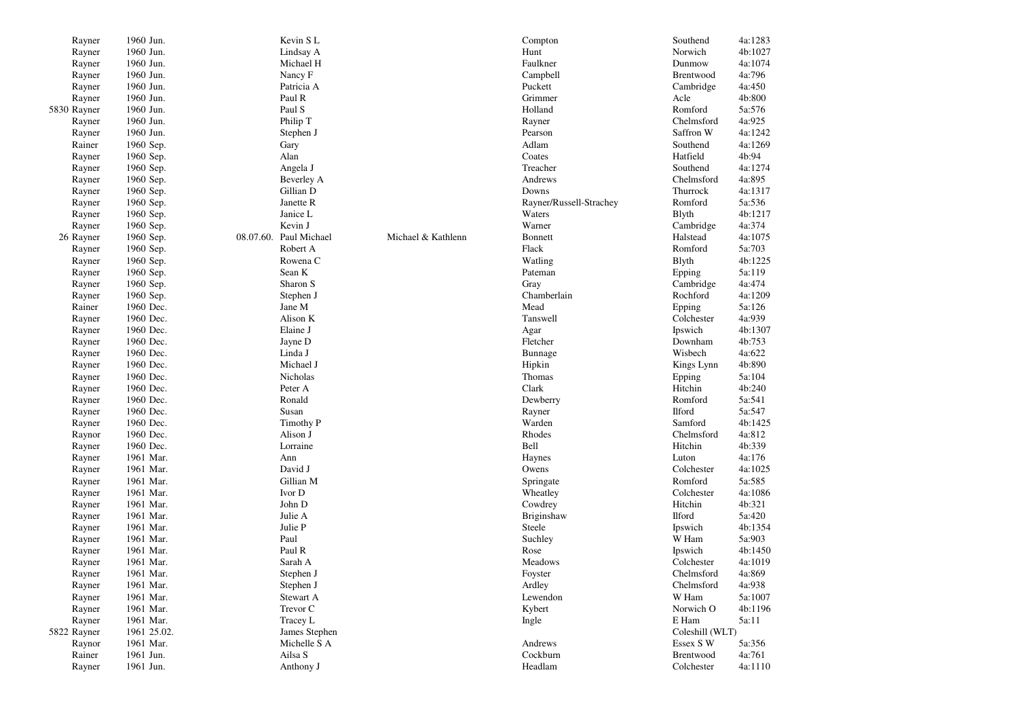| Rayner           | 1960 Jun.              | Kevin SL                      |                    | Compton                 | Southend               | 4a:1283          |
|------------------|------------------------|-------------------------------|--------------------|-------------------------|------------------------|------------------|
| Rayner           | 1960 Jun.              | Lindsay A                     |                    | Hunt                    | Norwich                | 4b:1027          |
| Rayner           | 1960 Jun.              | Michael H                     |                    | Faulkner                | Dunmow                 | 4a:1074          |
| Rayner           | 1960 Jun.              | Nancy F                       |                    | Campbell                | Brentwood              | 4a:796           |
| Rayner           | 1960 Jun.              | Patricia A                    |                    | Puckett                 | Cambridge              | 4a:450           |
| Rayner           | 1960 Jun.              | Paul R                        |                    | Grimmer                 | Acle                   | 4b:800           |
| 5830 Rayner      | 1960 Jun.              | Paul S                        |                    | Holland                 | Romford                | 5a:576           |
| Rayner           | 1960 Jun.              | Philip T                      |                    | Rayner                  | Chelmsford             | 4a:925           |
| Rayner           | 1960 Jun.              | Stephen J                     |                    | Pearson                 | Saffron W              | 4a:1242          |
| Rainer           | 1960 Sep.              | Gary                          |                    | Adlam                   | Southend               | 4a:1269          |
| Rayner           | 1960 Sep.              | Alan                          |                    | Coates                  | Hatfield               | 4b:94            |
| Rayner           | 1960 Sep.              | Angela J                      |                    | Treacher                | Southend               | 4a:1274          |
| Rayner           | 1960 Sep.              | <b>Beverley A</b>             |                    | Andrews                 | Chelmsford             | 4a:895           |
| Rayner           | 1960 Sep.              | Gillian D                     |                    | Downs                   | Thurrock               | 4a:1317          |
| Rayner           | 1960 Sep.              | Janette R                     |                    | Rayner/Russell-Strachey | Romford                | 5a:536           |
| Rayner           | 1960 Sep.              | Janice L                      |                    | Waters                  | <b>B</b> lyth          | 4b:1217          |
|                  |                        | Kevin J                       |                    | Warner                  | Cambridge              | 4a:374           |
| Rayner           | 1960 Sep.              |                               | Michael & Kathlenn |                         |                        | 4a:1075          |
| 26 Rayner        | 1960 Sep.              | 08.07.60. Paul Michael        |                    | <b>Bonnett</b>          | Halstead               |                  |
| Rayner           | 1960 Sep.              | Robert A                      |                    | Flack                   | Romford                | 5a:703           |
| Rayner           | 1960 Sep.              | Rowena C                      |                    | Watling                 | <b>B</b> lyth          | 4b:1225          |
| Rayner           | 1960 Sep.              | Sean K                        |                    | Pateman                 | Epping                 | 5a:119           |
| Rayner           | 1960 Sep.              | Sharon S                      |                    | Gray                    | Cambridge              | 4a:474           |
| Rayner           | 1960 Sep.              | Stephen J                     |                    | Chamberlain             | Rochford               | 4a:1209          |
| Rainer           | 1960 Dec.              | Jane M                        |                    | Mead                    | Epping                 | 5a:126           |
| Rayner           | 1960 Dec.              | Alison K                      |                    | Tanswell                | Colchester             | 4a:939           |
| Rayner           | 1960 Dec.              | Elaine J                      |                    | Agar                    | Ipswich                | 4b:1307          |
| Rayner           | 1960 Dec.              | Jayne D                       |                    | Fletcher                | Downham                | 4b:753           |
| Rayner           | 1960 Dec.              | Linda J                       |                    | Bunnage                 | Wisbech                | 4a:622           |
| Rayner           | 1960 Dec.              | Michael J                     |                    | Hipkin                  | Kings Lynn             | 4b:890           |
| Rayner           | 1960 Dec.              | Nicholas                      |                    | Thomas                  | Epping                 | 5a:104           |
| Rayner           | 1960 Dec.              | Peter A                       |                    | Clark                   | Hitchin                | 4b:240           |
| Rayner           | 1960 Dec.              | Ronald                        |                    | Dewberry                | Romford                | 5a:541           |
| Rayner           | 1960 Dec.              | Susan                         |                    | Rayner                  | <b>Ilford</b>          | 5a:547           |
| Rayner           | 1960 Dec.              | Timothy P                     |                    | Warden                  | Samford                | 4b:1425          |
| Raynor           | 1960 Dec.              | Alison J                      |                    | Rhodes                  | Chelmsford             | 4a:812           |
| Rayner           | 1960 Dec.              | Lorraine                      |                    | Bell                    | Hitchin                | 4b:339           |
| Rayner           | 1961 Mar.              | Ann                           |                    | Haynes                  | Luton                  | 4a:176           |
| Rayner           | 1961 Mar.              | David J                       |                    | Owens                   | Colchester             | 4a:1025          |
| Rayner           | 1961 Mar.              | Gillian M                     |                    | Springate               | Romford                | 5a:585           |
| Rayner           | 1961 Mar.              | Ivor D                        |                    | Wheatley                | Colchester             | 4a:1086          |
| Rayner           | 1961 Mar.              | John D                        |                    | Cowdrey                 | Hitchin                | 4b:321           |
| Rayner           | 1961 Mar.              | Julie A                       |                    | Briginshaw              | <b>Ilford</b>          | 5a:420           |
| Rayner           | 1961 Mar.              | Julie P                       |                    | Steele                  | Ipswich                | 4b:1354          |
| Rayner           | 1961 Mar.              | Paul                          |                    | Suchley                 | W Ham                  | 5a:903           |
| Rayner           | 1961 Mar.              | Paul R                        |                    | Rose                    | Ipswich                | 4b:1450          |
| Rayner           | 1961 Mar.              | Sarah A                       |                    | Meadows                 | Colchester             | 4a:1019          |
| Rayner           | 1961 Mar.              | Stephen J                     |                    | Foyster                 | Chelmsford             | 4a:869           |
| Rayner           | 1961 Mar.              | Stephen J                     |                    | Ardley                  | Chelmsford             | 4a:938           |
| Rayner           | 1961 Mar.              | Stewart A                     |                    | Lewendon                | W Ham                  | 5a:1007          |
| Rayner           | 1961 Mar.              | Trevor C                      |                    | Kybert                  | Norwich O              | 4b:1196          |
| Rayner           | 1961 Mar.              | Tracey L                      |                    | Ingle                   | E Ham                  | 5a:11            |
|                  |                        |                               |                    |                         |                        |                  |
| 5822 Rayner      | 1961 25.02.            | James Stephen<br>Michelle S A |                    | Andrews                 | Coleshill (WLT)        |                  |
| Raynor<br>Rainer | 1961 Mar.<br>1961 Jun. | Ailsa S                       |                    | Cockburn                | Essex S W<br>Brentwood | 5a:356<br>4a:761 |
|                  |                        |                               |                    |                         |                        |                  |
| Rayner           | 1961 Jun.              | Anthony J                     |                    | Headlam                 | Colchester             | 4a:1110          |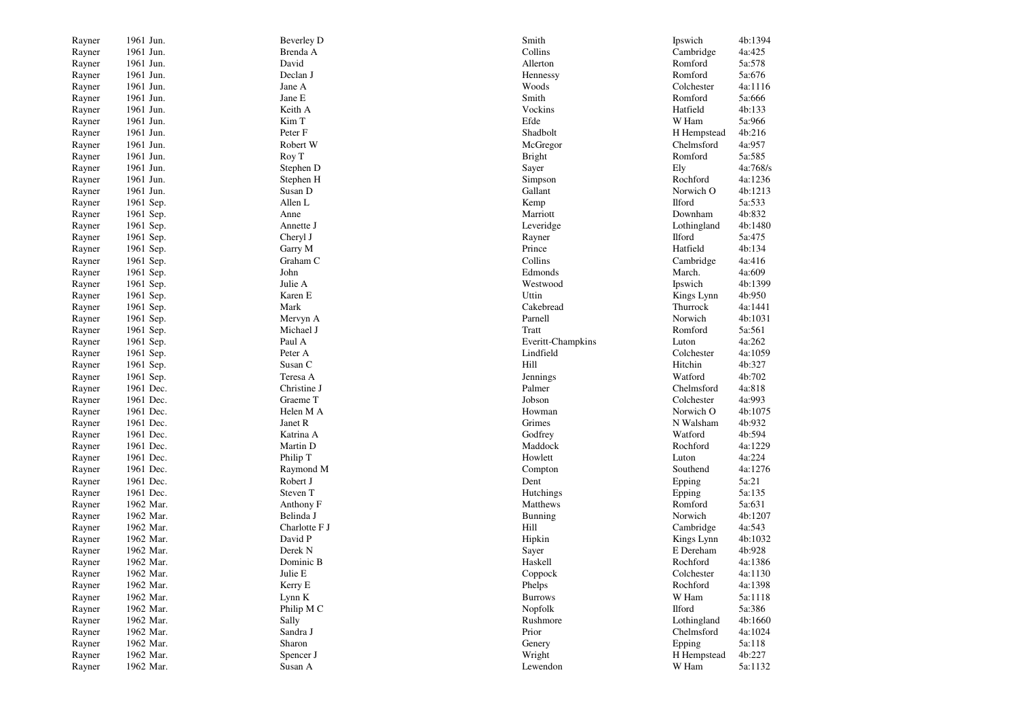| Rayner | 1961 Jun. | <b>Beverley D</b> | Smith             | Ipswich       | 4b:1394  |
|--------|-----------|-------------------|-------------------|---------------|----------|
| Rayner | 1961 Jun. | Brenda A          | Collins           | Cambridge     | 4a:425   |
| Rayner | 1961 Jun. | David             | Allerton          | Romford       | 5a:578   |
| Rayner | 1961 Jun. | Declan J          | Hennessy          | Romford       | 5a:676   |
| Rayner | 1961 Jun. | Jane A            | Woods             | Colchester    | 4a:1116  |
| Rayner | 1961 Jun. | Jane E            | Smith             | Romford       | 5a:666   |
| Rayner | 1961 Jun. | Keith A           | Vockins           | Hatfield      | 4b:133   |
| Rayner | 1961 Jun. | Kim T             | Efde              | W Ham         | 5a:966   |
| Rayner | 1961 Jun. | Peter F           | Shadbolt          | H Hempstead   | 4b:216   |
| Rayner | 1961 Jun. | Robert W          | McGregor          | Chelmsford    | 4a:957   |
| Rayner | 1961 Jun. | Roy T             | <b>Bright</b>     | Romford       | 5a:585   |
| Rayner | 1961 Jun. | Stephen D         | Sayer             | Ely           | 4a:768/s |
| Rayner | 1961 Jun. | Stephen H         | Simpson           | Rochford      | 4a:1236  |
| Rayner | 1961 Jun. | Susan D           | Gallant           | Norwich O     | 4b:1213  |
| Rayner | 1961 Sep. | Allen L           | Kemp              | <b>Ilford</b> | 5a:533   |
| Rayner | 1961 Sep. | Anne              | Marriott          | Downham       | 4b:832   |
| Rayner | 1961 Sep. | Annette J         | Leveridge         | Lothingland   | 4b:1480  |
| Rayner | 1961 Sep. | Cheryl J          | Rayner            | Ilford        | 5a:475   |
| Rayner | 1961 Sep. | Garry M           | Prince            | Hatfield      | 4b:134   |
| Rayner | 1961 Sep. | Graham C          | Collins           | Cambridge     | 4a:416   |
| Rayner | 1961 Sep. | John              | Edmonds           | March.        | 4a:609   |
| Rayner | 1961 Sep. | Julie A           | Westwood          | Ipswich       | 4b:1399  |
| Rayner | 1961 Sep. | Karen E           | Uttin             | Kings Lynn    | 4b:950   |
| Rayner | 1961 Sep. | Mark              | Cakebread         | Thurrock      | 4a:1441  |
| Rayner | 1961 Sep. | Mervyn A          | Parnell           | Norwich       | 4b:1031  |
| Rayner | 1961 Sep. | Michael J         | Tratt             | Romford       | 5a:561   |
| Rayner | 1961 Sep. | Paul A            | Everitt-Champkins | Luton         | 4a:262   |
| Rayner | 1961 Sep. | Peter A           | Lindfield         | Colchester    | 4a:1059  |
| Rayner | 1961 Sep. | Susan C           | Hill              | Hitchin       | 4b:327   |
| Rayner | 1961 Sep. | Teresa A          | Jennings          | Watford       | 4b:702   |
| Rayner | 1961 Dec. | Christine J       | Palmer            | Chelmsford    | 4a:818   |
| Rayner | 1961 Dec. | Graeme T          | Jobson            | Colchester    | 4a:993   |
| Rayner | 1961 Dec. | Helen M A         | Howman            | Norwich O     | 4b:1075  |
| Rayner | 1961 Dec. | Janet R           | Grimes            | N Walsham     | 4b:932   |
| Rayner | 1961 Dec. | Katrina A         | Godfrey           | Watford       | 4b:594   |
| Rayner | 1961 Dec. | Martin D          | Maddock           | Rochford      | 4a:1229  |
| Rayner | 1961 Dec. | Philip T          | Howlett           | Luton         | 4a:224   |
| Rayner | 1961 Dec. | Raymond M         | Compton           | Southend      | 4a:1276  |
| Rayner | 1961 Dec. | Robert J          | Dent              | Epping        | 5a:21    |
| Rayner | 1961 Dec. | Steven T          | Hutchings         | Epping        | 5a:135   |
| Rayner | 1962 Mar. | Anthony F         | Matthews          | Romford       | 5a:631   |
| Rayner | 1962 Mar. | Belinda J         | Bunning           | Norwich       | 4b:1207  |
| Rayner | 1962 Mar. | Charlotte F J     | Hill              | Cambridge     | 4a:543   |
| Rayner | 1962 Mar. | David P           | Hipkin            | Kings Lynn    | 4b:1032  |
| Rayner | 1962 Mar. | Derek N           | Sayer             | E Dereham     | 4b:928   |
| Rayner | 1962 Mar. | Dominic B         | Haskell           | Rochford      | 4a:1386  |
| Rayner | 1962 Mar. | Julie E           | Coppock           | Colchester    | 4a:1130  |
| Rayner | 1962 Mar. | Kerry E           | Phelps            | Rochford      | 4a:1398  |
| Rayner | 1962 Mar. | Lynn K            | <b>Burrows</b>    | W Ham         | 5a:1118  |
| Rayner | 1962 Mar. | Philip M C        | Nopfolk           | Ilford        | 5a:386   |
| Rayner | 1962 Mar. | Sally             | Rushmore          | Lothingland   | 4b:1660  |
| Rayner | 1962 Mar. | Sandra J          | Prior             | Chelmsford    | 4a:1024  |
| Rayner | 1962 Mar. | Sharon            | Genery            | Epping        | 5a:118   |
| Rayner | 1962 Mar. | Spencer J         | Wright            | H Hempstead   | 4b:227   |
| Rayner | 1962 Mar. | Susan A           | Lewendon          | W Ham         | 5a:1132  |
|        |           |                   |                   |               |          |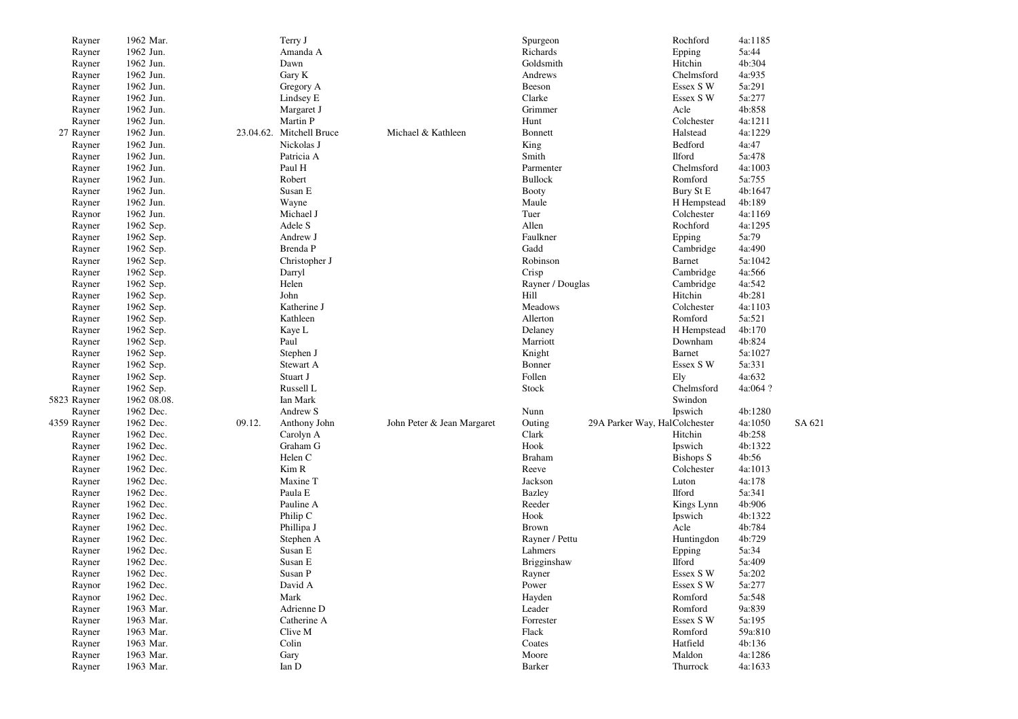| Rayner      | 1962 Mar.              |        | Terry J                  |                            | Spurgeon         |                               | Rochford            | 4a:1185  |        |
|-------------|------------------------|--------|--------------------------|----------------------------|------------------|-------------------------------|---------------------|----------|--------|
| Rayner      | 1962 Jun.              |        | Amanda A                 |                            | Richards         |                               | Epping              | 5a:44    |        |
| Rayner      | 1962 Jun.              |        | Dawn                     |                            | Goldsmith        |                               | Hitchin             | 4b:304   |        |
| Rayner      | 1962 Jun.              |        | Gary K                   |                            | Andrews          |                               | Chelmsford          | 4a:935   |        |
| Rayner      | 1962 Jun.              |        | Gregory A                |                            | Beeson           |                               | Essex S W           | 5a:291   |        |
| Rayner      | 1962 Jun.              |        | Lindsey E                |                            | Clarke           |                               | Essex S W           | 5a:277   |        |
| Rayner      | 1962 Jun.              |        | Margaret J               |                            | Grimmer          |                               | Acle                | 4b:858   |        |
| Rayner      | 1962 Jun.              |        | Martin P                 |                            | Hunt             |                               | Colchester          | 4a:1211  |        |
| 27 Rayner   | 1962 Jun.              |        | 23.04.62. Mitchell Bruce | Michael & Kathleen         | Bonnett          |                               | Halstead            | 4a:1229  |        |
| Rayner      | 1962 Jun.              |        | Nickolas J               |                            | King             |                               | Bedford             | 4a:47    |        |
| Rayner      | 1962 Jun.              |        | Patricia A               |                            | Smith            |                               | <b>Ilford</b>       | 5a:478   |        |
| Rayner      | 1962 Jun.              |        | Paul H                   |                            | Parmenter        |                               | Chelmsford          | 4a:1003  |        |
| Rayner      | 1962 Jun.              |        | Robert                   |                            | <b>Bullock</b>   |                               | Romford             | 5a:755   |        |
| Rayner      | 1962 Jun.              |        | Susan E                  |                            | <b>Booty</b>     |                               | Bury St E           | 4b:1647  |        |
| Rayner      | 1962 Jun.              |        | Wayne                    |                            | Maule            |                               | H Hempstead         | 4b:189   |        |
| Raynor      | 1962 Jun.              |        | Michael J                |                            | Tuer             |                               | Colchester          | 4a:1169  |        |
| Rayner      | 1962 Sep.              |        | Adele S                  |                            | Allen            |                               | Rochford            | 4a:1295  |        |
| Rayner      | 1962 Sep.              |        | Andrew J                 |                            | Faulkner         |                               | Epping              | 5a:79    |        |
| Rayner      | 1962 Sep.              |        | Brenda P                 |                            | Gadd             |                               | Cambridge           | 4a:490   |        |
|             |                        |        |                          |                            | Robinson         |                               |                     | 5a:1042  |        |
| Rayner      | 1962 Sep.              |        | Christopher J            |                            |                  |                               | Barnet<br>Cambridge | 4a:566   |        |
| Rayner      | 1962 Sep.<br>1962 Sep. |        | Darryl                   |                            | Crisp            |                               |                     |          |        |
| Rayner      |                        |        | Helen                    |                            | Rayner / Douglas |                               | Cambridge           | 4a:542   |        |
| Rayner      | 1962 Sep.              |        | John                     |                            | Hill             |                               | Hitchin             | 4b:281   |        |
| Rayner      | 1962 Sep.              |        | Katherine J              |                            | Meadows          |                               | Colchester          | 4a:1103  |        |
| Rayner      | 1962 Sep.              |        | Kathleen                 |                            | Allerton         |                               | Romford             | 5a:521   |        |
| Rayner      | 1962 Sep.              |        | Kaye L                   |                            | Delaney          |                               | H Hempstead         | 4b:170   |        |
| Rayner      | 1962 Sep.              |        | Paul                     |                            | Marriott         |                               | Downham             | 4b:824   |        |
| Rayner      | 1962 Sep.              |        | Stephen J                |                            | Knight           |                               | Barnet              | 5a:1027  |        |
| Rayner      | 1962 Sep.              |        | Stewart A                |                            | Bonner           |                               | Essex S W           | 5a:331   |        |
| Rayner      | 1962 Sep.              |        | Stuart J                 |                            | Follen           |                               | Ely                 | 4a:632   |        |
| Rayner      | 1962 Sep.              |        | Russell L                |                            | Stock            |                               | Chelmsford          | 4a:064 ? |        |
| 5823 Rayner | 1962 08.08.            |        | Ian Mark                 |                            |                  |                               | Swindon             |          |        |
| Rayner      | 1962 Dec.              |        | Andrew S                 |                            | Nunn             |                               | Ipswich             | 4b:1280  |        |
| 4359 Rayner | 1962 Dec.              | 09.12. | Anthony John             | John Peter & Jean Margaret | Outing           | 29A Parker Way, HalColchester |                     | 4a:1050  | SA 621 |
| Rayner      | 1962 Dec.              |        | Carolyn A                |                            | Clark            |                               | Hitchin             | 4b:258   |        |
| Rayner      | 1962 Dec.              |        | Graham G                 |                            | Hook             |                               | Ipswich             | 4b:1322  |        |
| Rayner      | 1962 Dec.              |        | Helen C                  |                            | <b>Braham</b>    |                               | <b>Bishops S</b>    | 4b:56    |        |
| Rayner      | 1962 Dec.              |        | Kim R                    |                            | Reeve            |                               | Colchester          | 4a:1013  |        |
| Rayner      | 1962 Dec.              |        | Maxine T                 |                            | Jackson          |                               | Luton               | 4a:178   |        |
| Rayner      | 1962 Dec.              |        | Paula E                  |                            | <b>Bazley</b>    |                               | <b>Ilford</b>       | 5a:341   |        |
| Rayner      | 1962 Dec.              |        | Pauline A                |                            | Reeder           |                               | Kings Lynn          | 4b:906   |        |
| Rayner      | 1962 Dec.              |        | Philip C                 |                            | Hook             |                               | Ipswich             | 4b:1322  |        |
| Rayner      | 1962 Dec.              |        | Phillipa J               |                            | Brown            |                               | Acle                | 4b:784   |        |
| Rayner      | 1962 Dec.              |        | Stephen A                |                            | Rayner / Pettu   |                               | Huntingdon          | 4b:729   |        |
| Rayner      | 1962 Dec.              |        | Susan E                  |                            | Lahmers          |                               | Epping              | 5a:34    |        |
| Rayner      | 1962 Dec.              |        | Susan E                  |                            | Brigginshaw      |                               | <b>Ilford</b>       | 5a:409   |        |
| Rayner      | 1962 Dec.              |        | Susan P                  |                            | Rayner           |                               | Essex S W           | 5a:202   |        |
| Raynor      | 1962 Dec.              |        | David A                  |                            | Power            |                               | Essex S W           | 5a:277   |        |
| Raynor      | 1962 Dec.              |        | Mark                     |                            | Hayden           |                               | Romford             | 5a:548   |        |
| Rayner      | 1963 Mar.              |        | Adrienne D               |                            | Leader           |                               | Romford             | 9a:839   |        |
| Rayner      | 1963 Mar.              |        | Catherine A              |                            | Forrester        |                               | Essex S W           | 5a:195   |        |
| Rayner      | 1963 Mar.              |        | Clive M                  |                            | Flack            |                               | Romford             | 59a:810  |        |
| Rayner      | 1963 Mar.              |        | Colin                    |                            | Coates           |                               | Hatfield            | 4b:136   |        |
| Rayner      | 1963 Mar.              |        | Gary                     |                            | Moore            |                               | Maldon              | 4a:1286  |        |
|             |                        |        |                          |                            |                  |                               | Thurrock            |          |        |
| Rayner      | 1963 Mar.              |        | Ian D                    |                            | Barker           |                               |                     | 4a:1633  |        |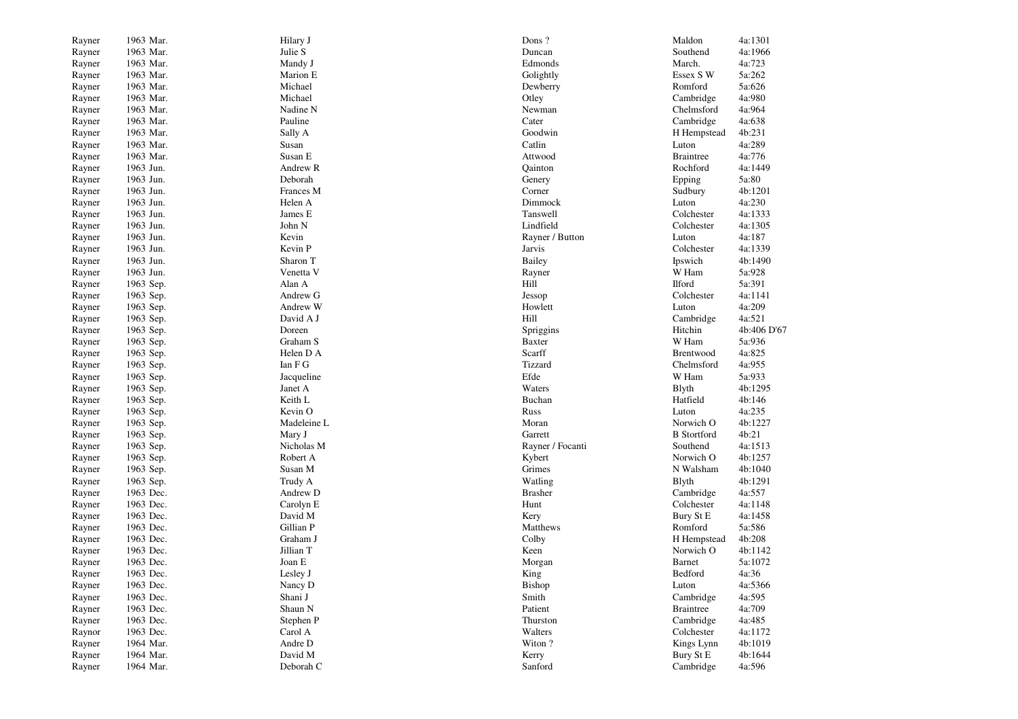| Rayner | 1963 Mar. | Hilary J    | Dons?                      | Maldon             | 4a:1301          |
|--------|-----------|-------------|----------------------------|--------------------|------------------|
| Rayner | 1963 Mar. | Julie S     | Duncan                     | Southend           | 4a:1966          |
| Rayner | 1963 Mar. | Mandy J     | Edmonds                    | March.             | 4a:723           |
| Rayner | 1963 Mar. | Marion E    | Golightly                  | Essex S W          | 5a:262           |
| Rayner | 1963 Mar. | Michael     | Dewberry                   | Romford            | 5a:626           |
| Rayner | 1963 Mar. | Michael     | Otley                      | Cambridge          | 4a:980           |
| Rayner | 1963 Mar. | Nadine N    | Newman                     | Chelmsford         | 4a:964           |
| Rayner | 1963 Mar. | Pauline     | Cater                      | Cambridge          | 4a:638           |
| Rayner | 1963 Mar. | Sally A     | Goodwin                    | H Hempstead        | 4b:231           |
| Rayner | 1963 Mar. | Susan       | Catlin                     | Luton              | 4a:289           |
| Rayner | 1963 Mar. | Susan E     | Attwood                    | <b>Braintree</b>   | 4a:776           |
| Rayner | 1963 Jun. | Andrew R    | Oainton                    | Rochford           | 4a:1449          |
| Rayner | 1963 Jun. | Deborah     | Genery                     | Epping             | 5a:80            |
| Rayner | 1963 Jun. | Frances M   | Corner                     | Sudbury            | 4b:1201          |
| Rayner | 1963 Jun. | Helen A     | Dimmock                    | Luton              | 4a:230           |
| Rayner | 1963 Jun. | James E     | Tanswell                   | Colchester         | 4a:1333          |
| Rayner | 1963 Jun. | John N      | Lindfield                  | Colchester         | 4a:1305          |
| Rayner | 1963 Jun. | Kevin       | Rayner / Button            | Luton              | 4a:187           |
| Rayner | 1963 Jun. | Kevin P     | Jarvis                     | Colchester         | 4a:1339          |
| Rayner | 1963 Jun. | Sharon T    | Bailey                     | Ipswich            | 4b:1490          |
| Rayner | 1963 Jun. | Venetta V   | Rayner                     | W Ham              | 5a:928           |
| Rayner | 1963 Sep. | Alan A      | Hill                       | <b>Ilford</b>      | 5a:391           |
| Rayner | 1963 Sep. | Andrew G    | Jessop                     | Colchester         | 4a:1141          |
| Rayner | 1963 Sep. | Andrew W    | Howlett                    | Luton              | 4a:209           |
|        | 1963 Sep. | David A J   | Hill                       | Cambridge          | 4a:521           |
| Rayner | 1963 Sep. | Doreen      |                            | Hitchin            | 4b:406 D'67      |
| Rayner | 1963 Sep. | Graham S    | Spriggins<br><b>Baxter</b> | W Ham              | 5a:936           |
| Rayner | 1963 Sep. | Helen D A   | Scarff                     | Brentwood          | 4a:825           |
| Rayner |           | Ian F G     | Tizzard                    | Chelmsford         |                  |
| Rayner | 1963 Sep. |             | Efde                       |                    | 4a:955<br>5a:933 |
| Rayner | 1963 Sep. | Jacqueline  | Waters                     | W Ham              |                  |
| Rayner | 1963 Sep. | Janet A     |                            | Blyth              | 4b:1295          |
| Rayner | 1963 Sep. | Keith L     | Buchan                     | Hatfield           | 4b:146           |
| Rayner | 1963 Sep. | Kevin O     | Russ                       | Luton              | 4a:235           |
| Rayner | 1963 Sep. | Madeleine L | Moran                      | Norwich O          | 4b:1227          |
| Rayner | 1963 Sep. | Mary J      | Garrett                    | <b>B</b> Stortford | 4b:21            |
| Rayner | 1963 Sep. | Nicholas M  | Rayner / Focanti           | Southend           | 4a:1513          |
| Rayner | 1963 Sep. | Robert A    | Kybert                     | Norwich O          | 4b:1257          |
| Rayner | 1963 Sep. | Susan M     | Grimes                     | N Walsham          | 4b:1040          |
| Rayner | 1963 Sep. | Trudy A     | Watling                    | <b>B</b> lyth      | 4b:1291          |
| Rayner | 1963 Dec. | Andrew D    | <b>Brasher</b>             | Cambridge          | 4a:557           |
| Rayner | 1963 Dec. | Carolyn E   | Hunt                       | Colchester         | 4a:1148          |
| Rayner | 1963 Dec. | David M     | Kery                       | Bury St E          | 4a:1458          |
| Rayner | 1963 Dec. | Gillian P   | Matthews                   | Romford            | 5a:586           |
| Rayner | 1963 Dec. | Graham J    | Colby                      | H Hempstead        | 4b:208           |
| Rayner | 1963 Dec. | Jillian T   | Keen                       | Norwich O          | 4b:1142          |
| Rayner | 1963 Dec. | Joan E      | Morgan                     | Barnet             | 5a:1072          |
| Rayner | 1963 Dec. | Lesley J    | King                       | Bedford            | 4a:36            |
| Rayner | 1963 Dec. | Nancy D     | Bishop                     | Luton              | 4a:5366          |
| Rayner | 1963 Dec. | Shani J     | Smith                      | Cambridge          | 4a:595           |
| Rayner | 1963 Dec. | Shaun N     | Patient                    | <b>Braintree</b>   | 4a:709           |
| Rayner | 1963 Dec. | Stephen P   | Thurston                   | Cambridge          | 4a:485           |
| Raynor | 1963 Dec. | Carol A     | Walters                    | Colchester         | 4a:1172          |
| Rayner | 1964 Mar. | Andre D     | Witon?                     | Kings Lynn         | 4b:1019          |
| Rayner | 1964 Mar. | David M     | Kerry                      | Bury St E          | 4b:1644          |
| Rayner | 1964 Mar. | Deborah C   | Sanford                    | Cambridge          | 4a:596           |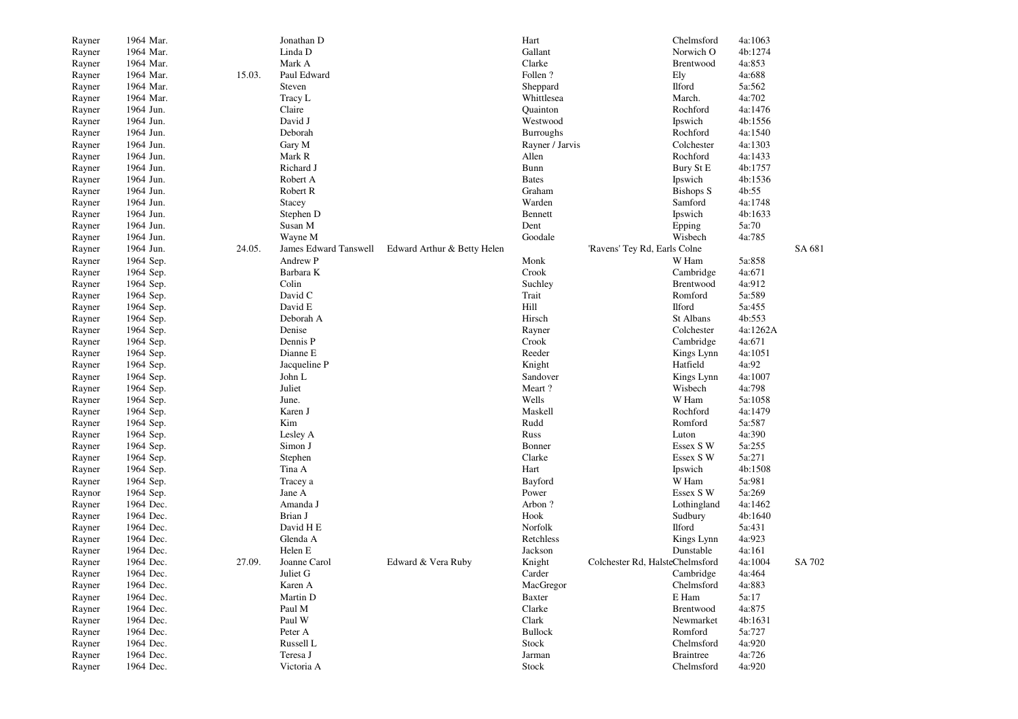| Rayner           | 1964 Mar. |        | Jonathan D            |                             | Hart             |                                 | Chelmsford       | 4a:1063           |        |
|------------------|-----------|--------|-----------------------|-----------------------------|------------------|---------------------------------|------------------|-------------------|--------|
| Rayner           | 1964 Mar. |        | Linda D               |                             | Gallant          |                                 | Norwich O        | 4b:1274           |        |
| Rayner           | 1964 Mar. |        | Mark A                |                             | Clarke           |                                 | Brentwood        | 4a:853            |        |
| Rayner           | 1964 Mar. | 15.03. | Paul Edward           |                             | Follen?          |                                 | Ely              | 4a:688            |        |
| Rayner           | 1964 Mar. |        | Steven                |                             | Sheppard         |                                 | Ilford           | 5a:562            |        |
| Rayner           | 1964 Mar. |        | Tracy L               |                             | Whittlesea       |                                 | March.           | 4a:702            |        |
| Rayner           | 1964 Jun. |        | Claire                |                             | Quainton         |                                 | Rochford         | 4a:1476           |        |
| Rayner           | 1964 Jun. |        | David J               |                             | Westwood         |                                 | Ipswich          | 4b:1556           |        |
| Rayner           | 1964 Jun. |        | Deborah               |                             | <b>Burroughs</b> |                                 | Rochford         | 4a:1540           |        |
| Rayner           | 1964 Jun. |        | Gary M                |                             | Rayner / Jarvis  |                                 | Colchester       | 4a:1303           |        |
| Rayner           | 1964 Jun. |        | Mark R                |                             | Allen            |                                 | Rochford         | 4a:1433           |        |
| Rayner           | 1964 Jun. |        | Richard J             |                             | Bunn             |                                 | Bury St E        | 4b:1757           |        |
| Rayner           | 1964 Jun. |        | Robert A              |                             | <b>Bates</b>     |                                 | Ipswich          | 4b:1536           |        |
| Rayner           | 1964 Jun. |        | Robert R              |                             | Graham           |                                 | <b>Bishops S</b> | 4b:55             |        |
| Rayner           | 1964 Jun. |        | Stacey                |                             | Warden           |                                 | Samford          | 4a:1748           |        |
| Rayner           | 1964 Jun. |        | Stephen D             |                             | Bennett          |                                 | Ipswich          | 4b:1633           |        |
| Rayner           | 1964 Jun. |        | Susan M               |                             | Dent             |                                 | Epping           | 5a:70             |        |
| Rayner           | 1964 Jun. |        | Wayne M               |                             | Goodale          |                                 | Wisbech          | 4a:785            |        |
| Rayner           | 1964 Jun. | 24.05. | James Edward Tanswell | Edward Arthur & Betty Helen |                  | 'Ravens' Tey Rd, Earls Colne    |                  |                   | SA 681 |
| Rayner           | 1964 Sep. |        | Andrew P              |                             | Monk             |                                 | W Ham            | 5a:858            |        |
| Rayner           | 1964 Sep. |        | Barbara K             |                             | Crook            |                                 | Cambridge        | 4a:671            |        |
| Rayner           | 1964 Sep. |        | Colin                 |                             | Suchley          |                                 | Brentwood        | 4a:912            |        |
| Rayner           | 1964 Sep. |        | David C               |                             | Trait            |                                 | Romford          | 5a:589            |        |
| Rayner           | 1964 Sep. |        | David E               |                             | Hill             |                                 | <b>Ilford</b>    | 5a:455            |        |
| Rayner           | 1964 Sep. |        | Deborah A             |                             | Hirsch           |                                 | St Albans        | 4b:553            |        |
| Rayner           | 1964 Sep. |        | Denise                |                             | Rayner           |                                 | Colchester       | 4a:1262A          |        |
| Rayner           | 1964 Sep. |        | Dennis P              |                             | Crook            |                                 | Cambridge        | 4a:671            |        |
| Rayner           | 1964 Sep. |        | Dianne E              |                             | Reeder           |                                 | Kings Lynn       | 4a:1051           |        |
| Rayner           | 1964 Sep. |        | Jacqueline P          |                             | Knight           |                                 | Hatfield         | 4a:92             |        |
| Rayner           | 1964 Sep. |        | John L                |                             | Sandover         |                                 | Kings Lynn       | 4a:1007           |        |
| Rayner           | 1964 Sep. |        | Juliet                |                             | Meart?           |                                 | Wisbech          | 4a:798            |        |
|                  | 1964 Sep. |        | June.                 |                             | Wells            |                                 | W Ham            | 5a:1058           |        |
| Rayner<br>Rayner | 1964 Sep. |        | Karen J               |                             | Maskell          |                                 | Rochford         | 4a:1479           |        |
|                  | 1964 Sep. |        | Kim                   |                             | Rudd             |                                 | Romford          | 5a:587            |        |
| Rayner           | 1964 Sep. |        | Lesley A              |                             | Russ             |                                 | Luton            | 4a:390            |        |
| Rayner           | 1964 Sep. |        | Simon J               |                             | Bonner           |                                 | Essex S W        | 5a:255            |        |
| Rayner           |           |        |                       |                             | Clarke           |                                 | Essex S W        | 5a:271            |        |
| Rayner           | 1964 Sep. |        | Stephen               |                             | Hart             |                                 |                  |                   |        |
| Rayner           | 1964 Sep. |        | Tina A                |                             |                  |                                 | Ipswich<br>W Ham | 4b:1508<br>5a:981 |        |
| Rayner           | 1964 Sep. |        | Tracey a              |                             | Bayford          |                                 |                  |                   |        |
| Raynor           | 1964 Sep. |        | Jane A                |                             | Power<br>Arbon?  |                                 | Essex S W        | 5a:269            |        |
| Rayner           | 1964 Dec. |        | Amanda J              |                             |                  |                                 | Lothingland      | 4a:1462           |        |
| Rayner           | 1964 Dec. |        | Brian J               |                             | Hook             |                                 | Sudbury          | 4b:1640           |        |
| Rayner           | 1964 Dec. |        | David H E             |                             | Norfolk          |                                 | Ilford           | 5a:431            |        |
| Rayner           | 1964 Dec. |        | Glenda A              |                             | Retchless        |                                 | Kings Lynn       | 4a:923            |        |
| Rayner           | 1964 Dec. |        | Helen E               |                             | Jackson          |                                 | Dunstable        | 4a:161            |        |
| Rayner           | 1964 Dec. | 27.09. | Joanne Carol          | Edward & Vera Ruby          | Knight           | Colchester Rd, HalsteChelmsford |                  | 4a:1004           | SA 702 |
| Rayner           | 1964 Dec. |        | Juliet G              |                             | Carder           |                                 | Cambridge        | 4a:464            |        |
| Rayner           | 1964 Dec. |        | Karen A               |                             | MacGregor        |                                 | Chelmsford       | 4a:883            |        |
| Rayner           | 1964 Dec. |        | Martin D              |                             | Baxter           |                                 | E Ham            | 5a:17             |        |
| Rayner           | 1964 Dec. |        | Paul M                |                             | Clarke           |                                 | Brentwood        | 4a:875            |        |
| Rayner           | 1964 Dec. |        | Paul W                |                             | Clark            |                                 | Newmarket        | 4b:1631           |        |
| Rayner           | 1964 Dec. |        | Peter A               |                             | <b>Bullock</b>   |                                 | Romford          | 5a:727            |        |
| Rayner           | 1964 Dec. |        | Russell L             |                             | Stock            |                                 | Chelmsford       | 4a:920            |        |
| Rayner           | 1964 Dec. |        | Teresa J              |                             | Jarman           |                                 | <b>Braintree</b> | 4a:726            |        |
| Rayner           | 1964 Dec. |        | Victoria A            |                             | Stock            |                                 | Chelmsford       | 4a:920            |        |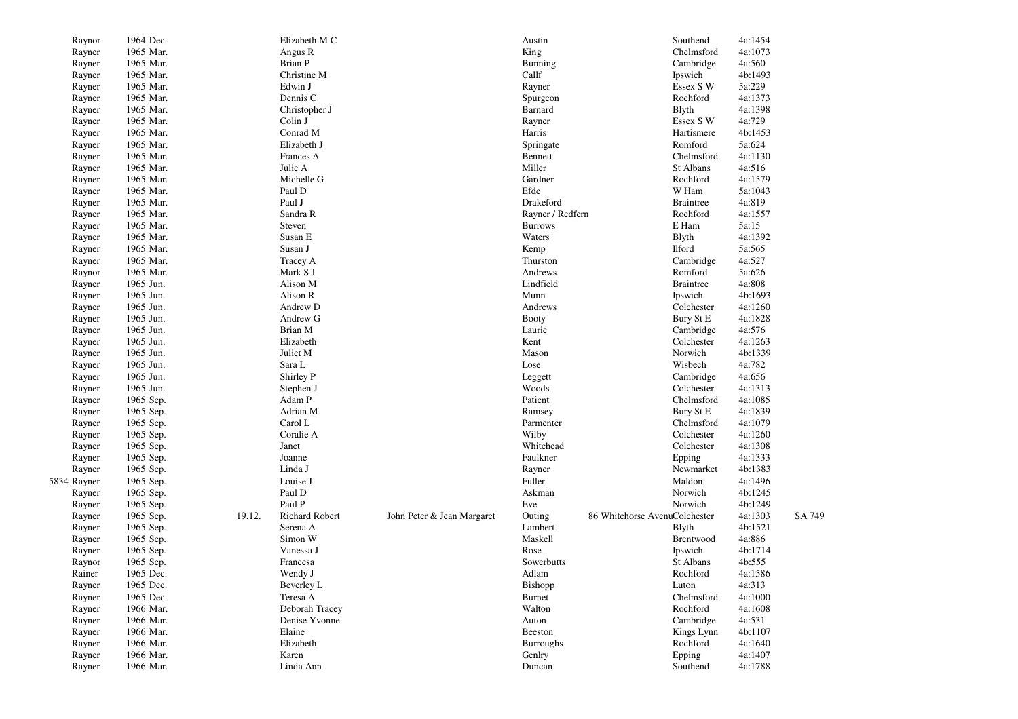| Raynor           | 1964 Dec. |        | Elizabeth M C         |                            | Austin           |                               | Southend             | 4a:1454 |        |
|------------------|-----------|--------|-----------------------|----------------------------|------------------|-------------------------------|----------------------|---------|--------|
| Rayner           | 1965 Mar. |        | Angus R               |                            | King             |                               | Chelmsford           | 4a:1073 |        |
| Rayner           | 1965 Mar. |        | Brian P               |                            | Bunning          |                               | Cambridge            | 4a:560  |        |
| Rayner           | 1965 Mar. |        | Christine M           |                            | Callf            |                               | Ipswich              | 4b:1493 |        |
| Rayner           | 1965 Mar. |        | Edwin J               |                            | Rayner           |                               | Essex S W            | 5a:229  |        |
| Rayner           | 1965 Mar. |        | Dennis C              |                            | Spurgeon         |                               | Rochford             | 4a:1373 |        |
| Rayner           | 1965 Mar. |        | Christopher J         |                            | Barnard          |                               | <b>B</b> lyth        | 4a:1398 |        |
| Rayner           | 1965 Mar. |        | Colin J               |                            | Rayner           |                               | Essex S W            | 4a:729  |        |
| Rayner           | 1965 Mar. |        | Conrad M              |                            | Harris           |                               | Hartismere           | 4b:1453 |        |
| Rayner           | 1965 Mar. |        | Elizabeth J           |                            | Springate        |                               | Romford              | 5a:624  |        |
| Rayner           | 1965 Mar. |        | Frances A             |                            | Bennett          |                               | Chelmsford           | 4a:1130 |        |
| Rayner           | 1965 Mar. |        | Julie A               |                            | Miller           |                               | St Albans            | 4a:516  |        |
| Rayner           | 1965 Mar. |        | Michelle G            |                            | Gardner          |                               | Rochford             | 4a:1579 |        |
| Rayner           | 1965 Mar. |        | Paul D                |                            | Efde             |                               | W Ham                | 5a:1043 |        |
| Rayner           | 1965 Mar. |        | Paul J                |                            | Drakeford        |                               | <b>Braintree</b>     | 4a:819  |        |
| Rayner           | 1965 Mar. |        | Sandra R              |                            | Rayner / Redfern |                               | Rochford             | 4a:1557 |        |
| Rayner           | 1965 Mar. |        | Steven                |                            | <b>Burrows</b>   |                               | E Ham                | 5a:15   |        |
| Rayner           | 1965 Mar. |        | Susan E               |                            | Waters           |                               | Blyth                | 4a:1392 |        |
| Rayner           | 1965 Mar. |        | Susan J               |                            | Kemp             |                               | Ilford               | 5a:565  |        |
| Rayner           | 1965 Mar. |        | Tracey A              |                            | Thurston         |                               | Cambridge            | 4a:527  |        |
| Raynor           | 1965 Mar. |        | Mark S J              |                            | Andrews          |                               | Romford              | 5a:626  |        |
| Rayner           | 1965 Jun. |        | Alison M              |                            | Lindfield        |                               | <b>Braintree</b>     | 4a:808  |        |
| Rayner           | 1965 Jun. |        | Alison R              |                            | Munn             |                               | Ipswich              | 4b:1693 |        |
| Rayner           | 1965 Jun. |        | Andrew D              |                            | Andrews          |                               | Colchester           | 4a:1260 |        |
| Rayner           | 1965 Jun. |        | Andrew G              |                            | <b>Booty</b>     |                               | Bury St E            | 4a:1828 |        |
| Rayner           | 1965 Jun. |        | Brian M               |                            | Laurie           |                               | Cambridge            | 4a:576  |        |
| Rayner           | 1965 Jun. |        | Elizabeth             |                            | Kent             |                               | Colchester           | 4a:1263 |        |
| Rayner           | 1965 Jun. |        | Juliet M              |                            | Mason            |                               | Norwich              | 4b:1339 |        |
| Rayner           | 1965 Jun. |        | Sara L                |                            | Lose             |                               | Wisbech              | 4a:782  |        |
| Rayner           | 1965 Jun. |        | Shirley P             |                            | Leggett          |                               | Cambridge            | 4a:656  |        |
| Rayner           | 1965 Jun. |        | Stephen J             |                            | Woods            |                               | Colchester           | 4a:1313 |        |
| Rayner           | 1965 Sep. |        | Adam P                |                            | Patient          |                               | Chelmsford           | 4a:1085 |        |
| Rayner           | 1965 Sep. |        | Adrian M              |                            | Ramsey           |                               | Bury St E            | 4a:1839 |        |
| Rayner           | 1965 Sep. |        | Carol L               |                            | Parmenter        |                               | Chelmsford           | 4a:1079 |        |
| Rayner           | 1965 Sep. |        | Coralie A             |                            | Wilby            |                               | Colchester           | 4a:1260 |        |
| Rayner           | 1965 Sep. |        | Janet                 |                            | Whitehead        |                               | Colchester           | 4a:1308 |        |
| Rayner           | 1965 Sep. |        | Joanne                |                            | Faulkner         |                               | Epping               | 4a:1333 |        |
| Rayner           | 1965 Sep. |        | Linda J               |                            | Rayner           |                               | Newmarket            | 4b:1383 |        |
| 5834 Rayner      | 1965 Sep. |        | Louise J              |                            | Fuller           |                               | Maldon               | 4a:1496 |        |
|                  | 1965 Sep. |        | Paul D                |                            | Askman           |                               | Norwich              | 4b:1245 |        |
| Rayner<br>Rayner | 1965 Sep. |        | Paul P                |                            | Eve              |                               | Norwich              | 4b:1249 |        |
| Rayner           | 1965 Sep. | 19.12. | <b>Richard Robert</b> | John Peter & Jean Margaret | Outing           | 86 Whitehorse AvenuColchester |                      | 4a:1303 | SA 749 |
| Rayner           | 1965 Sep. |        | Serena A              |                            | Lambert          |                               | <b>B</b> lyth        | 4b:1521 |        |
| Rayner           | 1965 Sep. |        | Simon W               |                            | Maskell          |                               | Brentwood            | 4a:886  |        |
|                  |           |        | Vanessa J             |                            | Rose             |                               |                      | 4b:1714 |        |
| Rayner           | 1965 Sep. |        |                       |                            | Sowerbutts       |                               | Ipswich<br>St Albans | 4b:555  |        |
| Raynor           | 1965 Sep. |        | Francesa              |                            |                  |                               | Rochford             |         |        |
| Rainer           | 1965 Dec. |        | Wendy J               |                            | Adlam            |                               |                      | 4a:1586 |        |
| Rayner           | 1965 Dec. |        | Beverley L            |                            | Bishopp          |                               | Luton                | 4a:313  |        |
| Rayner           | 1965 Dec. |        | Teresa A              |                            | Burnet           |                               | Chelmsford           | 4a:1000 |        |
| Rayner           | 1966 Mar. |        | Deborah Tracey        |                            | Walton           |                               | Rochford             | 4a:1608 |        |
| Rayner           | 1966 Mar. |        | Denise Yvonne         |                            | Auton            |                               | Cambridge            | 4a:531  |        |
| Rayner           | 1966 Mar. |        | Elaine                |                            | Beeston          |                               | Kings Lynn           | 4b:1107 |        |
| Rayner           | 1966 Mar. |        | Elizabeth             |                            | <b>Burroughs</b> |                               | Rochford             | 4a:1640 |        |
| Rayner           | 1966 Mar. |        | Karen                 |                            | Genlry           |                               | Epping               | 4a:1407 |        |
| Rayner           | 1966 Mar. |        | Linda Ann             |                            | Duncan           |                               | Southend             | 4a:1788 |        |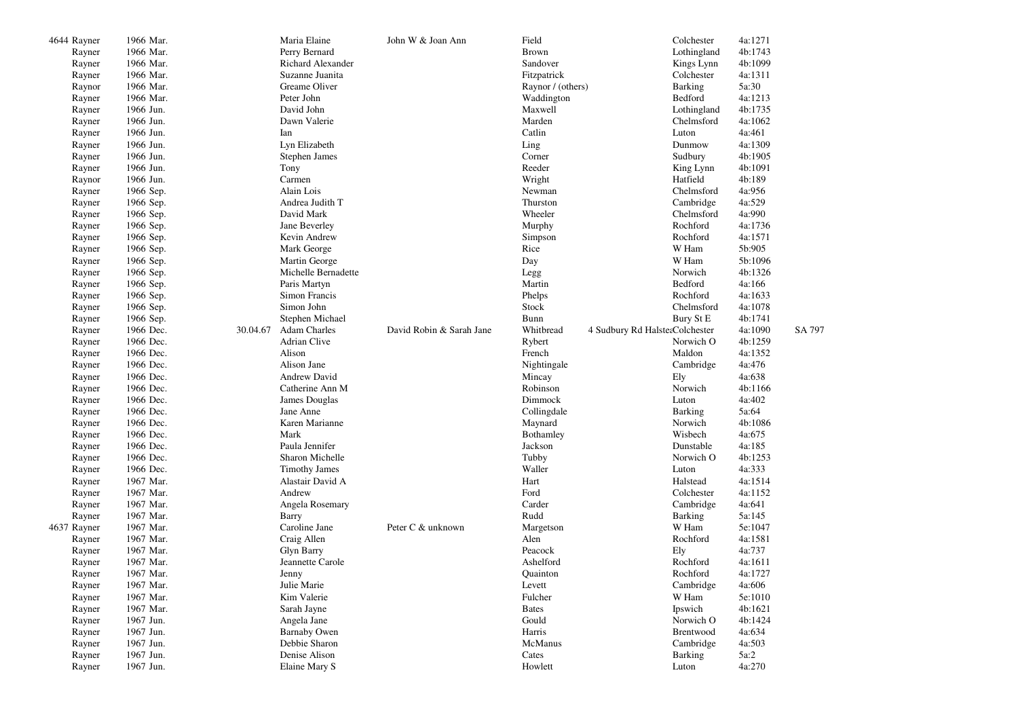| 4644 Rayner | 1966 Mar. |          | Maria Elaine         | John W & Joan Ann        | Field             |                                | Colchester     | 4a:1271 |        |
|-------------|-----------|----------|----------------------|--------------------------|-------------------|--------------------------------|----------------|---------|--------|
| Rayner      | 1966 Mar. |          | Perry Bernard        |                          | <b>Brown</b>      |                                | Lothingland    | 4b:1743 |        |
| Rayner      | 1966 Mar. |          | Richard Alexander    |                          | Sandover          |                                | Kings Lynn     | 4b:1099 |        |
| Rayner      | 1966 Mar. |          | Suzanne Juanita      |                          | Fitzpatrick       |                                | Colchester     | 4a:1311 |        |
| Raynor      | 1966 Mar. |          | Greame Oliver        |                          | Raynor / (others) |                                | <b>Barking</b> | 5a:30   |        |
| Rayner      | 1966 Mar. |          | Peter John           |                          | Waddington        |                                | Bedford        | 4a:1213 |        |
| Rayner      | 1966 Jun. |          | David John           |                          | Maxwell           |                                | Lothingland    | 4b:1735 |        |
| Rayner      | 1966 Jun. |          | Dawn Valerie         |                          | Marden            |                                | Chelmsford     | 4a:1062 |        |
| Rayner      | 1966 Jun. |          | Ian                  |                          | Catlin            |                                | Luton          | 4a:461  |        |
| Rayner      | 1966 Jun. |          | Lyn Elizabeth        |                          | Ling              |                                | Dunmow         | 4a:1309 |        |
| Rayner      | 1966 Jun. |          | Stephen James        |                          | Corner            |                                | Sudbury        | 4b:1905 |        |
| Rayner      | 1966 Jun. |          | Tony                 |                          | Reeder            |                                | King Lynn      | 4b:1091 |        |
| Raynor      | 1966 Jun. |          | Carmen               |                          | Wright            |                                | Hatfield       | 4b:189  |        |
|             | 1966 Sep. |          | Alain Lois           |                          | Newman            |                                | Chelmsford     | 4a:956  |        |
| Rayner      |           |          | Andrea Judith T      |                          | Thurston          |                                |                | 4a:529  |        |
| Rayner      | 1966 Sep. |          |                      |                          |                   |                                | Cambridge      |         |        |
| Rayner      | 1966 Sep. |          | David Mark           |                          | Wheeler           |                                | Chelmsford     | 4a:990  |        |
| Rayner      | 1966 Sep. |          | Jane Beverley        |                          | Murphy            |                                | Rochford       | 4a:1736 |        |
| Rayner      | 1966 Sep. |          | Kevin Andrew         |                          | Simpson           |                                | Rochford       | 4a:1571 |        |
| Rayner      | 1966 Sep. |          | Mark George          |                          | Rice              |                                | W Ham          | 5b:905  |        |
| Rayner      | 1966 Sep. |          | Martin George        |                          | Day               |                                | W Ham          | 5b:1096 |        |
| Rayner      | 1966 Sep. |          | Michelle Bernadette  |                          | Legg              |                                | Norwich        | 4b:1326 |        |
| Rayner      | 1966 Sep. |          | Paris Martyn         |                          | Martin            |                                | Bedford        | 4a:166  |        |
| Rayner      | 1966 Sep. |          | Simon Francis        |                          | Phelps            |                                | Rochford       | 4a:1633 |        |
| Rayner      | 1966 Sep. |          | Simon John           |                          | Stock             |                                | Chelmsford     | 4a:1078 |        |
| Rayner      | 1966 Sep. |          | Stephen Michael      |                          | Bunn              |                                | Bury St E      | 4b:1741 |        |
| Rayner      | 1966 Dec. | 30.04.67 | <b>Adam Charles</b>  | David Robin & Sarah Jane | Whitbread         | 4 Sudbury Rd HalsterColchester |                | 4a:1090 | SA 797 |
| Rayner      | 1966 Dec. |          | <b>Adrian Clive</b>  |                          | Rybert            |                                | Norwich O      | 4b:1259 |        |
| Rayner      | 1966 Dec. |          | Alison               |                          | French            |                                | Maldon         | 4a:1352 |        |
| Rayner      | 1966 Dec. |          | Alison Jane          |                          | Nightingale       |                                | Cambridge      | 4a:476  |        |
| Rayner      | 1966 Dec. |          | <b>Andrew David</b>  |                          | Mincay            |                                | Ely            | 4a:638  |        |
| Rayner      | 1966 Dec. |          | Catherine Ann M      |                          | Robinson          |                                | Norwich        | 4b:1166 |        |
| Rayner      | 1966 Dec. |          | James Douglas        |                          | Dimmock           |                                | Luton          | 4a:402  |        |
| Rayner      | 1966 Dec. |          | Jane Anne            |                          | Collingdale       |                                | <b>Barking</b> | 5a:64   |        |
| Rayner      | 1966 Dec. |          | Karen Marianne       |                          | Maynard           |                                | Norwich        | 4b:1086 |        |
| Rayner      | 1966 Dec. |          | Mark                 |                          | Bothamley         |                                | Wisbech        | 4a:675  |        |
| Rayner      | 1966 Dec. |          | Paula Jennifer       |                          | Jackson           |                                | Dunstable      | 4a:185  |        |
| Rayner      | 1966 Dec. |          | Sharon Michelle      |                          | Tubby             |                                | Norwich O      | 4b:1253 |        |
| Rayner      | 1966 Dec. |          | <b>Timothy James</b> |                          | Waller            |                                | Luton          | 4a:333  |        |
| Rayner      | 1967 Mar. |          | Alastair David A     |                          | Hart              |                                | Halstead       | 4a:1514 |        |
| Rayner      | 1967 Mar. |          | Andrew               |                          | Ford              |                                | Colchester     | 4a:1152 |        |
| Rayner      | 1967 Mar. |          | Angela Rosemary      |                          | Carder            |                                | Cambridge      | 4a:641  |        |
| Rayner      | 1967 Mar. |          | Barry                |                          | Rudd              |                                | Barking        | 5a:145  |        |
| 4637 Rayner | 1967 Mar. |          | Caroline Jane        | Peter C & unknown        | Margetson         |                                | W Ham          | 5e:1047 |        |
| Rayner      | 1967 Mar. |          | Craig Allen          |                          | Alen              |                                | Rochford       | 4a:1581 |        |
| Rayner      | 1967 Mar. |          | <b>Glyn Barry</b>    |                          | Peacock           |                                | Ely            | 4a:737  |        |
| Rayner      | 1967 Mar. |          | Jeannette Carole     |                          | Ashelford         |                                | Rochford       | 4a:1611 |        |
| Rayner      | 1967 Mar. |          | Jenny                |                          | Quainton          |                                | Rochford       | 4a:1727 |        |
| Rayner      | 1967 Mar. |          | Julie Marie          |                          | Levett            |                                | Cambridge      | 4a:606  |        |
| Rayner      | 1967 Mar. |          | Kim Valerie          |                          | Fulcher           |                                | W Ham          | 5e:1010 |        |
| Rayner      | 1967 Mar. |          | Sarah Jayne          |                          | <b>Bates</b>      |                                | Ipswich        | 4b:1621 |        |
| Rayner      | 1967 Jun. |          | Angela Jane          |                          | Gould             |                                | Norwich O      | 4b:1424 |        |
| Rayner      | 1967 Jun. |          | <b>Barnaby Owen</b>  |                          | Harris            |                                | Brentwood      | 4a:634  |        |
| Rayner      | 1967 Jun. |          | Debbie Sharon        |                          | McManus           |                                | Cambridge      | 4a:503  |        |
| Rayner      | 1967 Jun. |          | Denise Alison        |                          | Cates             |                                | <b>Barking</b> | 5a:2    |        |
|             | 1967 Jun. |          |                      |                          |                   |                                |                | 4a:270  |        |
| Rayner      |           |          | Elaine Mary S        |                          | Howlett           |                                | Luton          |         |        |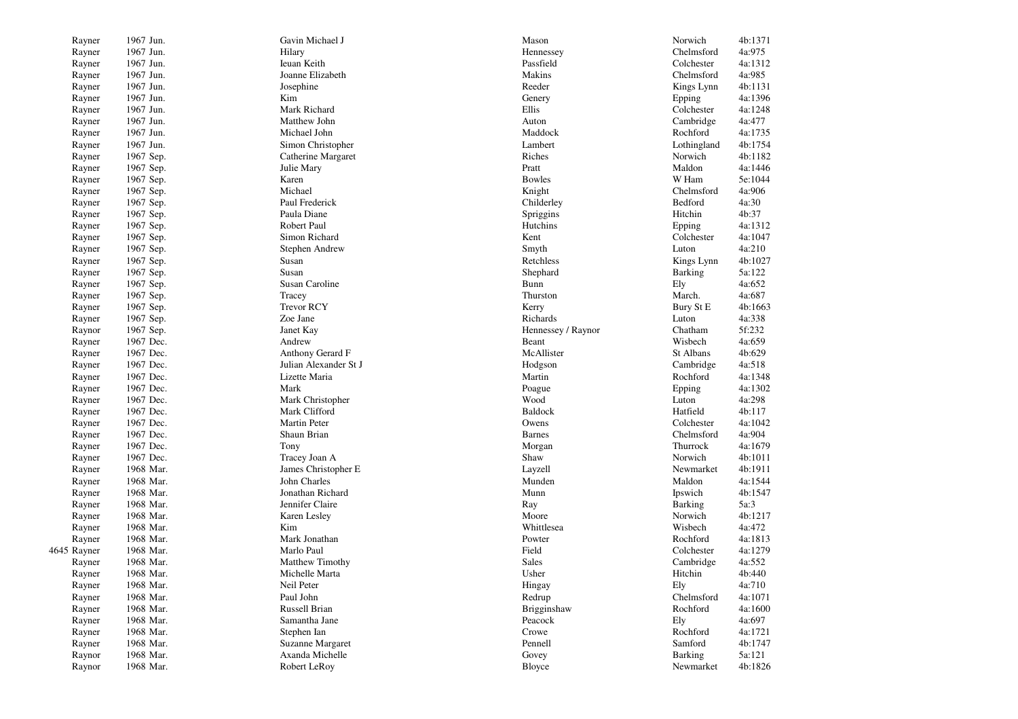| Rayner      | 1967 Jun.              | Gavin Michael J                   | Mason                  | Norwich     | 4b:1371          |
|-------------|------------------------|-----------------------------------|------------------------|-------------|------------------|
| Rayner      | 1967 Jun.              | Hilary                            | Hennessey              | Chelmsford  | 4a:975           |
| Rayner      | 1967 Jun.              | Ieuan Keith                       | Passfield              | Colchester  | 4a:1312          |
| Rayner      | 1967 Jun.              | Joanne Elizabeth                  | Makins                 | Chelmsford  | 4a:985           |
| Rayner      | 1967 Jun.              | Josephine                         | Reeder                 | Kings Lynn  | 4b:1131          |
| Rayner      | 1967 Jun.              | Kim                               | Genery                 | Epping      | 4a:1396          |
| Rayner      | 1967 Jun.              | Mark Richard                      | Ellis                  | Colchester  | 4a:1248          |
| Rayner      | 1967 Jun.              | Matthew John                      | Auton                  | Cambridge   | 4a:477           |
| Rayner      | 1967 Jun.              | Michael John                      | Maddock                | Rochford    | 4a:1735          |
| Rayner      | 1967 Jun.              | Simon Christopher                 | Lambert                | Lothingland | 4b:1754          |
| Rayner      | 1967 Sep.              | Catherine Margaret                | Riches                 | Norwich     | 4b:1182          |
| Rayner      | 1967 Sep.              | Julie Mary                        | Pratt                  | Maldon      | 4a:1446          |
| Rayner      | 1967 Sep.              | Karen                             | <b>Bowles</b>          | W Ham       | 5e:1044          |
| Rayner      | 1967 Sep.              | Michael                           | Knight                 | Chelmsford  | 4a:906           |
| Rayner      | 1967 Sep.              | Paul Frederick                    | Childerley             | Bedford     | 4a:30            |
| Rayner      | 1967 Sep.              | Paula Diane                       | Spriggins              | Hitchin     | 4b:37            |
| Rayner      | 1967 Sep.              | Robert Paul                       | Hutchins               | Epping      | 4a:1312          |
| Rayner      | 1967 Sep.              | Simon Richard                     | Kent                   | Colchester  | 4a:1047          |
| Rayner      | 1967 Sep.              | Stephen Andrew                    | Smyth                  | Luton       | 4a:210           |
| Rayner      | 1967 Sep.              | Susan                             | Retchless              | Kings Lynn  | 4b:1027          |
| Rayner      | 1967 Sep.              | Susan                             | Shephard               | Barking     | 5a:122           |
| Rayner      | 1967 Sep.              | Susan Caroline                    | Bunn                   | Ely         | 4a:652           |
| Rayner      | 1967 Sep.              | Tracey                            | Thurston               | March.      | 4a:687           |
| Rayner      | 1967 Sep.              | <b>Trevor RCY</b>                 | Kerry                  | Bury St E   | 4b:1663          |
| Rayner      | 1967 Sep.              | Zoe Jane                          | Richards               | Luton       | 4a:338           |
| Raynor      | 1967 Sep.              | Janet Kay                         | Hennessey / Raynor     | Chatham     | 5f:232           |
| Rayner      | 1967 Dec.              | Andrew                            | Beant                  | Wisbech     | 4a:659           |
| Rayner      | 1967 Dec.              | Anthony Gerard F                  | McAllister             | St Albans   | 4b:629           |
| Rayner      | 1967 Dec.              | Julian Alexander St J             | Hodgson                | Cambridge   | 4a:518           |
|             | 1967 Dec.              | Lizette Maria                     | Martin                 | Rochford    | 4a:1348          |
| Rayner      | 1967 Dec.              | Mark                              |                        |             | 4a:1302          |
| Rayner      |                        |                                   | Poague                 | Epping      |                  |
| Rayner      | 1967 Dec.<br>1967 Dec. | Mark Christopher<br>Mark Clifford | Wood<br><b>Baldock</b> | Luton       | 4a:298<br>4b:117 |
| Rayner      |                        |                                   |                        | Hatfield    |                  |
| Rayner      | 1967 Dec.              | Martin Peter                      | Owens                  | Colchester  | 4a:1042          |
| Rayner      | 1967 Dec.              | Shaun Brian                       | <b>Barnes</b>          | Chelmsford  | 4a:904           |
| Rayner      | 1967 Dec.              | Tony                              | Morgan                 | Thurrock    | 4a:1679          |
| Rayner      | 1967 Dec.              | Tracey Joan A                     | Shaw                   | Norwich     | 4b:1011          |
| Rayner      | 1968 Mar.              | James Christopher E               | Layzell                | Newmarket   | 4b:1911          |
| Rayner      | 1968 Mar.              | John Charles                      | Munden                 | Maldon      | 4a:1544          |
| Rayner      | 1968 Mar.              | Jonathan Richard                  | Munn                   | Ipswich     | 4b:1547          |
| Rayner      | 1968 Mar.              | Jennifer Claire                   | Ray                    | Barking     | 5a:3             |
| Rayner      | 1968 Mar.              | Karen Lesley                      | Moore                  | Norwich     | 4b:1217          |
| Rayner      | 1968 Mar.              | Kim                               | Whittlesea             | Wisbech     | 4a:472           |
| Rayner      | 1968 Mar.              | Mark Jonathan                     | Powter                 | Rochford    | 4a:1813          |
| 4645 Rayner | 1968 Mar.              | Marlo Paul                        | Field                  | Colchester  | 4a:1279          |
| Rayner      | 1968 Mar.              | Matthew Timothy                   | <b>Sales</b>           | Cambridge   | 4a:552           |
| Rayner      | 1968 Mar.              | Michelle Marta                    | Usher                  | Hitchin     | 4b:440           |
| Rayner      | 1968 Mar.              | Neil Peter                        | Hingay                 | Ely         | 4a:710           |
| Rayner      | 1968 Mar.              | Paul John                         | Redrup                 | Chelmsford  | 4a:1071          |
| Rayner      | 1968 Mar.              | Russell Brian                     | Brigginshaw            | Rochford    | 4a:1600          |
| Rayner      | 1968 Mar.              | Samantha Jane                     | Peacock                | Ely         | 4a:697           |
| Rayner      | 1968 Mar.              | Stephen Ian                       | Crowe                  | Rochford    | 4a:1721          |
| Rayner      | 1968 Mar.              | Suzanne Margaret                  | Pennell                | Samford     | 4b:1747          |
| Raynor      | 1968 Mar.              | Axanda Michelle                   | Govey                  | Barking     | 5a:121           |
| Raynor      | 1968 Mar.              | Robert LeRoy                      | Bloyce                 | Newmarket   | 4b:1826          |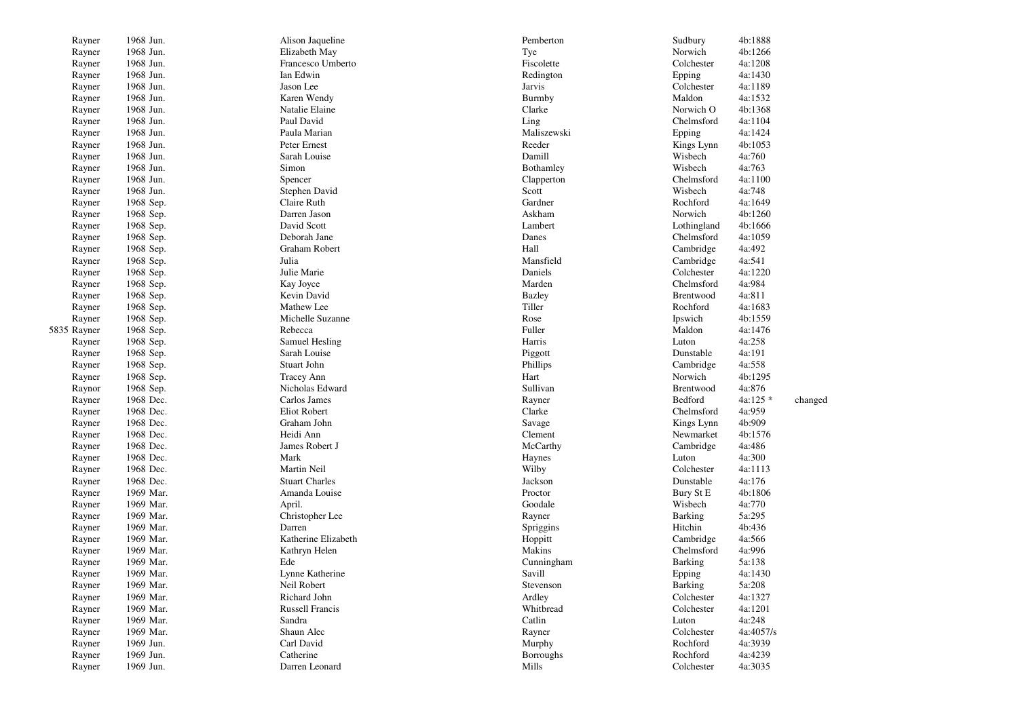| Rayner      | 1968 Jun.              | Alison Jaqueline                     | Pemberton        | Sudbury                | 4b:1888          |         |
|-------------|------------------------|--------------------------------------|------------------|------------------------|------------------|---------|
| Rayner      | 1968 Jun.              | Elizabeth May                        | Tye              | Norwich                | 4b:1266          |         |
| Rayner      | 1968 Jun.              | Francesco Umberto                    | Fiscolette       | Colchester             | 4a:1208          |         |
| Rayner      | 1968 Jun.              | Ian Edwin                            | Redington        | Epping                 | 4a:1430          |         |
| Rayner      | 1968 Jun.              | Jason Lee                            | Jarvis           | Colchester             | 4a:1189          |         |
| Rayner      | 1968 Jun.              | Karen Wendy                          | Burmby           | Maldon                 | 4a:1532          |         |
| Rayner      | 1968 Jun.              | Natalie Elaine                       | Clarke           | Norwich O              | 4b:1368          |         |
| Rayner      | 1968 Jun.              | Paul David                           | Ling             | Chelmsford             | 4a:1104          |         |
| Rayner      | 1968 Jun.              | Paula Marian                         | Maliszewski      | Epping                 | 4a:1424          |         |
| Rayner      | 1968 Jun.              | Peter Ernest                         | Reeder           | Kings Lynn             | 4b:1053          |         |
| Rayner      | 1968 Jun.              | Sarah Louise                         | Damill           | Wisbech                | 4a:760           |         |
| Rayner      | 1968 Jun.              | Simon                                | Bothamley        | Wisbech                | 4a:763           |         |
| Rayner      | 1968 Jun.              | Spencer                              | Clapperton       | Chelmsford             | 4a:1100          |         |
| Rayner      | 1968 Jun.              | Stephen David                        | Scott            | Wisbech                | 4a:748           |         |
| Rayner      | 1968 Sep.              | Claire Ruth                          | Gardner          | Rochford               | 4a:1649          |         |
| Rayner      | 1968 Sep.              | Darren Jason                         | Askham           | Norwich                | 4b:1260          |         |
| Rayner      | 1968 Sep.              | David Scott                          | Lambert          | Lothingland            | 4b:1666          |         |
| Rayner      | 1968 Sep.              | Deborah Jane                         | Danes            | Chelmsford             | 4a:1059          |         |
| Rayner      | 1968 Sep.              | Graham Robert                        | Hall             | Cambridge              | 4a:492           |         |
| Rayner      | 1968 Sep.              | Julia                                | Mansfield        | Cambridge              | 4a:541           |         |
| Rayner      | 1968 Sep.              | Julie Marie                          | Daniels          | Colchester             | 4a:1220          |         |
| Rayner      | 1968 Sep.              | Kay Joyce                            | Marden           | Chelmsford             | 4a:984           |         |
| Rayner      | 1968 Sep.              | Kevin David                          | <b>Bazley</b>    | Brentwood              | 4a:811           |         |
| Rayner      | 1968 Sep.              | Mathew Lee                           | Tiller           | Rochford               | 4a:1683          |         |
| Rayner      | 1968 Sep.              | Michelle Suzanne                     | Rose             | Ipswich                | 4b:1559          |         |
| 5835 Rayner | 1968 Sep.              | Rebecca                              | Fuller           | Maldon                 | 4a:1476          |         |
|             |                        |                                      | Harris           |                        |                  |         |
| Rayner      | 1968 Sep.<br>1968 Sep. | Samuel Hesling<br>Sarah Louise       |                  | Luton                  | 4a:258<br>4a:191 |         |
| Rayner      |                        |                                      | Piggott          | Dunstable<br>Cambridge | 4a:558           |         |
| Rayner      | 1968 Sep.              | Stuart John                          | Phillips         |                        |                  |         |
| Rayner      | 1968 Sep.              | <b>Tracey Ann</b><br>Nicholas Edward | Hart             | Norwich                | 4b:1295          |         |
| Raynor      | 1968 Sep.              |                                      | Sullivan         | Brentwood              | 4a:876           |         |
| Rayner      | 1968 Dec.              | Carlos James                         | Rayner           | Bedford                | 4a:125 *         | changed |
| Rayner      | 1968 Dec.              | Eliot Robert                         | Clarke           | Chelmsford             | 4a:959           |         |
| Rayner      | 1968 Dec.              | Graham John                          | Savage           | Kings Lynn             | 4b:909           |         |
| Rayner      | 1968 Dec.              | Heidi Ann                            | Clement          | Newmarket              | 4b:1576          |         |
| Rayner      | 1968 Dec.              | James Robert J                       | McCarthy         | Cambridge              | 4a:486           |         |
| Rayner      | 1968 Dec.              | Mark                                 | Haynes           | Luton                  | 4a:300           |         |
| Rayner      | 1968 Dec.              | Martin Neil                          | Wilby            | Colchester             | 4a:1113          |         |
| Rayner      | 1968 Dec.              | <b>Stuart Charles</b>                | Jackson          | Dunstable              | 4a:176           |         |
| Rayner      | 1969 Mar.              | Amanda Louise                        | Proctor          | Bury St E              | 4b:1806          |         |
| Rayner      | 1969 Mar.              | April.                               | Goodale          | Wisbech                | 4a:770           |         |
| Rayner      | 1969 Mar.              | Christopher Lee                      | Rayner           | Barking                | 5a:295           |         |
| Rayner      | 1969 Mar.              | Darren                               | Spriggins        | Hitchin                | 4b:436           |         |
| Rayner      | 1969 Mar.              | Katherine Elizabeth                  | Hoppitt          | Cambridge              | 4a:566           |         |
| Rayner      | 1969 Mar.              | Kathryn Helen                        | Makins           | Chelmsford             | 4a:996           |         |
| Rayner      | 1969 Mar.              | Ede                                  | Cunningham       | Barking                | 5a:138           |         |
| Rayner      | 1969 Mar.              | Lynne Katherine                      | Savill           | Epping                 | 4a:1430          |         |
| Rayner      | 1969 Mar.              | Neil Robert                          | Stevenson        | <b>Barking</b>         | 5a:208           |         |
| Rayner      | 1969 Mar.              | Richard John                         | Ardley           | Colchester             | 4a:1327          |         |
| Rayner      | 1969 Mar.              | Russell Francis                      | Whitbread        | Colchester             | 4a:1201          |         |
| Rayner      | 1969 Mar.              | Sandra                               | Catlin           | Luton                  | 4a:248           |         |
| Rayner      | 1969 Mar.              | Shaun Alec                           | Rayner           | Colchester             | 4a:4057/s        |         |
| Rayner      | 1969 Jun.              | Carl David                           | Murphy           | Rochford               | 4a:3939          |         |
| Rayner      | 1969 Jun.              | Catherine                            | <b>Borroughs</b> | Rochford               | 4a:4239          |         |
| Rayner      | 1969 Jun.              | Darren Leonard                       | Mills            | Colchester             | 4a:3035          |         |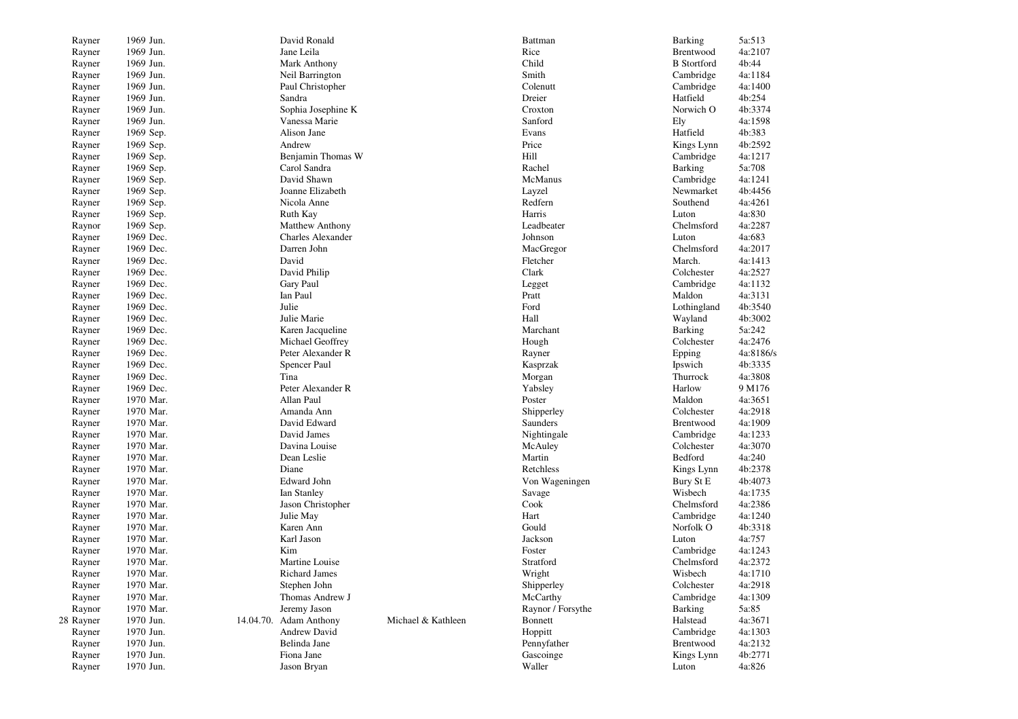| Rayner    | 1969 Jun. | David Ronald             |                    | Battman           | <b>Barking</b>     | 5a:513    |
|-----------|-----------|--------------------------|--------------------|-------------------|--------------------|-----------|
| Rayner    | 1969 Jun. | Jane Leila               |                    | Rice              | Brentwood          | 4a:2107   |
| Rayner    | 1969 Jun. | Mark Anthony             |                    | Child             | <b>B</b> Stortford | 4b:44     |
| Rayner    | 1969 Jun. | Neil Barrington          |                    | Smith             | Cambridge          | 4a:1184   |
| Rayner    | 1969 Jun. | Paul Christopher         |                    | Colenutt          | Cambridge          | 4a:1400   |
| Rayner    | 1969 Jun. | Sandra                   |                    | Dreier            | Hatfield           | 4b:254    |
| Rayner    | 1969 Jun. | Sophia Josephine K       |                    | Croxton           | Norwich O          | 4b:3374   |
| Rayner    | 1969 Jun. | Vanessa Marie            |                    | Sanford           | Ely                | 4a:1598   |
| Rayner    | 1969 Sep. | Alison Jane              |                    | Evans             | Hatfield           | 4b:383    |
| Rayner    | 1969 Sep. | Andrew                   |                    | Price             | Kings Lynn         | 4b:2592   |
| Rayner    | 1969 Sep. | Benjamin Thomas W        |                    | Hill              | Cambridge          | 4a:1217   |
| Rayner    | 1969 Sep. | Carol Sandra             |                    | Rachel            | Barking            | 5a:708    |
| Rayner    | 1969 Sep. | David Shawn              |                    | McManus           | Cambridge          | 4a:1241   |
| Rayner    | 1969 Sep. | Joanne Elizabeth         |                    | Layzel            | Newmarket          | 4b:4456   |
| Rayner    | 1969 Sep. | Nicola Anne              |                    | Redfern           | Southend           | 4a:4261   |
| Rayner    | 1969 Sep. | Ruth Kay                 |                    | Harris            | Luton              | 4a:830    |
| Raynor    | 1969 Sep. | <b>Matthew Anthony</b>   |                    | Leadbeater        | Chelmsford         | 4a:2287   |
| Rayner    | 1969 Dec. | <b>Charles Alexander</b> |                    | Johnson           | Luton              | 4a:683    |
| Rayner    | 1969 Dec. | Darren John              |                    | MacGregor         | Chelmsford         | 4a:2017   |
| Rayner    | 1969 Dec. | David                    |                    | Fletcher          | March.             | 4a:1413   |
| Rayner    | 1969 Dec. | David Philip             |                    | Clark             | Colchester         | 4a:2527   |
| Rayner    | 1969 Dec. | Gary Paul                |                    | Legget            | Cambridge          | 4a:1132   |
| Rayner    | 1969 Dec. | Ian Paul                 |                    | Pratt             | Maldon             | 4a:3131   |
| Rayner    | 1969 Dec. | Julie                    |                    | Ford              | Lothingland        | 4b:3540   |
| Rayner    | 1969 Dec. | Julie Marie              |                    | Hall              | Wayland            | 4b:3002   |
| Rayner    | 1969 Dec. | Karen Jacqueline         |                    | Marchant          | Barking            | 5a:242    |
| Rayner    | 1969 Dec. | Michael Geoffrey         |                    | Hough             | Colchester         | 4a:2476   |
| Rayner    | 1969 Dec. | Peter Alexander R        |                    | Rayner            | Epping             | 4a:8186/s |
| Rayner    | 1969 Dec. | Spencer Paul             |                    | Kasprzak          | Ipswich            | 4b:3335   |
| Rayner    | 1969 Dec. | Tina                     |                    | Morgan            | Thurrock           | 4a:3808   |
| Rayner    | 1969 Dec. | Peter Alexander R        |                    | Yabsley           | Harlow             | 9 M176    |
| Rayner    | 1970 Mar. | Allan Paul               |                    | Poster            | Maldon             | 4a:3651   |
| Rayner    | 1970 Mar. | Amanda Ann               |                    | Shipperley        | Colchester         | 4a:2918   |
| Rayner    | 1970 Mar. | David Edward             |                    | Saunders          | Brentwood          | 4a:1909   |
| Rayner    | 1970 Mar. | David James              |                    | Nightingale       | Cambridge          | 4a:1233   |
| Rayner    | 1970 Mar. | Davina Louise            |                    | McAuley           | Colchester         | 4a:3070   |
| Rayner    | 1970 Mar. | Dean Leslie              |                    | Martin            | Bedford            | 4a:240    |
| Rayner    | 1970 Mar. | Diane                    |                    | Retchless         | Kings Lynn         | 4b:2378   |
| Rayner    | 1970 Mar. | Edward John              |                    | Von Wageningen    | Bury St E          | 4b:4073   |
| Rayner    | 1970 Mar. | Ian Stanley              |                    | Savage            | Wisbech            | 4a:1735   |
| Rayner    | 1970 Mar. | Jason Christopher        |                    | Cook              | Chelmsford         | 4a:2386   |
| Rayner    | 1970 Mar. | Julie May                |                    | Hart              | Cambridge          | 4a:1240   |
| Rayner    | 1970 Mar. | Karen Ann                |                    | Gould             | Norfolk O          | 4b:3318   |
| Rayner    | 1970 Mar. | Karl Jason               |                    | Jackson           | Luton              | 4a:757    |
| Rayner    | 1970 Mar. | Kim                      |                    | Foster            | Cambridge          | 4a:1243   |
| Rayner    | 1970 Mar. | Martine Louise           |                    | Stratford         | Chelmsford         | 4a:2372   |
| Rayner    | 1970 Mar. | Richard James            |                    | Wright            | Wisbech            | 4a:1710   |
| Rayner    | 1970 Mar. | Stephen John             |                    | Shipperley        | Colchester         | 4a:2918   |
| Rayner    | 1970 Mar. | Thomas Andrew J          |                    | McCarthy          | Cambridge          | 4a:1309   |
| Raynor    | 1970 Mar. | Jeremy Jason             |                    | Raynor / Forsythe | Barking            | 5a:85     |
| 28 Rayner | 1970 Jun. | 14.04.70. Adam Anthony   | Michael & Kathleen | Bonnett           | Halstead           | 4a:3671   |
| Rayner    | 1970 Jun. | Andrew David             |                    | Hoppitt           | Cambridge          | 4a:1303   |
| Rayner    | 1970 Jun. | Belinda Jane             |                    | Pennyfather       | Brentwood          | 4a:2132   |
| Rayner    | 1970 Jun. | Fiona Jane               |                    | Gascoinge         | Kings Lynn         | 4b:2771   |
| Rayner    | 1970 Jun. | Jason Bryan              |                    | Waller            | Luton              | 4a:826    |
|           |           |                          |                    |                   |                    |           |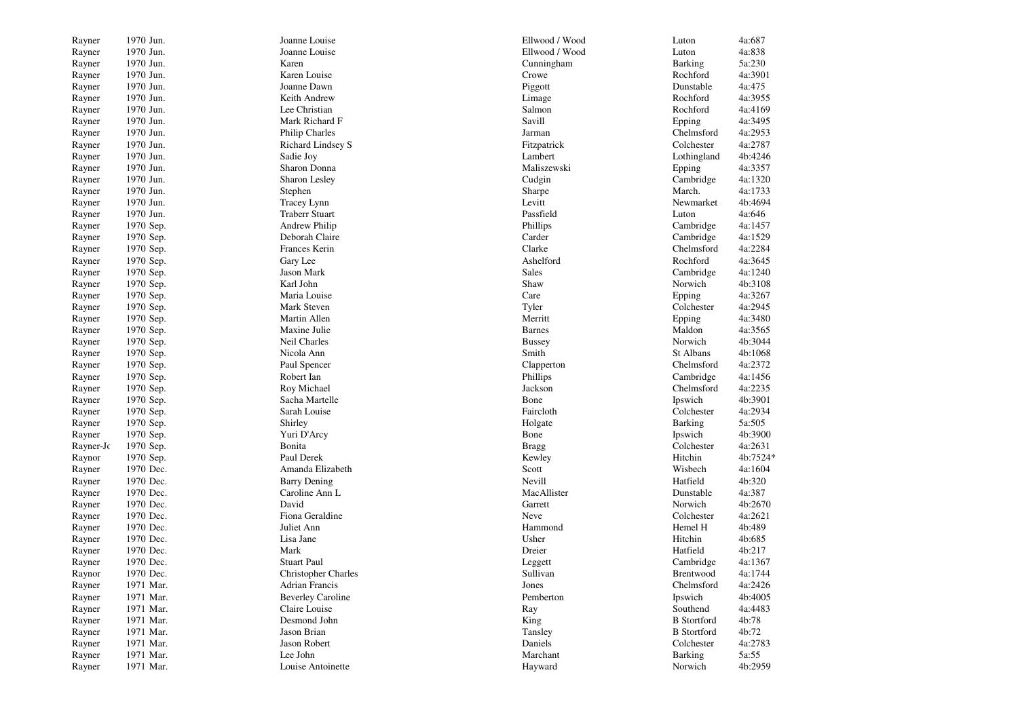| Rayner    | 1970 Jun. | Joanne Louise              | Ellwood / Wood | Luton              | 4a:687   |
|-----------|-----------|----------------------------|----------------|--------------------|----------|
| Rayner    | 1970 Jun. | Joanne Louise              | Ellwood / Wood | Luton              | 4a:838   |
| Rayner    | 1970 Jun. | Karen                      | Cunningham     | <b>Barking</b>     | 5a:230   |
| Rayner    | 1970 Jun. | Karen Louise               | Crowe          | Rochford           | 4a:3901  |
| Rayner    | 1970 Jun. | Joanne Dawn                | Piggott        | Dunstable          | 4a:475   |
| Rayner    | 1970 Jun. | Keith Andrew               | Limage         | Rochford           | 4a:3955  |
| Rayner    | 1970 Jun. | Lee Christian              | Salmon         | Rochford           | 4a:4169  |
| Rayner    | 1970 Jun. | Mark Richard F             | Savill         | Epping             | 4a:3495  |
| Rayner    | 1970 Jun. | Philip Charles             | Jarman         | Chelmsford         | 4a:2953  |
| Rayner    | 1970 Jun. | <b>Richard Lindsey S</b>   | Fitzpatrick    | Colchester         | 4a:2787  |
| Rayner    | 1970 Jun. | Sadie Joy                  | Lambert        | Lothingland        | 4b:4246  |
| Rayner    | 1970 Jun. | Sharon Donna               | Maliszewski    | Epping             | 4a:3357  |
| Rayner    | 1970 Jun. | Sharon Lesley              | Cudgin         | Cambridge          | 4a:1320  |
| Rayner    | 1970 Jun. | Stephen                    | Sharpe         | March.             | 4a:1733  |
| Rayner    | 1970 Jun. | Tracey Lynn                | Levitt         | Newmarket          | 4b:4694  |
| Rayner    | 1970 Jun. | <b>Traberr Stuart</b>      | Passfield      | Luton              | 4a:646   |
| Rayner    | 1970 Sep. | Andrew Philip              | Phillips       | Cambridge          | 4a:1457  |
| Rayner    | 1970 Sep. | Deborah Claire             | Carder         | Cambridge          | 4a:1529  |
| Rayner    | 1970 Sep. | Frances Kerin              | Clarke         | Chelmsford         | 4a:2284  |
| Rayner    | 1970 Sep. | Gary Lee                   | Ashelford      | Rochford           | 4a:3645  |
| Rayner    | 1970 Sep. | Jason Mark                 | <b>Sales</b>   | Cambridge          | 4a:1240  |
| Rayner    | 1970 Sep. | Karl John                  | Shaw           | Norwich            | 4b:3108  |
| Rayner    | 1970 Sep. | Maria Louise               | Care           | Epping             | 4a:3267  |
| Rayner    | 1970 Sep. | Mark Steven                | Tyler          | Colchester         | 4a:2945  |
| Rayner    | 1970 Sep. | Martin Allen               | Merritt        | Epping             | 4a:3480  |
| Rayner    | 1970 Sep. | Maxine Julie               | <b>Barnes</b>  | Maldon             | 4a:3565  |
| Rayner    | 1970 Sep. | Neil Charles               | <b>Bussey</b>  | Norwich            | 4b:3044  |
| Rayner    | 1970 Sep. | Nicola Ann                 | Smith          | St Albans          | 4b:1068  |
| Rayner    | 1970 Sep. | Paul Spencer               | Clapperton     | Chelmsford         | 4a:2372  |
| Rayner    | 1970 Sep. | Robert Ian                 | Phillips       | Cambridge          | 4a:1456  |
| Rayner    | 1970 Sep. | Roy Michael                | Jackson        | Chelmsford         | 4a:2235  |
| Rayner    | 1970 Sep. | Sacha Martelle             | Bone           | Ipswich            | 4b:3901  |
| Rayner    | 1970 Sep. | Sarah Louise               | Faircloth      | Colchester         | 4a:2934  |
| Rayner    | 1970 Sep. | Shirley                    | Holgate        | <b>Barking</b>     | 5a:505   |
| Rayner    | 1970 Sep. | Yuri D'Arcy                | Bone           | Ipswich            | 4b:3900  |
| Rayner-Jc | 1970 Sep. | Bonita                     | <b>Bragg</b>   | Colchester         | 4a:2631  |
| Raynor    | 1970 Sep. | Paul Derek                 | Kewley         | Hitchin            | 4b:7524* |
| Rayner    | 1970 Dec. | Amanda Elizabeth           | Scott          | Wisbech            | 4a:1604  |
| Rayner    | 1970 Dec. | <b>Barry Dening</b>        | Nevill         | Hatfield           | 4b:320   |
| Rayner    | 1970 Dec. | Caroline Ann L             | MacAllister    | Dunstable          | 4a:387   |
| Rayner    | 1970 Dec. | David                      | Garrett        | Norwich            | 4b:2670  |
| Rayner    | 1970 Dec. | Fiona Geraldine            | Neve           | Colchester         | 4a:2621  |
| Rayner    | 1970 Dec. | Juliet Ann                 | Hammond        | Hemel H            | 4b:489   |
| Rayner    | 1970 Dec. | Lisa Jane                  | Usher          | Hitchin            | 4b:685   |
| Rayner    | 1970 Dec. | Mark                       | Dreier         | Hatfield           | 4b:217   |
| Rayner    | 1970 Dec. | <b>Stuart Paul</b>         | Leggett        | Cambridge          | 4a:1367  |
| Raynor    | 1970 Dec. | <b>Christopher Charles</b> | Sullivan       | Brentwood          | 4a:1744  |
| Rayner    | 1971 Mar. | Adrian Francis             | Jones          | Chelmsford         | 4a:2426  |
| Rayner    | 1971 Mar. | <b>Beverley Caroline</b>   | Pemberton      | Ipswich            | 4b:4005  |
| Rayner    | 1971 Mar. | Claire Louise              | Ray            | Southend           | 4a:4483  |
| Rayner    | 1971 Mar. | Desmond John               | King           | <b>B</b> Stortford | 4b:78    |
| Rayner    | 1971 Mar. | Jason Brian                | Tansley        | <b>B</b> Stortford | 4b:72    |
| Rayner    | 1971 Mar. | Jason Robert               | Daniels        | Colchester         | 4a:2783  |
| Rayner    | 1971 Mar. | Lee John                   | Marchant       | <b>Barking</b>     | 5a:55    |
| Rayner    | 1971 Mar. | Louise Antoinette          | Hayward        | Norwich            | 4b:2959  |
|           |           |                            |                |                    |          |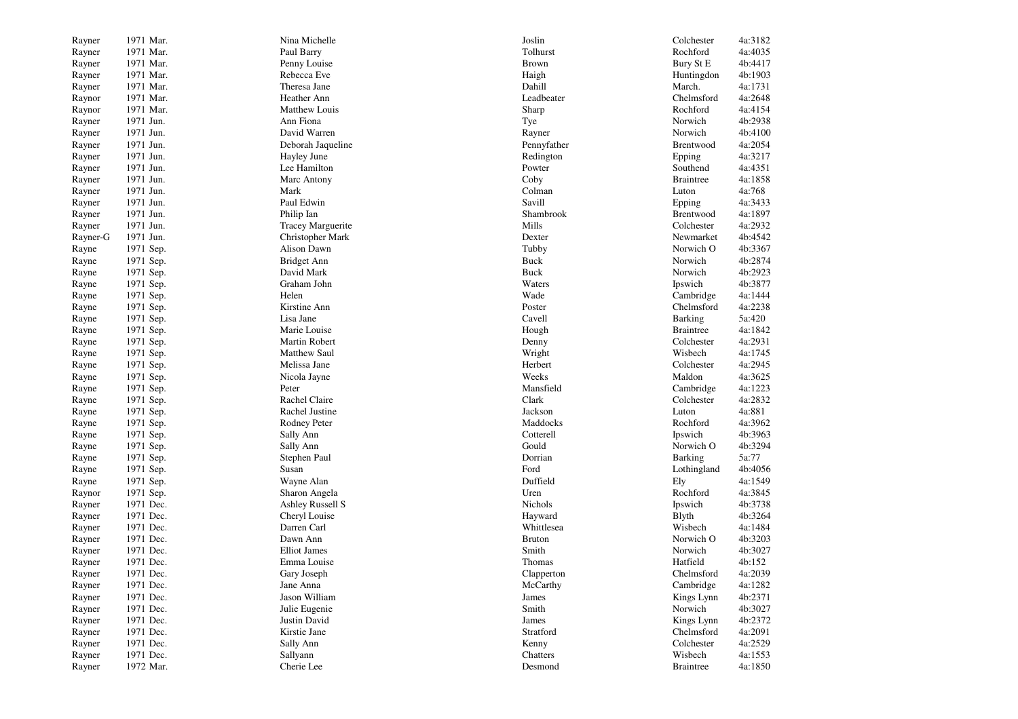| Rayner   | 1971 Mar.              | Nina Michelle            | Joslin        | Colchester       | 4a:3182 |
|----------|------------------------|--------------------------|---------------|------------------|---------|
| Rayner   | 1971 Mar.              | Paul Barry               | Tolhurst      | Rochford         | 4a:4035 |
| Rayner   | 1971 Mar.              | Penny Louise             | <b>Brown</b>  | Bury St E        | 4b:4417 |
| Rayner   | 1971 Mar.              | Rebecca Eve              | Haigh         | Huntingdon       | 4b:1903 |
| Rayner   | 1971 Mar.              | Theresa Jane             | Dahill        | March.           | 4a:1731 |
| Raynor   | 1971 Mar.              | Heather Ann              | Leadbeater    | Chelmsford       | 4a:2648 |
| Raynor   | 1971 Mar.              | Matthew Louis            | Sharp         | Rochford         | 4a:4154 |
| Rayner   | 1971 Jun.              | Ann Fiona                | Tye           | Norwich          | 4b:2938 |
| Rayner   | 1971 Jun.              | David Warren             | Rayner        | Norwich          | 4b:4100 |
| Rayner   | 1971 Jun.              | Deborah Jaqueline        | Pennyfather   | Brentwood        | 4a:2054 |
| Rayner   | 1971 Jun.              | Hayley June              | Redington     | Epping           | 4a:3217 |
| Rayner   | 1971 Jun.              | Lee Hamilton             | Powter        | Southend         | 4a:4351 |
| Rayner   | 1971 Jun.              | Marc Antony              | Coby          | <b>Braintree</b> | 4a:1858 |
| Rayner   | 1971 Jun.              | Mark                     | Colman        | Luton            | 4a:768  |
| Rayner   | 1971 Jun.              | Paul Edwin               | Savill        | Epping           | 4a:3433 |
| Rayner   | 1971 Jun.              | Philip Ian               | Shambrook     | Brentwood        | 4a:1897 |
| Rayner   | 1971 Jun.              | <b>Tracey Marguerite</b> | Mills         | Colchester       | 4a:2932 |
| Rayner-G | 1971 Jun.              | Christopher Mark         | Dexter        | Newmarket        | 4b:4542 |
| Rayne    | 1971 Sep.              | Alison Dawn              | Tubby         | Norwich O        | 4b:3367 |
| Rayne    | 1971 Sep.              | Bridget Ann              | Buck          | Norwich          | 4b:2874 |
| Rayne    | 1971 Sep.              | David Mark               | Buck          | Norwich          | 4b:2923 |
| Rayne    | 1971 Sep.              | Graham John              | Waters        | Ipswich          | 4b:3877 |
| Rayne    | 1971 Sep.              | Helen                    | Wade          | Cambridge        | 4a:1444 |
| Rayne    | 1971 Sep.              | Kirstine Ann             | Poster        | Chelmsford       | 4a:2238 |
| Rayne    | 1971 Sep.              | Lisa Jane                | Cavell        | <b>Barking</b>   | 5a:420  |
| Rayne    | 1971 Sep.              | Marie Louise             | Hough         | <b>Braintree</b> | 4a:1842 |
| Rayne    | 1971 Sep.              | Martin Robert            | Denny         | Colchester       | 4a:2931 |
| Rayne    | 1971 Sep.              | <b>Matthew Saul</b>      | Wright        | Wisbech          | 4a:1745 |
| Rayne    | 1971 Sep.              | Melissa Jane             | Herbert       | Colchester       | 4a:2945 |
| Rayne    | 1971 Sep.              | Nicola Jayne             | Weeks         | Maldon           | 4a:3625 |
| Rayne    | 1971 Sep.              | Peter                    | Mansfield     | Cambridge        | 4a:1223 |
| Rayne    | 1971 Sep.              | Rachel Claire            | Clark         | Colchester       | 4a:2832 |
| Rayne    | 1971 Sep.              | Rachel Justine           | Jackson       | Luton            | 4a:881  |
| Rayne    | 1971 Sep.              | Rodney Peter             | Maddocks      | Rochford         | 4a:3962 |
| Rayne    | 1971 Sep.              | Sally Ann                | Cotterell     | Ipswich          | 4b:3963 |
| Rayne    | 1971 Sep.              | Sally Ann                | Gould         | Norwich O        | 4b:3294 |
| Rayne    | 1971 Sep.              | Stephen Paul             | Dorrian       | <b>Barking</b>   | 5a:77   |
| Rayne    | 1971 Sep.              | Susan                    | Ford          | Lothingland      | 4b:4056 |
| Rayne    | 1971 Sep.              | Wayne Alan               | Duffield      | Ely              | 4a:1549 |
| Raynor   | 1971 Sep.              | Sharon Angela            | Uren          | Rochford         | 4a:3845 |
| Rayner   | 1971 Dec.              | <b>Ashley Russell S</b>  | Nichols       | Ipswich          | 4b:3738 |
| Rayner   | 1971 Dec.              | Cheryl Louise            | Hayward       | <b>B</b> lyth    | 4b:3264 |
| Rayner   | 1971 Dec.              | Darren Carl              | Whittlesea    | Wisbech          | 4a:1484 |
| Rayner   | 1971 Dec.              | Dawn Ann                 | <b>Bruton</b> | Norwich O        | 4b:3203 |
| Rayner   | 1971 Dec.              | <b>Elliot James</b>      | Smith         | Norwich          | 4b:3027 |
| Rayner   | 1971 Dec.              | Emma Louise              | Thomas        | Hatfield         | 4b:152  |
| Rayner   | 1971 Dec.              | Gary Joseph              | Clapperton    | Chelmsford       | 4a:2039 |
| Rayner   | 1971 Dec.              | Jane Anna                | McCarthy      | Cambridge        | 4a:1282 |
| Rayner   | 1971 Dec.              | Jason William            | James         | Kings Lynn       | 4b:2371 |
|          |                        | Julie Eugenie            | Smith         | Norwich          | 4b:3027 |
| Rayner   | 1971 Dec.<br>1971 Dec. |                          |               | Kings Lynn       |         |
| Rayner   |                        | Justin David             | James         | Chelmsford       | 4b:2372 |
| Rayner   | 1971 Dec.<br>1971 Dec. | Kirstie Jane             | Stratford     |                  | 4a:2091 |
| Rayner   |                        | Sally Ann                | Kenny         | Colchester       | 4a:2529 |
| Rayner   | 1971 Dec.              | Sallyann                 | Chatters      | Wisbech          | 4a:1553 |
| Rayner   | 1972 Mar.              | Cherie Lee               | Desmond       | <b>Braintree</b> | 4a:1850 |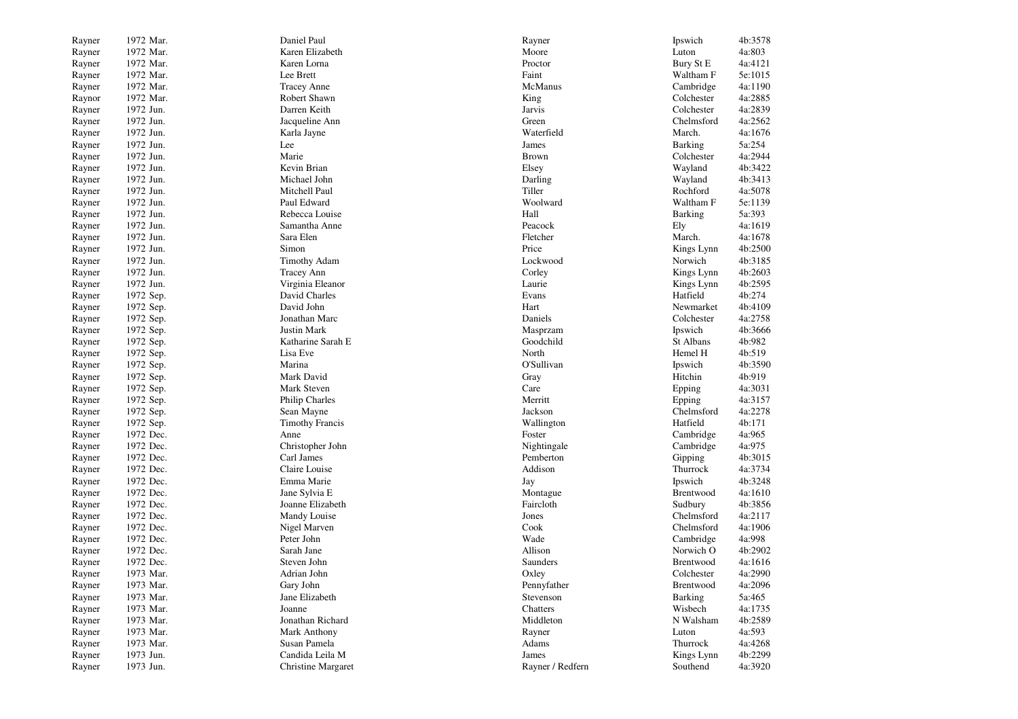| Rayner           | 1972 Mar. | Daniel Paul               | Rayner           | Ipswich          | 4b:3578 |
|------------------|-----------|---------------------------|------------------|------------------|---------|
| Rayner           | 1972 Mar. | Karen Elizabeth           | Moore            | Luton            | 4a:803  |
| Rayner           | 1972 Mar. | Karen Lorna               | Proctor          | <b>Bury St E</b> | 4a:4121 |
| Rayner           | 1972 Mar. | Lee Brett                 | Faint            | Waltham F        | 5e:1015 |
| Rayner           | 1972 Mar. | <b>Tracey Anne</b>        | McManus          | Cambridge        | 4a:1190 |
| Raynor           | 1972 Mar. | Robert Shawn              | King             | Colchester       | 4a:2885 |
| Rayner           | 1972 Jun. | Darren Keith              | Jarvis           | Colchester       | 4a:2839 |
| Rayner           | 1972 Jun. | Jacqueline Ann            | Green            | Chelmsford       | 4a:2562 |
| Rayner           | 1972 Jun. | Karla Jayne               | Waterfield       | March.           | 4a:1676 |
| Rayner           | 1972 Jun. | Lee                       | James            | Barking          | 5a:254  |
| Rayner           | 1972 Jun. | Marie                     | <b>Brown</b>     | Colchester       | 4a:2944 |
|                  | 1972 Jun. | Kevin Brian               | Elsey            | Wayland          | 4b:3422 |
| Rayner<br>Rayner | 1972 Jun. | Michael John              | Darling          | Wayland          | 4b:3413 |
|                  |           |                           |                  | Rochford         |         |
| Rayner           | 1972 Jun. | Mitchell Paul             | Tiller           |                  | 4a:5078 |
| Rayner           | 1972 Jun. | Paul Edward               | Woolward         | Waltham F        | 5e:1139 |
| Rayner           | 1972 Jun. | Rebecca Louise            | Hall             | <b>Barking</b>   | 5a:393  |
| Rayner           | 1972 Jun. | Samantha Anne             | Peacock          | Ely              | 4a:1619 |
| Rayner           | 1972 Jun. | Sara Elen                 | Fletcher         | March.           | 4a:1678 |
| Rayner           | 1972 Jun. | Simon                     | Price            | Kings Lynn       | 4b:2500 |
| Rayner           | 1972 Jun. | <b>Timothy Adam</b>       | Lockwood         | Norwich          | 4b:3185 |
| Rayner           | 1972 Jun. | <b>Tracey Ann</b>         | Corley           | Kings Lynn       | 4b:2603 |
| Rayner           | 1972 Jun. | Virginia Eleanor          | Laurie           | Kings Lynn       | 4b:2595 |
| Rayner           | 1972 Sep. | David Charles             | Evans            | Hatfield         | 4b:274  |
| Rayner           | 1972 Sep. | David John                | Hart             | Newmarket        | 4b:4109 |
| Rayner           | 1972 Sep. | Jonathan Marc             | Daniels          | Colchester       | 4a:2758 |
| Rayner           | 1972 Sep. | Justin Mark               | Masprzam         | Ipswich          | 4b:3666 |
| Rayner           | 1972 Sep. | Katharine Sarah E         | Goodchild        | St Albans        | 4b:982  |
| Rayner           | 1972 Sep. | Lisa Eve                  | North            | Hemel H          | 4b:519  |
| Rayner           | 1972 Sep. | Marina                    | O'Sullivan       | Ipswich          | 4b:3590 |
| Rayner           | 1972 Sep. | Mark David                | Gray             | Hitchin          | 4b:919  |
| Rayner           | 1972 Sep. | Mark Steven               | Care             | Epping           | 4a:3031 |
| Rayner           | 1972 Sep. | Philip Charles            | Merritt          | Epping           | 4a:3157 |
| Rayner           | 1972 Sep. | Sean Mayne                | Jackson          | Chelmsford       | 4a:2278 |
| Rayner           | 1972 Sep. | <b>Timothy Francis</b>    | Wallington       | Hatfield         | 4b:171  |
| Rayner           | 1972 Dec. | Anne                      | Foster           | Cambridge        | 4a:965  |
| Rayner           | 1972 Dec. | Christopher John          | Nightingale      | Cambridge        | 4a:975  |
| Rayner           | 1972 Dec. | Carl James                | Pemberton        | Gipping          | 4b:3015 |
| Rayner           | 1972 Dec. | Claire Louise             | Addison          | Thurrock         | 4a:3734 |
| Rayner           | 1972 Dec. | Emma Marie                | Jay              | Ipswich          | 4b:3248 |
| Rayner           | 1972 Dec. | Jane Sylvia E             | Montague         | Brentwood        | 4a:1610 |
| Rayner           | 1972 Dec. | Joanne Elizabeth          | Faircloth        | Sudbury          | 4b:3856 |
| Rayner           | 1972 Dec. | Mandy Louise              | Jones            | Chelmsford       | 4a:2117 |
| Rayner           | 1972 Dec. | Nigel Marven              | Cook             | Chelmsford       | 4a:1906 |
| Rayner           | 1972 Dec. | Peter John                | Wade             | Cambridge        | 4a:998  |
| Rayner           | 1972 Dec. | Sarah Jane                | Allison          | Norwich O        | 4b:2902 |
| Rayner           | 1972 Dec. | Steven John               | Saunders         | Brentwood        | 4a:1616 |
| Rayner           | 1973 Mar. | Adrian John               | Oxley            | Colchester       | 4a:2990 |
| Rayner           | 1973 Mar. | Gary John                 | Pennyfather      | Brentwood        | 4a:2096 |
| Rayner           | 1973 Mar. | Jane Elizabeth            | Stevenson        | <b>Barking</b>   | 5a:465  |
| Rayner           | 1973 Mar. | Joanne                    | Chatters         | Wisbech          | 4a:1735 |
| Rayner           | 1973 Mar. | Jonathan Richard          | Middleton        | N Walsham        | 4b:2589 |
| Rayner           | 1973 Mar. | Mark Anthony              | Rayner           | Luton            | 4a:593  |
| Rayner           | 1973 Mar. | Susan Pamela              | Adams            | Thurrock         | 4a:4268 |
| Rayner           | 1973 Jun. | Candida Leila M           | James            | Kings Lynn       | 4b:2299 |
|                  |           |                           |                  |                  |         |
| Rayner           | 1973 Jun. | <b>Christine Margaret</b> | Rayner / Redfern | Southend         | 4a:3920 |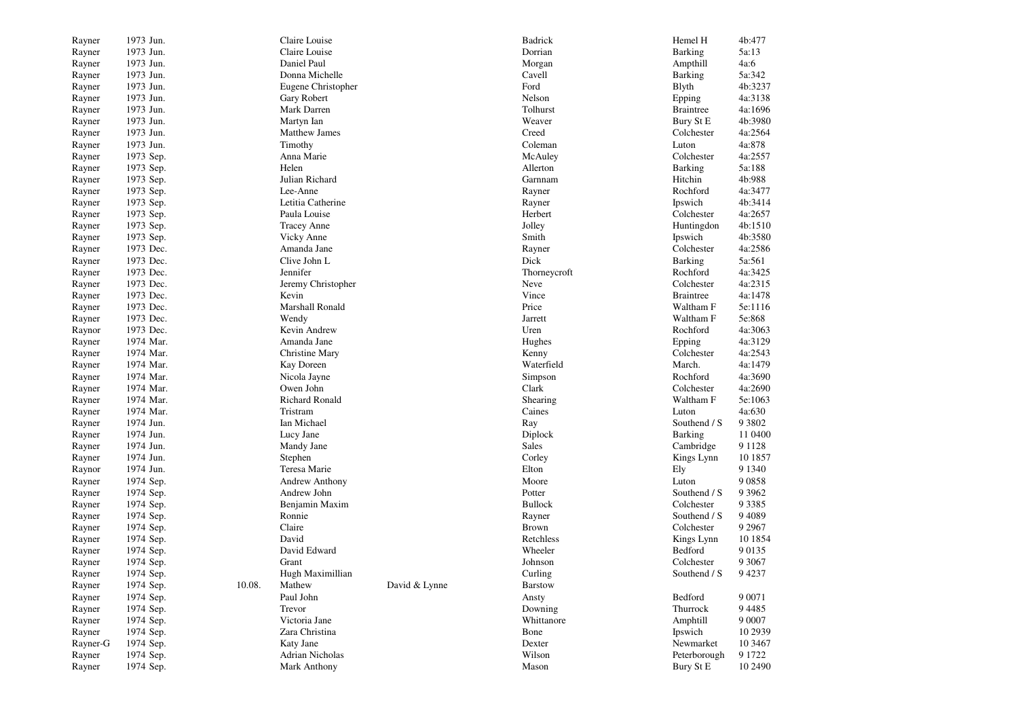| Rayner   | 1973 Jun. |        | Claire Louise        |               | Badrick        | Hemel H          | 4b:477    |
|----------|-----------|--------|----------------------|---------------|----------------|------------------|-----------|
| Rayner   | 1973 Jun. |        | Claire Louise        |               | Dorrian        | <b>Barking</b>   | 5a:13     |
| Rayner   | 1973 Jun. |        | Daniel Paul          |               | Morgan         | Ampthill         | 4a:6      |
| Rayner   | 1973 Jun. |        | Donna Michelle       |               | Cavell         | <b>Barking</b>   | 5a:342    |
| Rayner   | 1973 Jun. |        | Eugene Christopher   |               | Ford           | <b>B</b> lyth    | 4b:3237   |
| Rayner   | 1973 Jun. |        | Gary Robert          |               | Nelson         | Epping           | 4a:3138   |
| Rayner   | 1973 Jun. |        | Mark Darren          |               | Tolhurst       | <b>Braintree</b> | 4a:1696   |
| Rayner   | 1973 Jun. |        | Martyn Ian           |               | Weaver         | Bury St E        | 4b:3980   |
| Rayner   | 1973 Jun. |        | <b>Matthew James</b> |               | Creed          | Colchester       | 4a:2564   |
| Rayner   | 1973 Jun. |        | Timothy              |               | Coleman        | Luton            | 4a:878    |
| Rayner   | 1973 Sep. |        | Anna Marie           |               | McAuley        | Colchester       | 4a:2557   |
| Rayner   | 1973 Sep. |        | Helen                |               | Allerton       | <b>Barking</b>   | 5a:188    |
| Rayner   | 1973 Sep. |        | Julian Richard       |               | Garnnam        | Hitchin          | 4b:988    |
| Rayner   | 1973 Sep. |        | Lee-Anne             |               | Rayner         | Rochford         | 4a:3477   |
| Rayner   | 1973 Sep. |        | Letitia Catherine    |               | Rayner         | Ipswich          | 4b:3414   |
| Rayner   | 1973 Sep. |        | Paula Louise         |               | Herbert        | Colchester       | 4a:2657   |
| Rayner   | 1973 Sep. |        | <b>Tracey Anne</b>   |               | Jolley         | Huntingdon       | 4b:1510   |
| Rayner   | 1973 Sep. |        | Vicky Anne           |               | Smith          | Ipswich          | 4b:3580   |
| Rayner   | 1973 Dec. |        | Amanda Jane          |               | Rayner         | Colchester       | 4a:2586   |
| Rayner   | 1973 Dec. |        | Clive John L         |               | Dick           | Barking          | 5a:561    |
| Rayner   | 1973 Dec. |        | Jennifer             |               | Thorneycroft   | Rochford         | 4a:3425   |
|          |           |        |                      |               |                | Colchester       | 4a:2315   |
| Rayner   | 1973 Dec. |        | Jeremy Christopher   |               | Neve<br>Vince  |                  | 4a:1478   |
| Rayner   | 1973 Dec. |        | Kevin                |               |                | <b>Braintree</b> |           |
| Rayner   | 1973 Dec. |        | Marshall Ronald      |               | Price          | Waltham F        | 5e:1116   |
| Rayner   | 1973 Dec. |        | Wendy                |               | Jarrett        | Waltham F        | 5e:868    |
| Raynor   | 1973 Dec. |        | Kevin Andrew         |               | Uren           | Rochford         | 4a:3063   |
| Rayner   | 1974 Mar. |        | Amanda Jane          |               | Hughes         | Epping           | 4a:3129   |
| Rayner   | 1974 Mar. |        | Christine Mary       |               | Kenny          | Colchester       | 4a:2543   |
| Rayner   | 1974 Mar. |        | Kay Doreen           |               | Waterfield     | March.           | 4a:1479   |
| Rayner   | 1974 Mar. |        | Nicola Jayne         |               | Simpson        | Rochford         | 4a:3690   |
| Rayner   | 1974 Mar. |        | Owen John            |               | Clark          | Colchester       | 4a:2690   |
| Rayner   | 1974 Mar. |        | Richard Ronald       |               | Shearing       | Waltham F        | 5e:1063   |
| Rayner   | 1974 Mar. |        | Tristram             |               | Caines         | Luton            | 4a:630    |
| Rayner   | 1974 Jun. |        | Ian Michael          |               | Ray            | Southend / S     | 9 3 8 0 2 |
| Rayner   | 1974 Jun. |        | Lucy Jane            |               | Diplock        | Barking          | 11 0400   |
| Rayner   | 1974 Jun. |        | Mandy Jane           |               | Sales          | Cambridge        | 9 1 1 2 8 |
| Rayner   | 1974 Jun. |        | Stephen              |               | Corley         | Kings Lynn       | 10 1857   |
| Raynor   | 1974 Jun. |        | Teresa Marie         |               | Elton          | Ely              | 9 1 3 4 0 |
| Rayner   | 1974 Sep. |        | Andrew Anthony       |               | Moore          | Luton            | 90858     |
| Rayner   | 1974 Sep. |        | Andrew John          |               | Potter         | Southend / S     | 9 3 9 6 2 |
| Rayner   | 1974 Sep. |        | Benjamin Maxim       |               | <b>Bullock</b> | Colchester       | 9 3 3 8 5 |
| Rayner   | 1974 Sep. |        | Ronnie               |               | Rayner         | Southend / S     | 9 4 0 8 9 |
| Rayner   | 1974 Sep. |        | Claire               |               | <b>Brown</b>   | Colchester       | 9 2 9 6 7 |
| Rayner   | 1974 Sep. |        | David                |               | Retchless      | Kings Lynn       | 10 1854   |
| Rayner   | 1974 Sep. |        | David Edward         |               | Wheeler        | Bedford          | 90135     |
| Rayner   | 1974 Sep. |        | Grant                |               | Johnson        | Colchester       | 9 3 0 6 7 |
| Rayner   | 1974 Sep. |        | Hugh Maximillian     |               | Curling        | Southend / S     | 94237     |
| Rayner   | 1974 Sep. | 10.08. | Mathew               | David & Lynne | <b>Barstow</b> |                  |           |
| Rayner   | 1974 Sep. |        | Paul John            |               | Ansty          | Bedford          | 9 0 0 7 1 |
| Rayner   | 1974 Sep. |        | Trevor               |               | Downing        | Thurrock         | 94485     |
| Rayner   | 1974 Sep. |        | Victoria Jane        |               | Whittanore     | Amphtill         | 9 0 0 0 7 |
| Rayner   | 1974 Sep. |        | Zara Christina       |               | Bone           | Ipswich          | 10 29 39  |
| Rayner-G | 1974 Sep. |        | Katy Jane            |               | Dexter         | Newmarket        | 10 34 67  |
| Rayner   | 1974 Sep. |        | Adrian Nicholas      |               | Wilson         | Peterborough     | 9 1 7 2 2 |
| Rayner   | 1974 Sep. |        | Mark Anthony         |               | Mason          | Bury St E        | 10 2490   |
|          |           |        |                      |               |                |                  |           |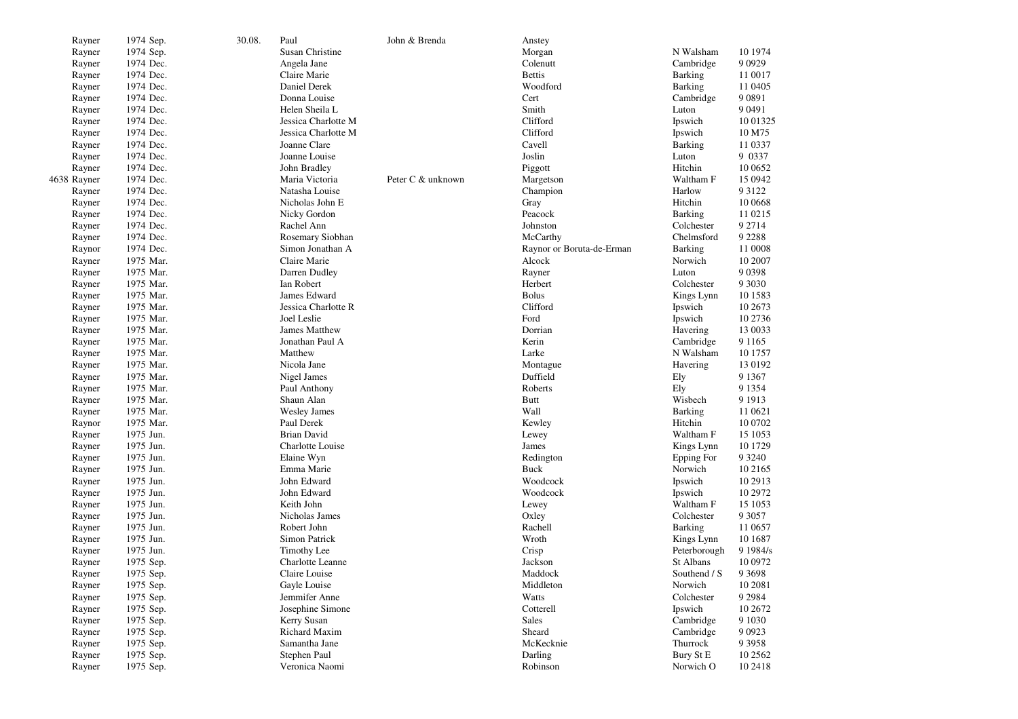| Rayner           | 1974 Sep.              | 30.08. | Paul                            | John & Brenda     | Anstey                    |                      |           |
|------------------|------------------------|--------|---------------------------------|-------------------|---------------------------|----------------------|-----------|
| Rayner           | 1974 Sep.              |        | Susan Christine                 |                   | Morgan                    | N Walsham            | 10 1974   |
| Rayner           | 1974 Dec.              |        | Angela Jane                     |                   | Colenutt                  | Cambridge            | 9 0 9 2 9 |
| Rayner           | 1974 Dec.              |        | Claire Marie                    |                   | <b>Bettis</b>             | Barking              | 11 0017   |
| Rayner           | 1974 Dec.              |        | Daniel Derek                    |                   | Woodford                  | <b>Barking</b>       | 11 04 05  |
| Rayner           | 1974 Dec.              |        | Donna Louise                    |                   | Cert                      | Cambridge            | 9 0 8 9 1 |
| Rayner           | 1974 Dec.              |        | Helen Sheila L                  |                   | Smith                     | Luton                | 9 0 4 9 1 |
| Rayner           | 1974 Dec.              |        | Jessica Charlotte M             |                   | Clifford                  | Ipswich              | 10 01325  |
| Rayner           | 1974 Dec.              |        | Jessica Charlotte M             |                   | Clifford                  | Ipswich              | 10 M75    |
| Rayner           | 1974 Dec.              |        | Joanne Clare                    |                   | Cavell                    | Barking              | 11 0337   |
| Rayner           | 1974 Dec.              |        | Joanne Louise                   |                   | Joslin                    | Luton                | 9 0 3 3 7 |
| Rayner           | 1974 Dec.              |        | John Bradley                    |                   | Piggott                   | Hitchin              | 10 0652   |
| 4638 Rayner      | 1974 Dec.              |        | Maria Victoria                  | Peter C & unknown | Margetson                 | Waltham F            | 15 0942   |
| Rayner           | 1974 Dec.              |        | Natasha Louise                  |                   | Champion                  | Harlow               | 9 3 1 2 2 |
| Rayner           | 1974 Dec.              |        | Nicholas John E                 |                   | Gray                      | Hitchin              | 10 0668   |
| Rayner           | 1974 Dec.              |        | Nicky Gordon                    |                   | Peacock                   | Barking              | 11 0215   |
| Rayner           | 1974 Dec.              |        | Rachel Ann                      |                   | Johnston                  | Colchester           | 9 2 7 1 4 |
| Rayner           | 1974 Dec.              |        | Rosemary Siobhan                |                   | McCarthy                  | Chelmsford           | 9 2 2 8 8 |
| Raynor           | 1974 Dec.              |        | Simon Jonathan A                |                   | Raynor or Boruta-de-Erman | Barking              | 11 0008   |
| Rayner           | 1975 Mar.              |        | Claire Marie                    |                   | Alcock                    | Norwich              | 10 2007   |
| Rayner           | 1975 Mar.              |        | Darren Dudley                   |                   | Rayner                    | Luton                | 9 0 3 9 8 |
| Rayner           | 1975 Mar.              |        | Ian Robert                      |                   | Herbert                   | Colchester           | 9 3 0 3 0 |
| Rayner           | 1975 Mar.              |        | James Edward                    |                   | <b>Bolus</b>              | Kings Lynn           | 10 15 83  |
| Rayner           | 1975 Mar.              |        | Jessica Charlotte R             |                   | Clifford                  | Ipswich              | 10 2673   |
| Rayner           | 1975 Mar.              |        | Joel Leslie                     |                   | Ford                      | Ipswich              | 10 2736   |
| Rayner           | 1975 Mar.              |        | <b>James Matthew</b>            |                   | Dorrian                   | Havering             | 13 0033   |
| Rayner           | 1975 Mar.              |        | Jonathan Paul A                 |                   | Kerin                     | Cambridge            | 9 1 1 6 5 |
| Rayner           | 1975 Mar.              |        | Matthew                         |                   | Larke                     | N Walsham            | 10 1757   |
| Rayner           | 1975 Mar.              |        | Nicola Jane                     |                   | Montague                  | Havering             | 13 0192   |
| Rayner           | 1975 Mar.              |        | Nigel James                     |                   | Duffield                  | Ely                  | 9 1 3 6 7 |
| Rayner           | 1975 Mar.              |        | Paul Anthony                    |                   | Roberts                   | Ely                  | 9 1 3 5 4 |
| Rayner           | 1975 Mar.              |        | Shaun Alan                      |                   | <b>Butt</b>               | Wisbech              | 9 1 9 1 3 |
| Rayner           | 1975 Mar.              |        | <b>Wesley James</b>             |                   | Wall                      | <b>Barking</b>       | 11 0621   |
| Raynor           | 1975 Mar.              |        | Paul Derek                      |                   | Kewley                    | Hitchin              | 10 0702   |
| Rayner           | 1975 Jun.              |        | <b>Brian David</b>              |                   | Lewey                     | Waltham F            | 15 1053   |
| Rayner           | 1975 Jun.              |        | Charlotte Louise                |                   | James                     | Kings Lynn           | 10 1729   |
| Rayner           | 1975 Jun.              |        | Elaine Wyn                      |                   | Redington                 | Epping For           | 9 3 2 4 0 |
| Rayner           | 1975 Jun.              |        | Emma Marie                      |                   | Buck                      | Norwich              | 10 21 65  |
| Rayner           | 1975 Jun.              |        | John Edward                     |                   | Woodcock                  | Ipswich              | 10 29 13  |
| Rayner           | 1975 Jun.              |        | John Edward                     |                   | Woodcock                  | Ipswich              | 10 2972   |
| Rayner           | 1975 Jun.              |        | Keith John                      |                   | Lewey                     | Waltham F            | 15 1053   |
| Rayner           | 1975 Jun.              |        | Nicholas James                  |                   | Oxley                     | Colchester           | 9 3 0 5 7 |
| Rayner           | 1975 Jun.              |        | Robert John                     |                   | Rachell                   | Barking              | 11 0657   |
| Rayner           | 1975 Jun.              |        | Simon Patrick                   |                   | Wroth                     | Kings Lynn           | 10 16 87  |
| Rayner           | 1975 Jun.              |        | Timothy Lee                     |                   | Crisp                     | Peterborough         | 9 1984/s  |
| Rayner           | 1975 Sep.              |        | Charlotte Leanne                |                   | Jackson                   | St Albans            | 10 0972   |
| Rayner           | 1975 Sep.              |        | Claire Louise                   |                   | Maddock                   | Southend / S         | 9 3 6 9 8 |
| Rayner           | 1975 Sep.              |        | Gayle Louise                    |                   | Middleton                 | Norwich              | 10 2081   |
| Rayner           |                        |        | Jemmifer Anne                   |                   | Watts                     | Colchester           | 9 2 9 8 4 |
|                  | 1975 Sep.              |        |                                 |                   | Cotterell                 |                      | 10 2672   |
| Rayner<br>Rayner | 1975 Sep.<br>1975 Sep. |        | Josephine Simone<br>Kerry Susan |                   | Sales                     | Ipswich<br>Cambridge | 9 1 0 3 0 |
|                  |                        |        | Richard Maxim                   |                   | Sheard                    | Cambridge            | 9 0 9 2 3 |
| Rayner<br>Rayner | 1975 Sep.<br>1975 Sep. |        | Samantha Jane                   |                   | McKecknie                 | Thurrock             | 9 3 9 5 8 |
|                  |                        |        | Stephen Paul                    |                   |                           |                      |           |
| Rayner           | 1975 Sep.              |        |                                 |                   | Darling                   | Bury St E            | 10 25 62  |
| Rayner           | 1975 Sep.              |        | Veronica Naomi                  |                   | Robinson                  | Norwich O            | 10 24 18  |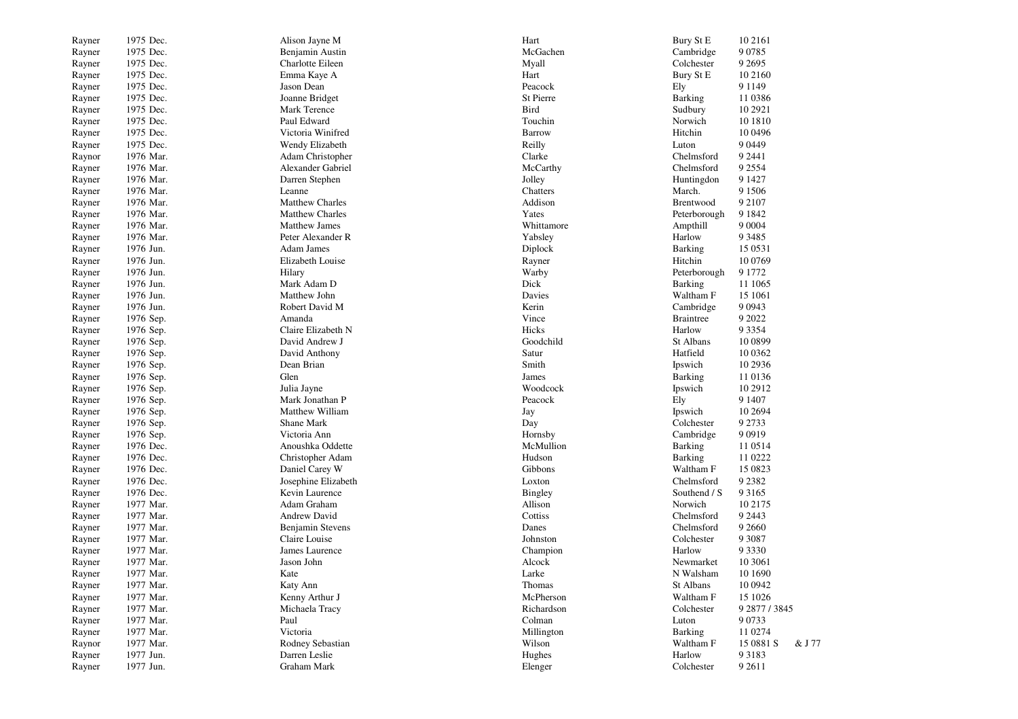| Rayner | 1975 Dec. | Alison Jayne M         | Hart        | Bury St E               | 10 2161             |
|--------|-----------|------------------------|-------------|-------------------------|---------------------|
| Rayner | 1975 Dec. | Benjamin Austin        | McGachen    | Cambridge               | 9 0 7 8 5           |
| Rayner | 1975 Dec. | Charlotte Eileen       | Myall       | Colchester              | 9 2 6 9 5           |
| Rayner | 1975 Dec. | Emma Kaye A            | Hart        | Bury St E               | 10 2160             |
| Rayner | 1975 Dec. | Jason Dean             | Peacock     | Ely                     | 9 1 1 4 9           |
| Rayner | 1975 Dec. | Joanne Bridget         | St Pierre   | Barking                 | 11 0386             |
| Rayner | 1975 Dec. | Mark Terence           | <b>Bird</b> | Sudbury                 | 10 29 21            |
| Rayner | 1975 Dec. | Paul Edward            | Touchin     | Norwich                 | 10 18 10            |
| Rayner | 1975 Dec. | Victoria Winifred      | Barrow      | Hitchin                 | 10 04 96            |
| Rayner | 1975 Dec. | Wendy Elizabeth        | Reilly      | Luton                   | 9 0 4 4 9           |
| Raynor | 1976 Mar. | Adam Christopher       | Clarke      | Chelmsford              | 9 2 4 4 1           |
| Rayner | 1976 Mar. | Alexander Gabriel      | McCarthy    | Chelmsford              | 9 2 5 5 4           |
| Rayner | 1976 Mar. | Darren Stephen         | Jolley      | Huntingdon              | 9 1 4 2 7           |
| Rayner | 1976 Mar. | Leanne                 | Chatters    | March.                  | 9 1 5 0 6           |
| Rayner | 1976 Mar. | <b>Matthew Charles</b> | Addison     | Brentwood               | 9 2 1 0 7           |
| Rayner | 1976 Mar. | <b>Matthew Charles</b> | Yates       | Peterborough            | 9 1 8 4 2           |
| Rayner | 1976 Mar. | <b>Matthew James</b>   | Whittamore  | Ampthill                | 9 0 0 0 4           |
| Rayner | 1976 Mar. | Peter Alexander R      | Yabsley     | Harlow                  | 9 3 4 8 5           |
| Rayner | 1976 Jun. | Adam James             | Diplock     | <b>Barking</b>          | 15 05 31            |
| Rayner | 1976 Jun. | Elizabeth Louise       | Rayner      | Hitchin                 | 10 0769             |
| Rayner | 1976 Jun. | Hilary                 | Warby       | Peterborough            | 9 1 7 7 2           |
| Rayner | 1976 Jun. | Mark Adam D            | Dick        | <b>Barking</b>          | 11 10 65            |
| Rayner | 1976 Jun. | Matthew John           | Davies      | Waltham F               | 15 10 61            |
| Rayner | 1976 Jun. | Robert David M         | Kerin       | Cambridge               | 9 0 9 4 3           |
| Rayner | 1976 Sep. | Amanda                 | Vince       | <b>Braintree</b>        | 9 2022              |
| Rayner | 1976 Sep. | Claire Elizabeth N     | Hicks       | Harlow                  | 9 3 3 5 4           |
| Rayner | 1976 Sep. | David Andrew J         | Goodchild   | St Albans               | 10 0899             |
| Rayner | 1976 Sep. | David Anthony          | Satur       | Hatfield                | 10 0 362            |
| Rayner | 1976 Sep. | Dean Brian             | Smith       | Ipswich                 | 10 29 36            |
| Rayner | 1976 Sep. | Glen                   | James       | Barking                 | 11 0136             |
| Rayner | 1976 Sep. | Julia Jayne            | Woodcock    | Ipswich                 | 10 29 12            |
| Rayner | 1976 Sep. | Mark Jonathan P        | Peacock     | Ely                     | 9 1 4 0 7           |
| Rayner | 1976 Sep. | Matthew William        | Jay         | Ipswich                 | 10 26 94            |
| Rayner | 1976 Sep. | Shane Mark             | Day         | Colchester              | 9 2 7 3 3           |
| Rayner | 1976 Sep. | Victoria Ann           | Hornsby     | Cambridge               | 9 0 9 1 9           |
| Rayner | 1976 Dec. | Anoushka Oddette       | McMullion   | <b>Barking</b>          | 11 0514             |
| Rayner | 1976 Dec. | Christopher Adam       | Hudson      | <b>Barking</b>          | 11 0222             |
| Rayner | 1976 Dec. | Daniel Carey W         | Gibbons     | Waltham F               | 15 0823             |
| Rayner | 1976 Dec. | Josephine Elizabeth    | Loxton      | Chelmsford              | 9 2 3 8 2           |
| Rayner | 1976 Dec. | Kevin Laurence         | Bingley     | Southend / S            | 9 3 1 6 5           |
| Rayner | 1977 Mar. | Adam Graham            | Allison     | Norwich                 | 10 2175             |
| Rayner | 1977 Mar. | Andrew David           | Cottiss     | Chelmsford              | 9 2 4 4 3           |
| Rayner | 1977 Mar. | Benjamin Stevens       | Danes       | Chelmsford              | 9 2 6 6 0           |
| Rayner | 1977 Mar. | Claire Louise          | Johnston    | Colchester              | 9 3 0 8 7           |
|        | 1977 Mar. | James Laurence         | Champion    | Harlow                  | 9 3 3 3 0           |
| Rayner | 1977 Mar. | Jason John             | Alcock      | Newmarket               | 10 30 61            |
| Rayner | 1977 Mar. | Kate                   | Larke       | N Walsham               | 10 1690             |
| Rayner |           |                        | Thomas      | St Albans               | 10 0942             |
| Rayner | 1977 Mar. | Katy Ann               | McPherson   |                         |                     |
| Rayner | 1977 Mar. | Kenny Arthur J         |             | Waltham F<br>Colchester | 15 10 26            |
| Rayner | 1977 Mar. | Michaela Tracy         | Richardson  |                         | 9 2877 / 3845       |
| Rayner | 1977 Mar. | Paul                   | Colman      | Luton                   | 9 0 7 3 3           |
| Rayner | 1977 Mar. | Victoria               | Millington  | Barking<br>Waltham F    | 11 0274             |
| Raynor | 1977 Mar. | Rodney Sebastian       | Wilson      |                         | 15 0881 S<br>& J 77 |
| Rayner | 1977 Jun. | Darren Leslie          | Hughes      | Harlow                  | 9 3 1 8 3           |
| Rayner | 1977 Jun. | Graham Mark            | Elenger     | Colchester              | 9 2 6 1 1           |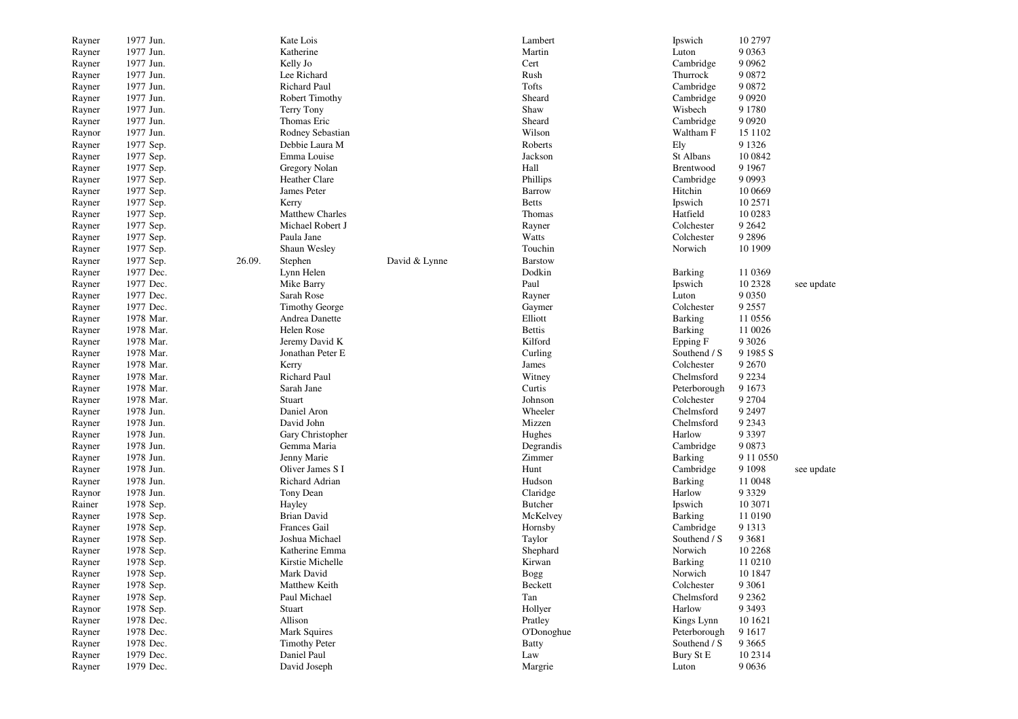| Rayner | 1977 Jun. |        | Kate Lois             |               | Lambert               | Ipswich        | 10 2797      |            |
|--------|-----------|--------|-----------------------|---------------|-----------------------|----------------|--------------|------------|
| Rayner | 1977 Jun. |        | Katherine             |               | Martin                | Luton          | 9 0 3 6 3    |            |
| Rayner | 1977 Jun. |        | Kelly Jo              |               | Cert                  | Cambridge      | 9 0 9 6 2    |            |
| Rayner | 1977 Jun. |        | Lee Richard           |               | Rush                  | Thurrock       | 9 0 8 7 2    |            |
| Rayner | 1977 Jun. |        | Richard Paul          |               | Tofts                 | Cambridge      | 9 0 8 7 2    |            |
| Rayner | 1977 Jun. |        | Robert Timothy        |               | Sheard                | Cambridge      | 9 0 9 2 0    |            |
| Rayner | 1977 Jun. |        | Terry Tony            |               | Shaw                  | Wisbech        | 9 1 7 8 0    |            |
| Rayner | 1977 Jun. |        | Thomas Eric           |               | Sheard                | Cambridge      | 9 0 9 2 0    |            |
| Raynor | 1977 Jun. |        | Rodney Sebastian      |               | Wilson                | Waltham F      | 15 1102      |            |
| Rayner | 1977 Sep. |        | Debbie Laura M        |               | Roberts               | Ely            | 9 1 3 2 6    |            |
| Rayner | 1977 Sep. |        | Emma Louise           |               | Jackson               | St Albans      | 10 0842      |            |
| Rayner | 1977 Sep. |        | Gregory Nolan         |               | Hall                  | Brentwood      | 9 1 9 6 7    |            |
| Rayner | 1977 Sep. |        | Heather Clare         |               | Phillips              | Cambridge      | 9 0 9 9 3    |            |
| Rayner | 1977 Sep. |        | James Peter           |               | Barrow                | Hitchin        | 10 0669      |            |
| Rayner | 1977 Sep. |        | Kerry                 |               | <b>Betts</b>          | Ipswich        | 10 2571      |            |
| Rayner | 1977 Sep. |        | Matthew Charles       |               | Thomas                | Hatfield       | 10 0283      |            |
| Rayner | 1977 Sep. |        | Michael Robert J      |               | Rayner                | Colchester     | 9 2 6 4 2    |            |
| Rayner | 1977 Sep. |        | Paula Jane            |               | Watts                 | Colchester     | 9 2 8 9 6    |            |
| Rayner | 1977 Sep. |        | Shaun Wesley          |               | Touchin               | Norwich        | 10 1909      |            |
| Rayner | 1977 Sep. | 26.09. | Stephen               | David & Lynne | <b>Barstow</b>        |                |              |            |
| Rayner | 1977 Dec. |        | Lynn Helen            |               | Dodkin                | Barking        | 11 0369      |            |
| Rayner | 1977 Dec. |        | Mike Barry            |               | Paul                  | Ipswich        | 10 2328      | see update |
| Rayner | 1977 Dec. |        | Sarah Rose            |               | Rayner                | Luton          | 9 0 3 5 0    |            |
| Rayner | 1977 Dec. |        | <b>Timothy George</b> |               | Gaymer                | Colchester     | 9 2 5 5 7    |            |
| Rayner | 1978 Mar. |        | Andrea Danette        |               | Elliott               | <b>Barking</b> | 11 0556      |            |
|        | 1978 Mar. |        | Helen Rose            |               | <b>Bettis</b>         | Barking        | 11 0026      |            |
| Rayner | 1978 Mar. |        |                       |               | Kilford               |                | 9 3 0 2 6    |            |
| Rayner | 1978 Mar. |        | Jeremy David K        |               |                       | Epping F       | 9 1985 S     |            |
| Rayner |           |        | Jonathan Peter E      |               | Curling               | Southend / S   |              |            |
| Rayner | 1978 Mar. |        | Kerry                 |               | James                 | Colchester     | 9 2 6 7 0    |            |
| Rayner | 1978 Mar. |        | Richard Paul          |               | Witney                | Chelmsford     | 9 2 2 3 4    |            |
| Rayner | 1978 Mar. |        | Sarah Jane            |               | Curtis                | Peterborough   | 9 1 6 7 3    |            |
| Rayner | 1978 Mar. |        | Stuart                |               | Johnson               | Colchester     | 9 2 7 0 4    |            |
| Rayner | 1978 Jun. |        | Daniel Aron           |               | Wheeler               | Chelmsford     | 9 2 4 9 7    |            |
| Rayner | 1978 Jun. |        | David John            |               | Mizzen                | Chelmsford     | 9 2 3 4 3    |            |
| Rayner | 1978 Jun. |        | Gary Christopher      |               | Hughes                | Harlow         | 9 3 3 9 7    |            |
| Rayner | 1978 Jun. |        | Gemma Maria           |               | Degrandis             | Cambridge      | 9 0 8 7 3    |            |
| Rayner | 1978 Jun. |        | Jenny Marie           |               | Zimmer                | Barking        | 9 11 0 5 5 0 |            |
| Rayner | 1978 Jun. |        | Oliver James S I      |               | Hunt                  | Cambridge      | 9 1 0 9 8    | see update |
| Rayner | 1978 Jun. |        | Richard Adrian        |               | Hudson                | Barking        | 11 0048      |            |
| Raynor | 1978 Jun. |        | Tony Dean             |               | Claridge              | Harlow         | 9 3 3 2 9    |            |
| Rainer | 1978 Sep. |        | Hayley                |               | <b>Butcher</b>        | Ipswich        | 10 3071      |            |
| Rayner | 1978 Sep. |        | <b>Brian David</b>    |               | McKelvey              | Barking        | 11 0190      |            |
| Rayner | 1978 Sep. |        | Frances Gail          |               | Hornsby               | Cambridge      | 9 1 3 1 3    |            |
| Rayner | 1978 Sep. |        | Joshua Michael        |               | Taylor                | Southend / S   | 9 3 6 8 1    |            |
| Rayner | 1978 Sep. |        | Katherine Emma        |               | Shephard              | Norwich        | 10 2 2 6 8   |            |
| Rayner | 1978 Sep. |        | Kirstie Michelle      |               | Kirwan                | Barking        | 11 0210      |            |
| Rayner | 1978 Sep. |        | Mark David            |               | $\operatorname{Bogg}$ | Norwich        | 10 1847      |            |
| Rayner | 1978 Sep. |        | Matthew Keith         |               | Beckett               | Colchester     | 9 3 0 6 1    |            |
| Rayner | 1978 Sep. |        | Paul Michael          |               | Tan                   | Chelmsford     | 9 2 3 6 2    |            |
| Raynor | 1978 Sep. |        | Stuart                |               | Hollyer               | Harlow         | 9 3 4 9 3    |            |
| Rayner | 1978 Dec. |        | Allison               |               | Pratley               | Kings Lynn     | 10 1621      |            |
| Rayner | 1978 Dec. |        | Mark Squires          |               | O'Donoghue            | Peterborough   | 9 1 6 1 7    |            |
| Rayner | 1978 Dec. |        | <b>Timothy Peter</b>  |               | <b>Batty</b>          | Southend / S   | 9 3 6 6 5    |            |
| Rayner | 1979 Dec. |        | Daniel Paul           |               | Law                   | Bury St E      | 10 23 14     |            |
| Rayner | 1979 Dec. |        | David Joseph          |               | Margrie               | Luton          | 9 0 6 3 6    |            |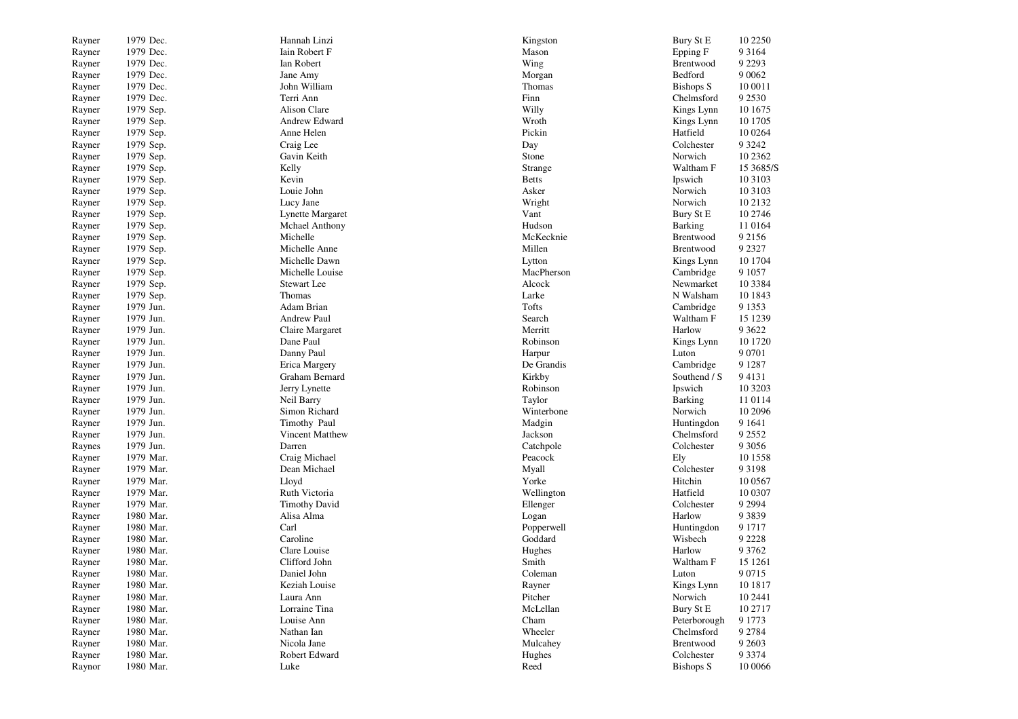| Rayner           | 1979 Dec. | Hannah Linzi              | Kingston     | Bury St E        | 10 2250    |
|------------------|-----------|---------------------------|--------------|------------------|------------|
| Rayner           | 1979 Dec. | Iain Robert F             | Mason        | Epping F         | 9 3 1 6 4  |
| Rayner           | 1979 Dec. | Ian Robert                | Wing         | Brentwood        | 9 2 2 9 3  |
| Rayner           | 1979 Dec. | Jane Amy                  | Morgan       | Bedford          | 9 0 0 6 2  |
| Rayner           | 1979 Dec. | John William              | Thomas       | <b>Bishops S</b> | 10 0011    |
| Rayner           | 1979 Dec. | Terri Ann                 | Finn         | Chelmsford       | 9 2 5 3 0  |
| Rayner           | 1979 Sep. | Alison Clare              | Willy        | Kings Lynn       | 10 1675    |
| Rayner           | 1979 Sep. | Andrew Edward             | Wroth        | Kings Lynn       | 10 1705    |
| Rayner           | 1979 Sep. | Anne Helen                | Pickin       | Hatfield         | 10 0 264   |
| Rayner           | 1979 Sep. | Craig Lee                 | Day          | Colchester       | 9 3 2 4 2  |
| Rayner           | 1979 Sep. | Gavin Keith               | Stone        | Norwich          | 10 23 62   |
| Rayner           | 1979 Sep. | Kelly                     | Strange      | Waltham F        | 15 3685/S  |
| Rayner           | 1979 Sep. | Kevin                     | <b>Betts</b> | Ipswich          | 10 3 10 3  |
| Rayner           | 1979 Sep. | Louie John                | Asker        | Norwich          | 10 3103    |
| Rayner           | 1979 Sep. | Lucy Jane                 | Wright       | Norwich          | 10 21 32   |
| Rayner           | 1979 Sep. | Lynette Margaret          | Vant         | Bury St E        | 10 2746    |
| Rayner           | 1979 Sep. | <b>Mchael Anthony</b>     | Hudson       | Barking          | 11 0164    |
| Rayner           | 1979 Sep. | Michelle                  | McKecknie    | Brentwood        | 9 2 1 5 6  |
| Rayner           | 1979 Sep. | Michelle Anne             | Millen       | Brentwood        | 9 2 3 2 7  |
| Rayner           | 1979 Sep. | Michelle Dawn             | Lytton       | Kings Lynn       | 10 1704    |
| Rayner           | 1979 Sep. | Michelle Louise           | MacPherson   | Cambridge        | 9 1 0 5 7  |
| Rayner           | 1979 Sep. | <b>Stewart</b> Lee        | Alcock       | Newmarket        | 10 3 3 8 4 |
| Rayner           | 1979 Sep. | Thomas                    | Larke        | N Walsham        | 10 1843    |
| Rayner           | 1979 Jun. | Adam Brian                | Tofts        | Cambridge        | 9 1 3 5 3  |
| Rayner           | 1979 Jun. | <b>Andrew Paul</b>        | Search       | Waltham F        | 15 1239    |
| Rayner           | 1979 Jun. | Claire Margaret           | Merritt      | Harlow           | 9 3 6 2 2  |
| Rayner           | 1979 Jun. | Dane Paul                 | Robinson     | Kings Lynn       | 10 1720    |
| Rayner           | 1979 Jun. | Danny Paul                | Harpur       | Luton            | 9 0 7 0 1  |
| Rayner           | 1979 Jun. | Erica Margery             | De Grandis   | Cambridge        | 9 1 2 8 7  |
| Rayner           | 1979 Jun. | Graham Bernard            | Kirkby       | Southend / S     | 94131      |
| Rayner           | 1979 Jun. | Jerry Lynette             | Robinson     | Ipswich          | 10 3203    |
|                  | 1979 Jun. | Neil Barry                | Taylor       | <b>Barking</b>   | 11 0114    |
| Rayner<br>Rayner | 1979 Jun. | Simon Richard             | Winterbone   | Norwich          | 10 2096    |
|                  | 1979 Jun. | Timothy Paul              | Madgin       | Huntingdon       | 9 1 6 4 1  |
| Rayner           | 1979 Jun. |                           | Jackson      | Chelmsford       | 9 2 5 5 2  |
| Rayner           | 1979 Jun. | Vincent Matthew<br>Darren |              |                  | 9 3 0 5 6  |
| Raynes           |           |                           | Catchpole    | Colchester       |            |
| Rayner           | 1979 Mar. | Craig Michael             | Peacock      | Ely              | 10 1558    |
| Rayner           | 1979 Mar. | Dean Michael              | Myall        | Colchester       | 9 3 1 9 8  |
| Rayner           | 1979 Mar. | Lloyd                     | Yorke        | Hitchin          | 10 05 67   |
| Rayner           | 1979 Mar. | Ruth Victoria             | Wellington   | Hatfield         | 10 0307    |
| Rayner           | 1979 Mar. | <b>Timothy David</b>      | Ellenger     | Colchester       | 9 2 9 9 4  |
| Rayner           | 1980 Mar. | Alisa Alma                | Logan        | Harlow           | 9 3 8 3 9  |
| Rayner           | 1980 Mar. | Carl                      | Popperwell   | Huntingdon       | 9 1 7 1 7  |
| Rayner           | 1980 Mar. | Caroline                  | Goddard      | Wisbech          | 9 2 2 2 8  |
| Rayner           | 1980 Mar. | Clare Louise              | Hughes       | Harlow           | 9 3 7 6 2  |
| Rayner           | 1980 Mar. | Clifford John             | Smith        | Waltham F        | 15 1261    |
| Rayner           | 1980 Mar. | Daniel John               | Coleman      | Luton            | 9 0 7 1 5  |
| Rayner           | 1980 Mar. | Keziah Louise             | Rayner       | Kings Lynn       | 10 18 17   |
| Rayner           | 1980 Mar. | Laura Ann                 | Pitcher      | Norwich          | 10 2441    |
| Rayner           | 1980 Mar. | Lorraine Tina             | McLellan     | Bury St E        | 10 27 17   |
| Rayner           | 1980 Mar. | Louise Ann                | Cham         | Peterborough     | 9 1 7 7 3  |
| Rayner           | 1980 Mar. | Nathan Ian                | Wheeler      | Chelmsford       | 9 2 7 8 4  |
| Rayner           | 1980 Mar. | Nicola Jane               | Mulcahey     | Brentwood        | 9 2 6 0 3  |
| Rayner           | 1980 Mar. | Robert Edward             | Hughes       | Colchester       | 9 3 3 7 4  |
| Raynor           | 1980 Mar. | Luke                      | Reed         | <b>Bishops S</b> | 10 0066    |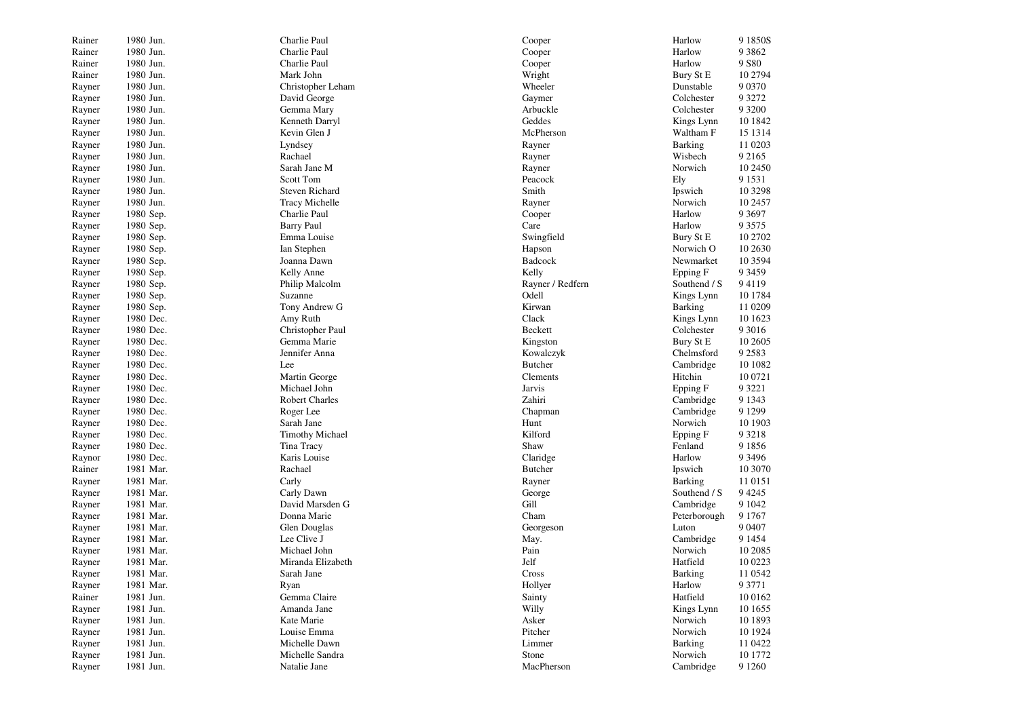| Rainer | 1980 Jun. | Charlie Paul           | Cooper           | Harlow         | 9 1850S   |
|--------|-----------|------------------------|------------------|----------------|-----------|
| Rainer | 1980 Jun. | Charlie Paul           | Cooper           | Harlow         | 9 3 8 6 2 |
| Rainer | 1980 Jun. | Charlie Paul           | Cooper           | Harlow         | 9 S 80    |
| Rainer | 1980 Jun. | Mark John              | Wright           | Bury St E      | 10 2794   |
| Rayner | 1980 Jun. | Christopher Leham      | Wheeler          | Dunstable      | 9 0 3 7 0 |
| Rayner | 1980 Jun. | David George           | Gaymer           | Colchester     | 9 3 2 7 2 |
| Rayner | 1980 Jun. | Gemma Mary             | Arbuckle         | Colchester     | 9 3 2 0 0 |
| Rayner | 1980 Jun. | Kenneth Darryl         | Geddes           | Kings Lynn     | 10 1842   |
| Rayner | 1980 Jun. | Kevin Glen J           | McPherson        | Waltham F      | 15 13 14  |
| Rayner | 1980 Jun. | Lyndsey                | Rayner           | Barking        | 11 0203   |
| Rayner | 1980 Jun. | Rachael                | Rayner           | Wisbech        | 9 2 1 6 5 |
| Rayner | 1980 Jun. | Sarah Jane M           | Rayner           | Norwich        | 10 2450   |
| Rayner | 1980 Jun. | Scott Tom              | Peacock          | Ely            | 9 1 5 3 1 |
|        | 1980 Jun. | <b>Steven Richard</b>  | Smith            | Ipswich        | 10 3298   |
| Rayner | 1980 Jun. | <b>Tracy Michelle</b>  |                  | Norwich        | 10 2457   |
| Rayner | 1980 Sep. |                        | Rayner           | Harlow         | 9 3 6 9 7 |
| Rayner |           | Charlie Paul           | Cooper           |                |           |
| Rayner | 1980 Sep. | <b>Barry Paul</b>      | Care             | Harlow         | 9 3 5 7 5 |
| Rayner | 1980 Sep. | Emma Louise            | Swingfield       | Bury St E      | 10 2702   |
| Rayner | 1980 Sep. | Ian Stephen            | Hapson           | Norwich O      | 10 26 30  |
| Rayner | 1980 Sep. | Joanna Dawn            | Badcock          | Newmarket      | 10 35 94  |
| Rayner | 1980 Sep. | Kelly Anne             | Kelly            | Epping F       | 9 3 4 5 9 |
| Rayner | 1980 Sep. | Philip Malcolm         | Rayner / Redfern | Southend / S   | 94119     |
| Rayner | 1980 Sep. | Suzanne                | Odell            | Kings Lynn     | 10 1784   |
| Rayner | 1980 Sep. | Tony Andrew G          | Kirwan           | Barking        | 11 0209   |
| Rayner | 1980 Dec. | Amy Ruth               | Clack            | Kings Lynn     | 10 1623   |
| Rayner | 1980 Dec. | Christopher Paul       | Beckett          | Colchester     | 9 3 0 1 6 |
| Rayner | 1980 Dec. | Gemma Marie            | Kingston         | Bury St E      | 10 2605   |
| Rayner | 1980 Dec. | Jennifer Anna          | Kowalczyk        | Chelmsford     | 9 2 5 8 3 |
| Rayner | 1980 Dec. | Lee                    | <b>Butcher</b>   | Cambridge      | 10 10 82  |
| Rayner | 1980 Dec. | Martin George          | Clements         | Hitchin        | 10 0721   |
| Rayner | 1980 Dec. | Michael John           | Jarvis           | Epping F       | 9 3 2 2 1 |
| Rayner | 1980 Dec. | <b>Robert Charles</b>  | Zahiri           | Cambridge      | 9 1 3 4 3 |
| Rayner | 1980 Dec. | Roger Lee              | Chapman          | Cambridge      | 9 1 2 9 9 |
| Rayner | 1980 Dec. | Sarah Jane             | Hunt             | Norwich        | 10 1903   |
| Rayner | 1980 Dec. | <b>Timothy Michael</b> | Kilford          | Epping F       | 9 3 2 1 8 |
| Rayner | 1980 Dec. | Tina Tracy             | Shaw             | Fenland        | 9 1 8 5 6 |
| Raynor | 1980 Dec. | Karis Louise           | Claridge         | Harlow         | 9 3 4 9 6 |
| Rainer | 1981 Mar. | Rachael                | <b>Butcher</b>   | Ipswich        | 10 3070   |
| Rayner | 1981 Mar. | Carly                  | Rayner           | Barking        | 11 0151   |
| Rayner | 1981 Mar. | Carly Dawn             | George           | Southend / S   | 9 4 2 4 5 |
| Rayner | 1981 Mar. | David Marsden G        | Gill             | Cambridge      | 9 1 0 4 2 |
| Rayner | 1981 Mar. | Donna Marie            | Cham             | Peterborough   | 9 1 7 6 7 |
| Rayner | 1981 Mar. | Glen Douglas           | Georgeson        | Luton          | 9 0 4 0 7 |
| Rayner | 1981 Mar. | Lee Clive J            | May.             | Cambridge      | 9 1 4 5 4 |
| Rayner | 1981 Mar. | Michael John           | Pain             | Norwich        | 10 20 85  |
| Rayner | 1981 Mar. | Miranda Elizabeth      | Jelf             | Hatfield       | 10 0223   |
| Rayner | 1981 Mar. | Sarah Jane             | Cross            | <b>Barking</b> | 11 0542   |
| Rayner | 1981 Mar. | Ryan                   | Hollyer          | Harlow         | 9 3 7 7 1 |
| Rainer | 1981 Jun. | Gemma Claire           | Sainty           | Hatfield       | 10 01 62  |
| Rayner | 1981 Jun. | Amanda Jane            | Willy            | Kings Lynn     | 10 1655   |
| Rayner | 1981 Jun. | Kate Marie             | Asker            | Norwich        | 10 1893   |
| Rayner | 1981 Jun. | Louise Emma            | Pitcher          | Norwich        | 10 1924   |
| Rayner | 1981 Jun. | Michelle Dawn          | Limmer           | Barking        | 11 0422   |
| Rayner | 1981 Jun. | Michelle Sandra        | Stone            | Norwich        | 10 1772   |
| Rayner | 1981 Jun. | Natalie Jane           | MacPherson       | Cambridge      | 9 1 2 6 0 |
|        |           |                        |                  |                |           |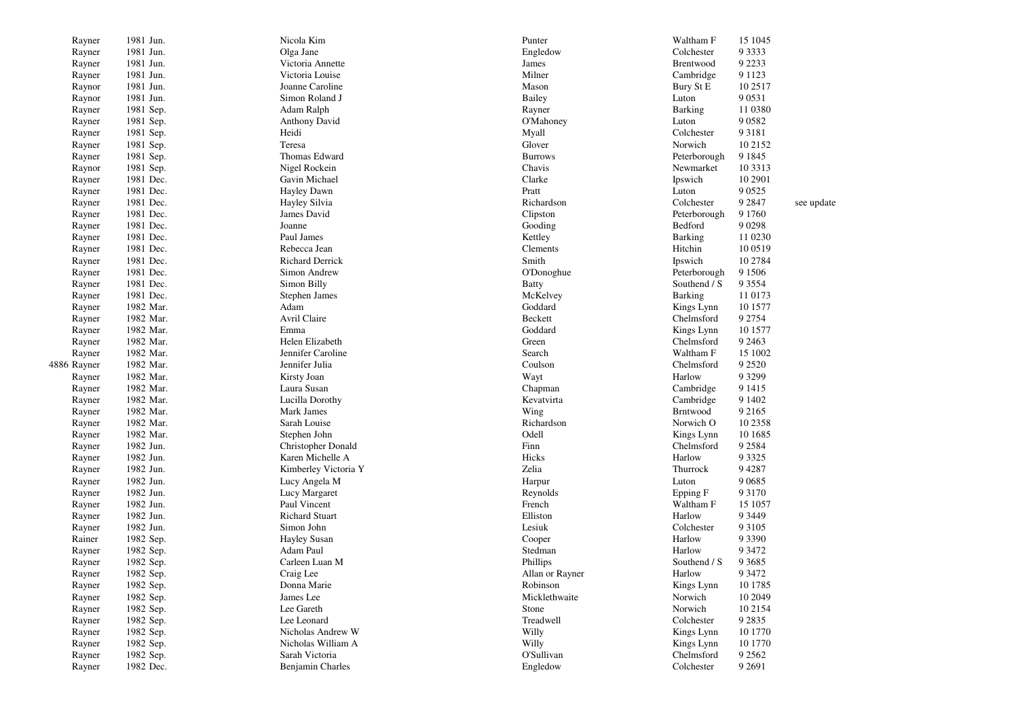| Rayner      | 1981 Jun. | Nicola Kim                             | Punter           | Waltham F                | 15 1045   |            |
|-------------|-----------|----------------------------------------|------------------|--------------------------|-----------|------------|
| Rayner      | 1981 Jun. | Olga Jane                              | Engledow         | Colchester               | 9 3 3 3 3 |            |
| Rayner      | 1981 Jun. | Victoria Annette                       | James            | Brentwood                | 9 2 2 3 3 |            |
| Rayner      | 1981 Jun. | Victoria Louise                        | Milner           | Cambridge                | 9 1 1 2 3 |            |
| Raynor      | 1981 Jun. | Joanne Caroline                        | Mason            | Bury St E                | 10 25 17  |            |
| Raynor      | 1981 Jun. | Simon Roland J                         | <b>Bailey</b>    | Luton                    | 9 0 5 3 1 |            |
| Rayner      | 1981 Sep. | Adam Ralph                             | Rayner           | Barking                  | 11 0380   |            |
| Rayner      | 1981 Sep. | <b>Anthony David</b>                   | <b>O'Mahoney</b> | Luton                    | 9 0 5 8 2 |            |
| Rayner      | 1981 Sep. | Heidi                                  | Myall            | Colchester               | 9 3 1 8 1 |            |
| Rayner      | 1981 Sep. | Teresa                                 | Glover           | Norwich                  | 10 2152   |            |
| Rayner      | 1981 Sep. | Thomas Edward                          | <b>Burrows</b>   | Peterborough             | 9 1 8 4 5 |            |
| Raynor      | 1981 Sep. | Nigel Rockein                          | Chavis           | Newmarket                | 10 33 13  |            |
| Rayner      | 1981 Dec. | Gavin Michael                          | Clarke           | Ipswich                  | 10 2901   |            |
| Rayner      | 1981 Dec. | Hayley Dawn                            | Pratt            | Luton                    | 9 0 5 2 5 |            |
| Rayner      | 1981 Dec. | Hayley Silvia                          | Richardson       | Colchester               | 9 2 8 4 7 | see update |
| Rayner      | 1981 Dec. | James David                            | Clipston         | Peterborough             | 9 1 7 6 0 |            |
| Rayner      | 1981 Dec. | Joanne                                 | Gooding          | Bedford                  | 9 0 2 9 8 |            |
| Rayner      | 1981 Dec. | Paul James                             | Kettley          | <b>Barking</b>           | 11 0230   |            |
| Rayner      | 1981 Dec. | Rebecca Jean                           | Clements         | Hitchin                  | 10 05 19  |            |
| Rayner      | 1981 Dec. | <b>Richard Derrick</b>                 | Smith            | Ipswich                  | 10 2784   |            |
| Rayner      | 1981 Dec. | Simon Andrew                           | O'Donoghue       | Peterborough             | 9 1 5 0 6 |            |
| Rayner      | 1981 Dec. | Simon Billy                            | <b>Batty</b>     | Southend / S             | 9 3 5 5 4 |            |
| Rayner      | 1981 Dec. | Stephen James                          | McKelvey         | <b>Barking</b>           | 11 0173   |            |
| Rayner      | 1982 Mar. | Adam                                   | Goddard          | Kings Lynn               | 10 1577   |            |
| Rayner      | 1982 Mar. | Avril Claire                           | Beckett          | Chelmsford               | 9 2 7 5 4 |            |
| Rayner      | 1982 Mar. | Emma                                   | Goddard          | Kings Lynn               | 10 1577   |            |
| Rayner      | 1982 Mar. | Helen Elizabeth                        | Green            | Chelmsford               | 9 2 4 6 3 |            |
| Rayner      | 1982 Mar. | Jennifer Caroline                      | Search           | Waltham F                | 15 1002   |            |
| 4886 Rayner | 1982 Mar. | Jennifer Julia                         | Coulson          | Chelmsford               | 9 2 5 2 0 |            |
| Rayner      | 1982 Mar. | Kirsty Joan                            | Wayt             | Harlow                   | 9 3 2 9 9 |            |
| Rayner      | 1982 Mar. | Laura Susan                            | Chapman          | Cambridge                | 9 1 4 1 5 |            |
| Rayner      | 1982 Mar. | Lucilla Dorothy                        | Kevatvirta       | Cambridge                | 9 1 4 0 2 |            |
| Rayner      | 1982 Mar. | Mark James                             | Wing             | <b>Brntwood</b>          | 9 2 1 6 5 |            |
| Rayner      | 1982 Mar. | Sarah Louise                           | Richardson       | Norwich O                | 10 2358   |            |
|             | 1982 Mar. |                                        | Odell            |                          | 10 1685   |            |
| Rayner      | 1982 Jun. | Stephen John                           | Finn             | Kings Lynn<br>Chelmsford | 9 2 5 8 4 |            |
| Rayner      | 1982 Jun. | Christopher Donald<br>Karen Michelle A | Hicks            | Harlow                   | 9 3 3 2 5 |            |
| Rayner      | 1982 Jun. |                                        | Zelia            | Thurrock                 | 94287     |            |
| Rayner      |           | Kimberley Victoria Y                   |                  |                          |           |            |
| Rayner      | 1982 Jun. | Lucy Angela M                          | Harpur           | Luton                    | 9 0 6 8 5 |            |
| Rayner      | 1982 Jun. | Lucy Margaret                          | Reynolds         | Epping F                 | 9 3 1 7 0 |            |
| Rayner      | 1982 Jun. | Paul Vincent                           | French           | Waltham F                | 15 1057   |            |
| Rayner      | 1982 Jun. | <b>Richard Stuart</b>                  | Elliston         | Harlow                   | 9 3 4 4 9 |            |
| Rayner      | 1982 Jun. | Simon John                             | Lesiuk           | Colchester               | 9 3 1 0 5 |            |
| Rainer      | 1982 Sep. | <b>Hayley Susan</b>                    | Cooper           | Harlow                   | 9 3 3 9 0 |            |
| Rayner      | 1982 Sep. | Adam Paul                              | Stedman          | Harlow                   | 9 3 4 7 2 |            |
| Rayner      | 1982 Sep. | Carleen Luan M                         | Phillips         | Southend / S             | 9 3 6 8 5 |            |
| Rayner      | 1982 Sep. | Craig Lee                              | Allan or Rayner  | Harlow                   | 9 3 4 7 2 |            |
| Rayner      | 1982 Sep. | Donna Marie                            | Robinson         | Kings Lynn               | 10 1785   |            |
| Rayner      | 1982 Sep. | James Lee                              | Micklethwaite    | Norwich                  | 10 2049   |            |
| Rayner      | 1982 Sep. | Lee Gareth                             | Stone            | Norwich                  | 10 21 54  |            |
| Rayner      | 1982 Sep. | Lee Leonard                            | Treadwell        | Colchester               | 9 2 8 3 5 |            |
| Rayner      | 1982 Sep. | Nicholas Andrew W                      | Willy            | Kings Lynn               | 10 1770   |            |
| Rayner      | 1982 Sep. | Nicholas William A                     | Willy            | Kings Lynn               | 10 1770   |            |
| Rayner      | 1982 Sep. | Sarah Victoria                         | O'Sullivan       | Chelmsford               | 9 2 5 6 2 |            |
| Rayner      | 1982 Dec. | Benjamin Charles                       | Engledow         | Colchester               | 9 2 6 9 1 |            |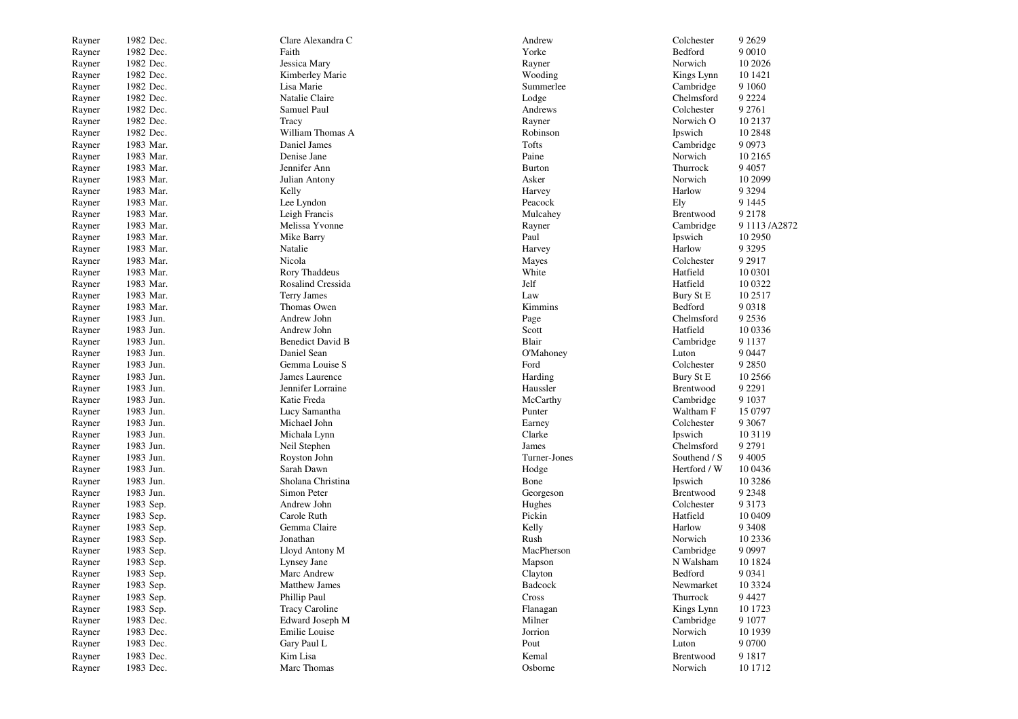| Rayner | 1982 Dec. | Clare Alexandra C       | Andrew        | Colchester             | 9 2 6 2 9      |
|--------|-----------|-------------------------|---------------|------------------------|----------------|
| Rayner | 1982 Dec. | Faith                   | Yorke         | Bedford                | 9 0 0 1 0      |
| Rayner | 1982 Dec. | Jessica Mary            | Rayner        | Norwich                | 10 20 26       |
| Rayner | 1982 Dec. | Kimberley Marie         | Wooding       | Kings Lynn             | 10 14 21       |
| Rayner | 1982 Dec. | Lisa Marie              | Summerlee     | Cambridge              | 9 1 0 6 0      |
| Rayner | 1982 Dec. | Natalie Claire          | Lodge         | Chelmsford             | 9 2 2 2 4      |
| Rayner | 1982 Dec. | Samuel Paul             | Andrews       | Colchester             | 9 2 7 6 1      |
| Rayner | 1982 Dec. | Tracy                   | Rayner        | Norwich O              | 10 2137        |
| Rayner | 1982 Dec. | William Thomas A        | Robinson      | Ipswich                | 10 28 48       |
| Rayner | 1983 Mar. | Daniel James            | Tofts         | Cambridge              | 9 0 9 7 3      |
| Rayner | 1983 Mar. | Denise Jane             | Paine         | Norwich                | 10 21 65       |
| Rayner | 1983 Mar. | Jennifer Ann            | <b>Burton</b> | Thurrock               | 9 4 0 5 7      |
| Rayner | 1983 Mar. | Julian Antony           | Asker         | Norwich                | 10 2099        |
| Rayner | 1983 Mar. | Kelly                   | Harvey        | Harlow                 | 9 3 2 9 4      |
| Rayner | 1983 Mar. | Lee Lyndon              | Peacock       | Ely                    | 9 1 4 4 5      |
| Rayner | 1983 Mar. | Leigh Francis           | Mulcahey      | Brentwood              | 9 2 1 7 8      |
| Rayner | 1983 Mar. | Melissa Yvonne          | Rayner        | Cambridge              | 9 1113 / A2872 |
| Rayner | 1983 Mar. | Mike Barry              | Paul          | Ipswich                | 10 2950        |
| Rayner | 1983 Mar. | Natalie                 | Harvey        | Harlow                 | 9 3 2 9 5      |
| Rayner | 1983 Mar. | Nicola                  | Mayes         | Colchester             | 9 2 9 1 7      |
| Rayner | 1983 Mar. | Rory Thaddeus           | White         | Hatfield               | 10 0301        |
| Rayner | 1983 Mar. | Rosalind Cressida       | Jelf          | Hatfield               | 10 0322        |
| Rayner | 1983 Mar. | <b>Terry James</b>      | Law           | Bury St E              | 10 25 17       |
| Rayner | 1983 Mar. | Thomas Owen             | Kimmins       | Bedford                | 90318          |
| Rayner | 1983 Jun. | Andrew John             |               | Chelmsford             | 9 2 5 3 6      |
|        | 1983 Jun. | Andrew John             | Page<br>Scott | Hatfield               | 10 0336        |
| Rayner | 1983 Jun. | <b>Benedict David B</b> | Blair         |                        | 9 1 1 3 7      |
| Rayner | 1983 Jun. | Daniel Sean             | O'Mahoney     | Cambridge<br>Luton     | 9 0 4 4 7      |
| Rayner | 1983 Jun. | Gemma Louise S          | Ford          | Colchester             | 9 2 8 5 0      |
| Rayner | 1983 Jun. | James Laurence          | Harding       | Bury St E              | 10 25 66       |
| Rayner | 1983 Jun. | Jennifer Lorraine       | Haussler      | Brentwood              | 9 2 2 9 1      |
| Rayner | 1983 Jun. | Katie Freda             |               |                        | 9 1 0 3 7      |
| Rayner | 1983 Jun. |                         | McCarthy      | Cambridge<br>Waltham F | 15 0797        |
| Rayner |           | Lucy Samantha           | Punter        |                        |                |
| Rayner | 1983 Jun. | Michael John            | Earney        | Colchester             | 9 3 0 6 7      |
| Rayner | 1983 Jun. | Michala Lynn            | Clarke        | Ipswich                | 10 3 1 19      |
| Rayner | 1983 Jun. | Neil Stephen            | James         | Chelmsford             | 9 2 7 9 1      |
| Rayner | 1983 Jun. | Royston John            | Turner-Jones  | Southend / S           | 9 4 0 0 5      |
| Rayner | 1983 Jun. | Sarah Dawn              | Hodge         | Hertford / W           | 10 04 36       |
| Rayner | 1983 Jun. | Sholana Christina       | Bone          | Ipswich                | 10 3286        |
| Rayner | 1983 Jun. | Simon Peter             | Georgeson     | Brentwood              | 9 2 3 4 8      |
| Rayner | 1983 Sep. | Andrew John             | Hughes        | Colchester             | 9 3 1 7 3      |
| Rayner | 1983 Sep. | Carole Ruth             | Pickin        | Hatfield               | 10 04 09       |
| Rayner | 1983 Sep. | Gemma Claire            | Kelly         | Harlow                 | 9 3 4 0 8      |
| Rayner | 1983 Sep. | Jonathan                | Rush          | Norwich                | 10 2336        |
| Rayner | 1983 Sep. | Lloyd Antony M          | MacPherson    | Cambridge              | 9 0 9 9 7      |
| Rayner | 1983 Sep. | Lynsey Jane             | Mapson        | N Walsham              | 10 1824        |
| Rayner | 1983 Sep. | Marc Andrew             | Clayton       | Bedford                | 9 0 3 4 1      |
| Rayner | 1983 Sep. | <b>Matthew James</b>    | Badcock       | Newmarket              | 10 3 3 2 4     |
| Rayner | 1983 Sep. | Phillip Paul            | Cross         | Thurrock               | 9 4 4 2 7      |
| Rayner | 1983 Sep. | <b>Tracy Caroline</b>   | Flanagan      | Kings Lynn             | 10 1723        |
| Rayner | 1983 Dec. | Edward Joseph M         | Milner        | Cambridge              | 9 1077         |
| Rayner | 1983 Dec. | Emilie Louise           | Jorrion       | Norwich                | 10 1939        |
| Rayner | 1983 Dec. | Gary Paul L             | Pout          | Luton                  | 9 0 7 0 0      |
| Rayner | 1983 Dec. | Kim Lisa                | Kemal         | Brentwood              | 9 1 8 1 7      |
| Rayner | 1983 Dec. | Marc Thomas             | Osborne       | Norwich                | 10 17 12       |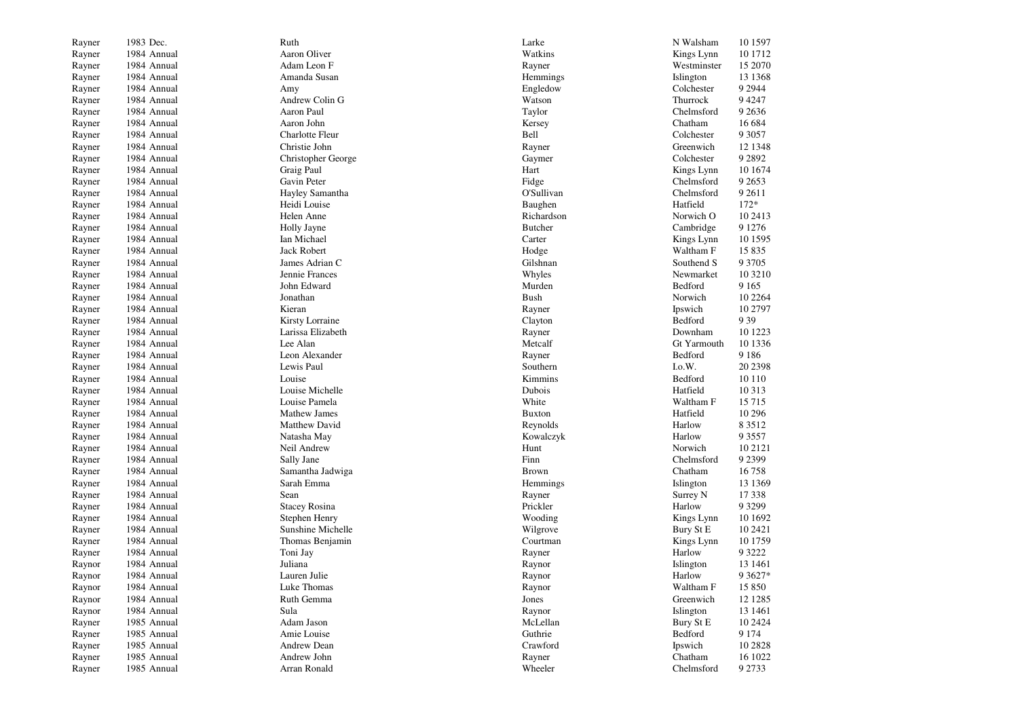| Rayner | 1983 Dec.   | Ruth                 | Larke          | N Walsham   | 10 15 97   |
|--------|-------------|----------------------|----------------|-------------|------------|
| Rayner | 1984 Annual | Aaron Oliver         | Watkins        | Kings Lynn  | 10 17 12   |
| Rayner | 1984 Annual | Adam Leon F          | Rayner         | Westminster | 15 2070    |
| Rayner | 1984 Annual | Amanda Susan         | Hemmings       | Islington   | 13 13 68   |
| Rayner | 1984 Annual | Amy                  | Engledow       | Colchester  | 9 2 9 4 4  |
| Rayner | 1984 Annual | Andrew Colin G       | Watson         | Thurrock    | 9 4 2 4 7  |
| Rayner | 1984 Annual | Aaron Paul           | Taylor         | Chelmsford  | 9 2 6 3 6  |
| Rayner | 1984 Annual | Aaron John           | Kersey         | Chatham     | 16 684     |
| Rayner | 1984 Annual | Charlotte Fleur      | Bell           | Colchester  | 9 3 0 5 7  |
| Rayner | 1984 Annual | Christie John        | Rayner         | Greenwich   | 12 1348    |
| Rayner | 1984 Annual | Christopher George   | Gaymer         | Colchester  | 9 2 8 9 2  |
| Rayner | 1984 Annual | Graig Paul           | Hart           | Kings Lynn  | 10 1674    |
| Rayner | 1984 Annual | Gavin Peter          | Fidge          | Chelmsford  | 9 2 6 5 3  |
|        | 1984 Annual |                      |                |             | 9 2 6 1 1  |
| Rayner |             | Hayley Samantha      | O'Sullivan     | Chelmsford  |            |
| Rayner | 1984 Annual | Heidi Louise         | Baughen        | Hatfield    | $172*$     |
| Rayner | 1984 Annual | Helen Anne           | Richardson     | Norwich O   | 10 24 13   |
| Rayner | 1984 Annual | Holly Jayne          | <b>Butcher</b> | Cambridge   | 9 1 2 7 6  |
| Rayner | 1984 Annual | Ian Michael          | Carter         | Kings Lynn  | 10 15 95   |
| Rayner | 1984 Annual | Jack Robert          | Hodge          | Waltham F   | 15 8 35    |
| Rayner | 1984 Annual | James Adrian C       | Gilshnan       | Southend S  | 9 3 7 0 5  |
| Rayner | 1984 Annual | Jennie Frances       | Whyles         | Newmarket   | 10 3210    |
| Rayner | 1984 Annual | John Edward          | Murden         | Bedford     | 9 1 6 5    |
| Rayner | 1984 Annual | Jonathan             | <b>Bush</b>    | Norwich     | 10 2264    |
| Rayner | 1984 Annual | Kieran               | Rayner         | Ipswich     | 10 2797    |
| Rayner | 1984 Annual | Kirsty Lorraine      | Clayton        | Bedford     | 9 3 9      |
| Rayner | 1984 Annual | Larissa Elizabeth    | Rayner         | Downham     | 10 1223    |
| Rayner | 1984 Annual | Lee Alan             | Metcalf        | Gt Yarmouth | 10 1336    |
| Rayner | 1984 Annual | Leon Alexander       | Rayner         | Bedford     | 9 1 8 6    |
| Rayner | 1984 Annual | Lewis Paul           | Southern       | I.o.W.      | 20 2398    |
| Rayner | 1984 Annual | Louise               | Kimmins        | Bedford     | 10 110     |
| Rayner | 1984 Annual | Louise Michelle      | Dubois         | Hatfield    | 10 313     |
| Rayner | 1984 Annual | Louise Pamela        | White          | Waltham F   | 15 7 15    |
| Rayner | 1984 Annual | <b>Mathew James</b>  | <b>Buxton</b>  | Hatfield    | 10 29 6    |
| Rayner | 1984 Annual | Matthew David        | Reynolds       | Harlow      | 8 3 5 1 2  |
| Rayner | 1984 Annual | Natasha May          | Kowalczyk      | Harlow      | 9 3 5 5 7  |
| Rayner | 1984 Annual | Neil Andrew          | Hunt           | Norwich     | 10 21 21   |
| Rayner | 1984 Annual | Sally Jane           | Finn           | Chelmsford  | 9 2 3 9 9  |
| Rayner | 1984 Annual | Samantha Jadwiga     | <b>Brown</b>   | Chatham     | 16758      |
| Rayner | 1984 Annual | Sarah Emma           | Hemmings       | Islington   | 13 13 69   |
| Rayner | 1984 Annual | Sean                 | Rayner         | Surrey N    | 17 338     |
| Rayner | 1984 Annual | <b>Stacey Rosina</b> | Prickler       | Harlow      | 9 3 2 9 9  |
| Rayner | 1984 Annual | Stephen Henry        | Wooding        | Kings Lynn  | 10 1692    |
| Rayner | 1984 Annual | Sunshine Michelle    | Wilgrove       | Bury St E   | 10 24 21   |
| Rayner | 1984 Annual | Thomas Benjamin      | Courtman       | Kings Lynn  | 10 1759    |
| Rayner | 1984 Annual | Toni Jay             | Rayner         | Harlow      | 9 3 2 2 2  |
| Raynor | 1984 Annual | Juliana              | Raynor         | Islington   | 13 14 61   |
| Raynor | 1984 Annual | Lauren Julie         | Raynor         | Harlow      | 9 3 6 2 7* |
| Raynor | 1984 Annual | Luke Thomas          | Raynor         | Waltham F   | 15 850     |
| Raynor | 1984 Annual | Ruth Gemma           | Jones          | Greenwich   | 12 12 85   |
| Raynor | 1984 Annual | Sula                 | Raynor         | Islington   | 13 14 61   |
| Rayner | 1985 Annual | Adam Jason           | McLellan       | Bury St E   | 10 24 24   |
| Rayner | 1985 Annual | Amie Louise          | Guthrie        | Bedford     | 9 1 7 4    |
| Rayner | 1985 Annual | Andrew Dean          | Crawford       | Ipswich     | 10 28 28   |
| Rayner | 1985 Annual | Andrew John          | Rayner         | Chatham     | 16 1022    |
| Rayner | 1985 Annual | Arran Ronald         | Wheeler        | Chelmsford  | 9 2 7 3 3  |
|        |             |                      |                |             |            |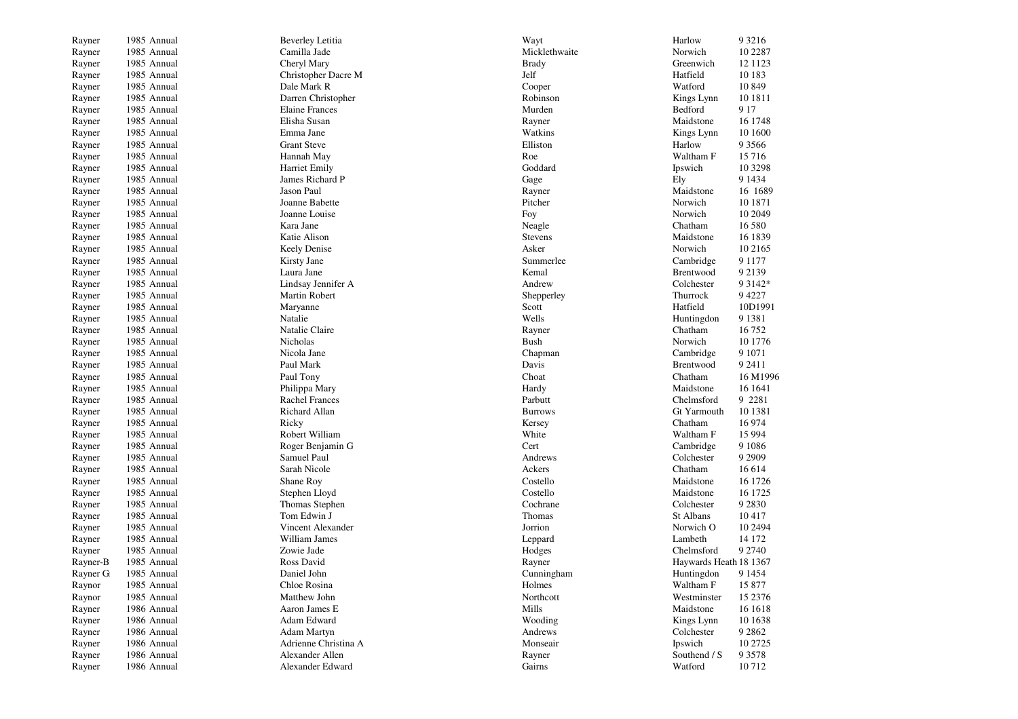| Rayner   | 1985 Annual | <b>Beverley Letitia</b> | Wayt           | Harlow                 | 9 3 2 1 6  |
|----------|-------------|-------------------------|----------------|------------------------|------------|
| Rayner   | 1985 Annual | Camilla Jade            | Micklethwaite  | Norwich                | 10 2287    |
| Rayner   | 1985 Annual | Cheryl Mary             | Brady          | Greenwich              | 12 11 23   |
| Rayner   | 1985 Annual | Christopher Dacre M     | Jelf           | Hatfield               | 10 183     |
| Rayner   | 1985 Annual | Dale Mark R             | Cooper         | Watford                | 10 8 49    |
| Rayner   | 1985 Annual | Darren Christopher      | Robinson       | Kings Lynn             | 10 18 11   |
| Rayner   | 1985 Annual | <b>Elaine Frances</b>   | Murden         | Bedford                | 9 1 7      |
| Rayner   | 1985 Annual | Elisha Susan            | Rayner         | Maidstone              | 16 1748    |
| Rayner   | 1985 Annual | Emma Jane               | Watkins        | Kings Lynn             | 10 1600    |
| Rayner   | 1985 Annual | <b>Grant Steve</b>      | Elliston       | Harlow                 | 9 3 5 6 6  |
| Rayner   | 1985 Annual | Hannah May              | Roe            | Waltham F              | 15 7 16    |
| Rayner   | 1985 Annual | Harriet Emily           | Goddard        | Ipswich                | 10 3298    |
| Rayner   | 1985 Annual | James Richard P         | Gage           | Ely                    | 9 1 4 3 4  |
| Rayner   | 1985 Annual | Jason Paul              | Rayner         | Maidstone              | 16 1689    |
| Rayner   | 1985 Annual | Joanne Babette          | Pitcher        | Norwich                | 10 1871    |
| Rayner   | 1985 Annual | Joanne Louise           | Foy            | Norwich                | 10 2049    |
| Rayner   | 1985 Annual | Kara Jane               | Neagle         | Chatham                | 16 580     |
| Rayner   | 1985 Annual | Katie Alison            | <b>Stevens</b> | Maidstone              | 16 1839    |
| Rayner   | 1985 Annual | Keely Denise            | Asker          | Norwich                | 10 21 65   |
| Rayner   | 1985 Annual | Kirsty Jane             | Summerlee      | Cambridge              | 9 1 1 7 7  |
| Rayner   | 1985 Annual | Laura Jane              | Kemal          | Brentwood              | 9 2 1 3 9  |
| Rayner   | 1985 Annual | Lindsay Jennifer A      | Andrew         | Colchester             | 9 3 1 4 2* |
| Rayner   | 1985 Annual | Martin Robert           | Shepperley     | Thurrock               | 94227      |
| Rayner   | 1985 Annual | Maryanne                | Scott          | Hatfield               | 10D1991    |
| Rayner   | 1985 Annual | Natalie                 | Wells          | Huntingdon             | 9 1 3 8 1  |
| Rayner   | 1985 Annual | Natalie Claire          | Rayner         | Chatham                | 16752      |
| Rayner   | 1985 Annual | Nicholas                | <b>Bush</b>    | Norwich                | 10 1776    |
| Rayner   | 1985 Annual | Nicola Jane             | Chapman        | Cambridge              | 9 1071     |
| Rayner   | 1985 Annual | Paul Mark               | Davis          | Brentwood              | 9 2 4 1 1  |
| Rayner   | 1985 Annual | Paul Tony               | Choat          | Chatham                | 16 M1996   |
| Rayner   | 1985 Annual | Philippa Mary           | Hardy          | Maidstone              | 16 1641    |
| Rayner   | 1985 Annual | <b>Rachel Frances</b>   | Parbutt        | Chelmsford             | 9 2 2 8 1  |
| Rayner   | 1985 Annual | Richard Allan           | <b>Burrows</b> | Gt Yarmouth            | 10 1381    |
| Rayner   | 1985 Annual | Ricky                   | Kersey         | Chatham                | 16 974     |
| Rayner   | 1985 Annual | Robert William          | White          | Waltham F              | 15 9 94    |
| Rayner   | 1985 Annual | Roger Benjamin G        | Cert           | Cambridge              | 9 1 0 8 6  |
| Rayner   | 1985 Annual | Samuel Paul             | Andrews        | Colchester             | 9 2 9 0 9  |
| Rayner   | 1985 Annual | Sarah Nicole            | Ackers         | Chatham                | 16 6 14    |
| Rayner   | 1985 Annual | Shane Roy               | Costello       | Maidstone              | 16 1726    |
| Rayner   | 1985 Annual | Stephen Lloyd           | Costello       | Maidstone              | 16 1725    |
| Rayner   | 1985 Annual | Thomas Stephen          | Cochrane       | Colchester             | 9 2 8 3 0  |
| Rayner   | 1985 Annual | Tom Edwin J             | Thomas         | St Albans              | 10417      |
| Rayner   | 1985 Annual | Vincent Alexander       | Jorrion        | Norwich O              | 10 2494    |
| Rayner   | 1985 Annual | William James           | Leppard        | Lambeth                | 14 172     |
| Rayner   | 1985 Annual | Zowie Jade              | Hodges         | Chelmsford             | 9 2 7 4 0  |
| Rayner-B | 1985 Annual | Ross David              | Rayner         | Haywards Heath 18 1367 |            |
| Rayner G | 1985 Annual | Daniel John             | Cunningham     | Huntingdon             | 9 1 4 5 4  |
| Raynor   | 1985 Annual | Chloe Rosina            | Holmes         | Waltham F              | 15 877     |
| Raynor   | 1985 Annual | Matthew John            | Northcott      | Westminster            | 15 2376    |
| Rayner   | 1986 Annual | Aaron James E           | Mills          | Maidstone              | 16 16 18   |
| Rayner   | 1986 Annual | Adam Edward             | Wooding        | Kings Lynn             | 10 1638    |
| Rayner   | 1986 Annual | Adam Martyn             | Andrews        | Colchester             | 9 2 8 6 2  |
| Rayner   | 1986 Annual | Adrienne Christina A    | Monseair       | Ipswich                | 10 27 25   |
| Rayner   | 1986 Annual | Alexander Allen         | Rayner         | Southend / S           | 9 3 5 7 8  |
| Rayner   | 1986 Annual | Alexander Edward        | Gairns         | Watford                | 10712      |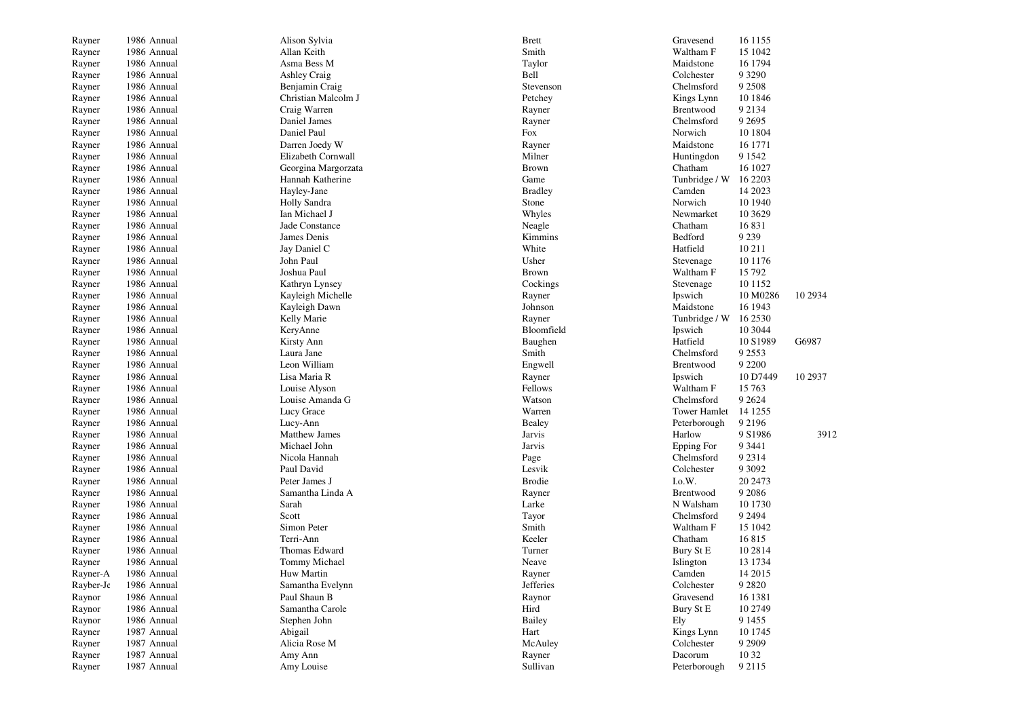| Rayner           | 1986 Annual                | Alison Sylvia            | <b>Brett</b>    | Gravesend                | 16 1155              |          |
|------------------|----------------------------|--------------------------|-----------------|--------------------------|----------------------|----------|
| Rayner           | 1986 Annual                | Allan Keith              | Smith           | Waltham F                | 15 1042              |          |
| Rayner           | 1986 Annual                | Asma Bess M              | Taylor          | Maidstone                | 16 1794              |          |
| Rayner           | 1986 Annual                | <b>Ashley Craig</b>      | Bell            | Colchester               | 9 3 2 9 0            |          |
| Rayner           | 1986 Annual                | Benjamin Craig           | Stevenson       | Chelmsford               | 9 2 5 0 8            |          |
| Rayner           | 1986 Annual                | Christian Malcolm J      | Petchey         | Kings Lynn               | 10 1846              |          |
| Rayner           | 1986 Annual                | Craig Warren             | Rayner          | Brentwood                | 9 2 1 3 4            |          |
| Rayner           | 1986 Annual                | Daniel James             | Rayner          | Chelmsford               | 9 2 6 9 5            |          |
| Rayner           | 1986 Annual                | Daniel Paul              | Fox             | Norwich                  | 10 1804              |          |
| Rayner           | 1986 Annual                | Darren Joedy W           | Rayner          | Maidstone                | 16 1771              |          |
| Rayner           | 1986 Annual                | Elizabeth Cornwall       | Milner          | Huntingdon               | 9 1 5 4 2            |          |
| Rayner           | 1986 Annual                | Georgina Margorzata      | <b>Brown</b>    | Chatham                  | 16 10 27             |          |
| Rayner           | 1986 Annual                | Hannah Katherine         | Game            | Tunbridge / W            | 16 2203              |          |
| Rayner           | 1986 Annual                | Hayley-Jane              | <b>Bradley</b>  | Camden                   | 14 2023              |          |
| Rayner           | 1986 Annual                | Holly Sandra             | Stone           | Norwich                  | 10 1940              |          |
| Rayner           | 1986 Annual                | Ian Michael J            | Whyles          | Newmarket                | 10 3 6 29            |          |
| Rayner           | 1986 Annual                | Jade Constance           | Neagle          | Chatham                  | 16831                |          |
| Rayner           | 1986 Annual                | James Denis              | Kimmins         | Bedford                  | 9 2 3 9              |          |
| Rayner           | 1986 Annual                | Jay Daniel C             | White           | Hatfield                 | 10 211               |          |
| Rayner           | 1986 Annual                | John Paul                | Usher           | Stevenage                | 10 1176              |          |
| Rayner           | 1986 Annual                | Joshua Paul              | <b>Brown</b>    | Waltham F                | 15 792               |          |
| Rayner           | 1986 Annual                | Kathryn Lynsey           | Cockings        | Stevenage                | 10 11 52             |          |
| Rayner           | 1986 Annual                | Kayleigh Michelle        | Rayner          | Ipswich                  | 10 M0286             | 10 29 34 |
| Rayner           | 1986 Annual                | Kayleigh Dawn            | Johnson         | Maidstone                | 16 1943              |          |
| Rayner           | 1986 Annual                | Kelly Marie              | Rayner          | Tunbridge / W            | 16 2530              |          |
| Rayner           | 1986 Annual                | KeryAnne                 | Bloomfield      | Ipswich                  | 10 3044              |          |
| Rayner           | 1986 Annual                | Kirsty Ann               | Baughen         | Hatfield                 | 10 S1989             | G6987    |
| Rayner           | 1986 Annual                | Laura Jane               | Smith           | Chelmsford               | 9 2 5 5 3            |          |
| Rayner           | 1986 Annual                | Leon William             | Engwell         | Brentwood                | 9 2 2 0 0            |          |
| Rayner           | 1986 Annual                | Lisa Maria R             | Rayner          | Ipswich                  | 10 D7449             | 10 29 37 |
| Rayner           | 1986 Annual                | Louise Alyson            | Fellows         | Waltham F                | 15 763               |          |
| Rayner           | 1986 Annual                | Louise Amanda G          | Watson          | Chelmsford               | 9 2 6 2 4            |          |
| Rayner           | 1986 Annual                | Lucy Grace               | Warren          | <b>Tower Hamlet</b>      | 14 1255              |          |
| Rayner           | 1986 Annual                | Lucy-Ann                 | <b>Bealey</b>   | Peterborough             | 9 2 1 9 6            |          |
| Rayner           | 1986 Annual                | Matthew James            | Jarvis          | Harlow                   | 9 S1986              | 3912     |
| Rayner           | 1986 Annual                | Michael John             | <b>Jarvis</b>   | Epping For               | 9 3 4 4 1            |          |
| Rayner           | 1986 Annual                | Nicola Hannah            | Page            | Chelmsford               | 9 2 3 1 4            |          |
| Rayner           | 1986 Annual                | Paul David               | Lesvik          | Colchester               | 9 3 0 9 2            |          |
| Rayner           | 1986 Annual                | Peter James J            | <b>Brodie</b>   | I.o.W.                   | 20 2473              |          |
| Rayner           | 1986 Annual                | Samantha Linda A         | Rayner          | Brentwood                | 9 2 0 8 6            |          |
| Rayner           | 1986 Annual                | Sarah                    | Larke           | N Walsham                | 10 1730              |          |
| Rayner           | 1986 Annual                | Scott                    | Tayor           | Chelmsford               | 9 2 4 9 4            |          |
| Rayner           | 1986 Annual                | Simon Peter              | Smith           | Waltham F                | 15 1042              |          |
| Rayner           | 1986 Annual                | Terri-Ann                | Keeler          | Chatham                  | 16815                |          |
| Rayner           | 1986 Annual                | Thomas Edward            | Turner          | Bury St E                | 10 28 14             |          |
| Rayner           | 1986 Annual                | Tommy Michael            | Neave           | Islington                | 13 1734              |          |
| Rayner-A         | 1986 Annual                | Huw Martin               | Rayner          | Camden                   | 14 2015              |          |
| Rayber-Je        | 1986 Annual                | Samantha Evelynn         | Jefferies       | Colchester               | 9 2 8 2 0            |          |
| Raynor           | 1986 Annual                | Paul Shaun B             | Raynor          | Gravesend                | 16 1381              |          |
| Raynor           | 1986 Annual                | Samantha Carole          | Hird            | Bury St E                | 10 2749              |          |
| Raynor           | 1986 Annual                | Stephen John             | <b>Bailey</b>   | Ely                      | 9 1 4 5 5            |          |
|                  |                            |                          |                 |                          |                      |          |
| Rayner           | 1987 Annual<br>1987 Annual | Abigail<br>Alicia Rose M | Hart<br>McAuley | Kings Lynn<br>Colchester | 10 1745<br>9 2 9 0 9 |          |
| Rayner<br>Rayner | 1987 Annual                | Amy Ann                  | Rayner          | Dacorum                  | 10 32                |          |
|                  | 1987 Annual                | Amy Louise               | Sullivan        |                          | 9 2 1 1 5            |          |
| Rayner           |                            |                          |                 | Peterborough             |                      |          |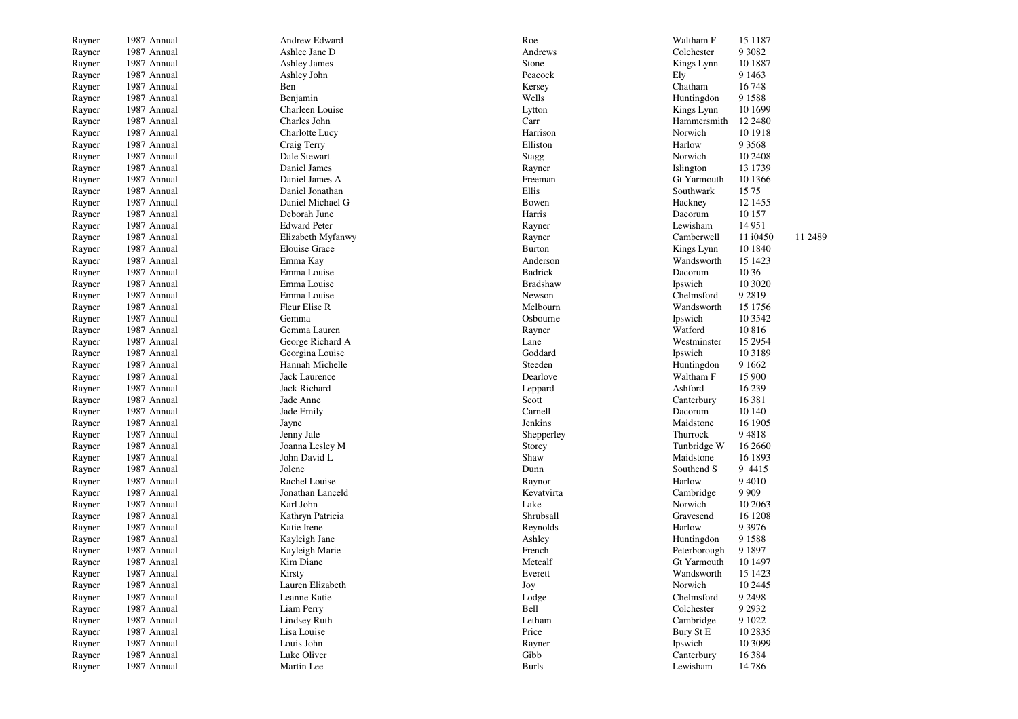| Rayner           | 1987 Annual | Andrew Edward               | Roe             | Waltham F    | 15 1 187               |
|------------------|-------------|-----------------------------|-----------------|--------------|------------------------|
| Rayner           | 1987 Annual | Ashlee Jane D               | Andrews         | Colchester   | 9 3 0 8 2              |
| Rayner           | 1987 Annual | Ashley James                | Stone           | Kings Lynn   | 10 1887                |
| Rayner           | 1987 Annual | Ashley John                 | Peacock         | Ely          | 9 1 4 6 3              |
| Rayner           | 1987 Annual | Ben                         | Kersey          | Chatham      | 16748                  |
| Rayner           | 1987 Annual | Benjamin                    | Wells           | Huntingdon   | 9 1 5 8 8              |
| Rayner           | 1987 Annual | Charleen Louise             | Lytton          | Kings Lynn   | 10 1699                |
| Rayner           | 1987 Annual | Charles John                | Carr            | Hammersmith  | 12 24 80               |
| Rayner           | 1987 Annual | Charlotte Lucy              | Harrison        | Norwich      | 10 19 18               |
| Rayner           | 1987 Annual | Craig Terry                 | Elliston        | Harlow       | 9 3 5 6 8              |
| Rayner           | 1987 Annual | Dale Stewart                | <b>Stagg</b>    | Norwich      | 10 24 08               |
| Rayner           | 1987 Annual | Daniel James                | Rayner          | Islington    | 13 1739                |
| Rayner           | 1987 Annual | Daniel James A              | Freeman         | Gt Yarmouth  | 10 1366                |
| Rayner           | 1987 Annual | Daniel Jonathan             | Ellis           | Southwark    | 1575                   |
| Rayner           | 1987 Annual | Daniel Michael G            | Bowen           | Hackney      | 12 1455                |
| Rayner           | 1987 Annual | Deborah June                | Harris          | Dacorum      | 10 157                 |
| Rayner           | 1987 Annual | <b>Edward Peter</b>         | Rayner          | Lewisham     | 14 9 51                |
| Rayner           | 1987 Annual | Elizabeth Myfanwy           | Rayner          | Camberwell   | 11 2489<br>11 i0450    |
| Rayner           | 1987 Annual | <b>Elouise Grace</b>        | <b>Burton</b>   | Kings Lynn   | 10 1840                |
| Rayner           | 1987 Annual | Emma Kay                    | Anderson        | Wandsworth   | 15 1423                |
| Rayner           | 1987 Annual | Emma Louise                 | <b>Badrick</b>  | Dacorum      | 10 36                  |
| Rayner           | 1987 Annual | Emma Louise                 | <b>Bradshaw</b> | Ipswich      | 10 30 20               |
| Rayner           | 1987 Annual | Emma Louise                 | Newson          | Chelmsford   | 9 2 8 1 9              |
| Rayner           | 1987 Annual | Fleur Elise R               | Melbourn        | Wandsworth   | 15 1756                |
| Rayner           | 1987 Annual | Gemma                       | Osbourne        | Ipswich      | 10 3 5 4 2             |
| Rayner           | 1987 Annual | Gemma Lauren                | Rayner          | Watford      | 10816                  |
| Rayner           | 1987 Annual | George Richard A            | Lane            | Westminster  | 15 29 54               |
| Rayner           | 1987 Annual | Georgina Louise             | Goddard         | Ipswich      | 10 3 18 9              |
| Rayner           | 1987 Annual | Hannah Michelle             | Steeden         | Huntingdon   | 9 1 6 6 2              |
| Rayner           | 1987 Annual | Jack Laurence               | Dearlove        | Waltham F    | 15 900                 |
| Rayner           | 1987 Annual | Jack Richard                | Leppard         | Ashford      | 16 239                 |
| Rayner           | 1987 Annual | Jade Anne                   | Scott           | Canterbury   | 16 381                 |
| Rayner           | 1987 Annual | Jade Emily                  | Carnell         | Dacorum      | 10 140                 |
| Rayner           | 1987 Annual | Jayne                       | Jenkins         | Maidstone    | 16 1905                |
| Rayner           | 1987 Annual | Jenny Jale                  | Shepperley      | Thurrock     | 94818                  |
| Rayner           | 1987 Annual | Joanna Lesley M             | Storey          | Tunbridge W  | 16 2660                |
| Rayner           | 1987 Annual | John David L                | Shaw            | Maidstone    | 16 1893                |
| Rayner           | 1987 Annual | Jolene                      | Dunn            | Southend S   | 9 4 4 1 5              |
| Rayner           | 1987 Annual | Rachel Louise               | Raynor          | Harlow       | 9 4 0 1 0              |
| Rayner           | 1987 Annual | Jonathan Lanceld            | Kevatvirta      | Cambridge    | 9 9 0 9                |
| Rayner           | 1987 Annual | Karl John                   | Lake            | Norwich      | 10 20 63               |
| Rayner           | 1987 Annual | Kathryn Patricia            | Shrubsall       | Gravesend    | 16 1208                |
| Rayner           | 1987 Annual | Katie Irene                 | Reynolds        | Harlow       | 9 3 9 7 6              |
| Rayner           | 1987 Annual | Kayleigh Jane               | Ashley          | Huntingdon   | 9 1 5 8 8              |
|                  | 1987 Annual | Kayleigh Marie              | French          | Peterborough | 9 1 8 9 7              |
| Rayner<br>Rayner | 1987 Annual | Kim Diane                   | Metcalf         | Gt Yarmouth  | 10 1497                |
|                  | 1987 Annual | Kirsty                      | Everett         | Wandsworth   | 15 1423                |
| Rayner           | 1987 Annual | Lauren Elizabeth            | Joy             | Norwich      | 10 2445                |
| Rayner           |             | Leanne Katie                |                 | Chelmsford   | 9 2 4 9 8              |
| Rayner           | 1987 Annual |                             | Lodge           |              |                        |
| Rayner           | 1987 Annual | Liam Perry                  | Bell<br>Letham  | Colchester   | 9 2 9 3 2<br>9 1 0 2 2 |
| Rayner           | 1987 Annual | Lindsey Ruth<br>Lisa Louise |                 | Cambridge    |                        |
| Rayner           | 1987 Annual |                             | Price           | Bury St E    | 10 28 35               |
| Rayner           | 1987 Annual | Louis John                  | Rayner          | Ipswich      | 10 3099                |
| Rayner           | 1987 Annual | Luke Oliver                 | Gibb            | Canterbury   | 16 3 8 4               |
| Rayner           | 1987 Annual | Martin Lee                  | <b>Burls</b>    | Lewisham     | 14786                  |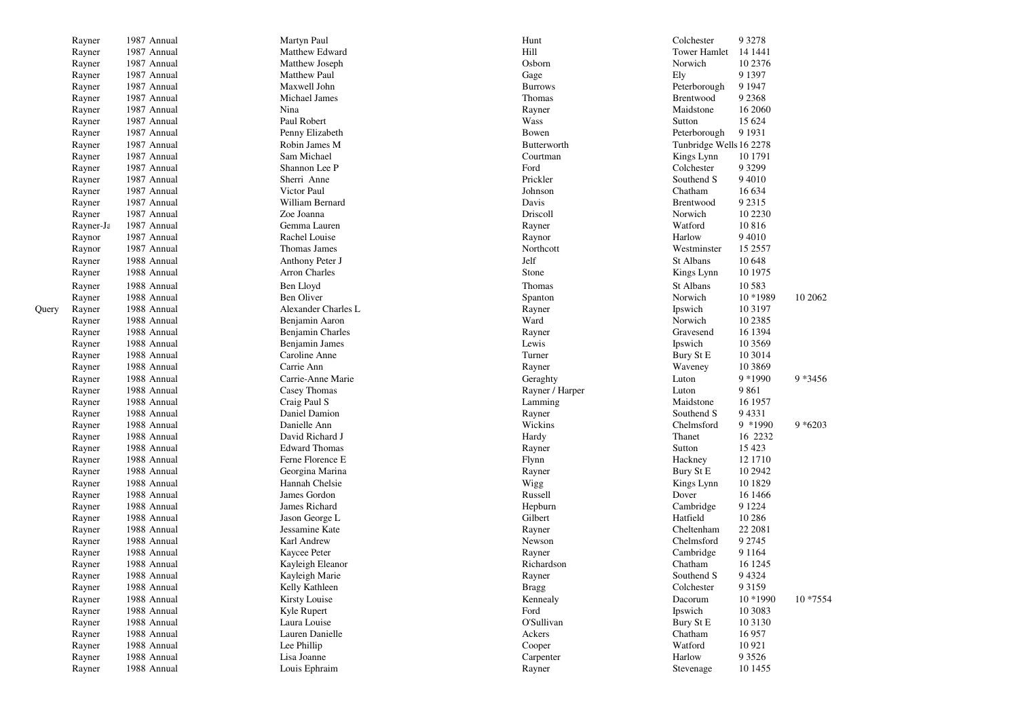|       | Rayner    | 1987 Annual                | Martyn Paul                     | Hunt            | Colchester<br>9 3 2 7 8   |            |
|-------|-----------|----------------------------|---------------------------------|-----------------|---------------------------|------------|
|       | Rayner    | 1987 Annual                | Matthew Edward                  | Hill            | Tower Hamlet<br>14 1441   |            |
|       | Rayner    | 1987 Annual                | Matthew Joseph                  | Osborn          | 10 2376<br>Norwich        |            |
|       | Rayner    | 1987 Annual                | <b>Matthew Paul</b>             | Gage            | 9 1 3 9 7<br>Ely          |            |
|       | Rayner    | 1987 Annual                | Maxwell John                    | <b>Burrows</b>  | 9 1 9 4 7<br>Peterborough |            |
|       | Rayner    | 1987 Annual                | Michael James                   | Thomas          | 9 2 3 6 8<br>Brentwood    |            |
|       | Rayner    | 1987 Annual                | Nina                            | Rayner          | Maidstone<br>16 2060      |            |
|       | Rayner    | 1987 Annual                | Paul Robert                     | Wass            | 15 624<br>Sutton          |            |
|       | Rayner    | 1987 Annual                | Penny Elizabeth                 | Bowen           | 9 1 9 3 1<br>Peterborough |            |
|       | Rayner    | 1987 Annual                | Robin James M                   | Butterworth     | Tunbridge Wells 16 2278   |            |
|       | Rayner    | 1987 Annual                | Sam Michael                     | Courtman        | 10 1791<br>Kings Lynn     |            |
|       | Rayner    | 1987 Annual                | Shannon Lee P                   | Ford            | Colchester<br>9 3 2 9 9   |            |
|       | Rayner    | 1987 Annual                | Sherri Anne                     | Prickler        | Southend S<br>9 4 0 1 0   |            |
|       | Rayner    | 1987 Annual                | Victor Paul                     | Johnson         | Chatham<br>16 634         |            |
|       | Rayner    | 1987 Annual                | William Bernard                 | Davis           | 9 2 3 1 5<br>Brentwood    |            |
|       | Rayner    | 1987 Annual                | Zoe Joanna                      | Driscoll        | Norwich<br>10 2230        |            |
|       | Rayner-Ja | 1987 Annual                | Gemma Lauren                    | Rayner          | 10816<br>Watford          |            |
|       | Raynor    | 1987 Annual                | Rachel Louise                   | Raynor          | 9 4 0 1 0<br>Harlow       |            |
|       | Raynor    | 1987 Annual                | Thomas James                    | Northcott       | Westminster<br>15 2557    |            |
|       | Rayner    | 1988 Annual                | Anthony Peter J                 | Jelf            | St Albans<br>10 648       |            |
|       | Rayner    | 1988 Annual                | <b>Arron Charles</b>            | Stone           | 10 1975<br>Kings Lynn     |            |
|       | Rayner    | 1988 Annual                | Ben Lloyd                       | Thomas          | St Albans<br>10 5 8 3     |            |
|       | Rayner    | 1988 Annual                | Ben Oliver                      | Spanton         | Norwich<br>10 *1989       | 10 20 62   |
| Query | Rayner    | 1988 Annual                | Alexander Charles L             | Rayner          | Ipswich<br>10 3 197       |            |
|       |           | 1988 Annual                | Benjamin Aaron                  | Ward            | Norwich<br>10 2385        |            |
|       | Rayner    | 1988 Annual                |                                 |                 | 16 1394                   |            |
|       | Rayner    |                            | Benjamin Charles                | Rayner<br>Lewis | Gravesend<br>10 35 69     |            |
|       | Rayner    | 1988 Annual<br>1988 Annual | Benjamin James<br>Caroline Anne | Turner          | Ipswich<br>10 30 14       |            |
|       | Rayner    | 1988 Annual                | Carrie Ann                      |                 | Bury St E<br>10 3 8 6 9   |            |
|       | Rayner    |                            |                                 | Rayner          | Waveney                   |            |
|       | Rayner    | 1988 Annual                | Carrie-Anne Marie               | Geraghty        | 9 * 1990<br>Luton         | 9 * 3456   |
|       | Rayner    | 1988 Annual                | Casey Thomas                    | Rayner / Harper | 9861<br>Luton             |            |
|       | Rayner    | 1988 Annual                | Craig Paul S                    | Lamming         | Maidstone<br>16 1957      |            |
|       | Rayner    | 1988 Annual                | Daniel Damion                   | Rayner          | 94331<br>Southend S       |            |
|       | Rayner    | 1988 Annual                | Danielle Ann                    | Wickins         | 9 *1990<br>Chelmsford     | $9 * 6203$ |
|       | Rayner    | 1988 Annual                | David Richard J                 | Hardy           | 16 2232<br>Thanet         |            |
|       | Rayner    | 1988 Annual                | <b>Edward Thomas</b>            | Rayner          | 15 4 23<br>Sutton         |            |
|       | Rayner    | 1988 Annual                | Ferne Florence E                | Flynn           | 12 17 10<br>Hackney       |            |
|       | Rayner    | 1988 Annual                | Georgina Marina                 | Rayner          | 10 29 42<br>Bury St E     |            |
|       | Rayner    | 1988 Annual                | Hannah Chelsie                  | Wigg            | 10 1829<br>Kings Lynn     |            |
|       | Rayner    | 1988 Annual                | James Gordon                    | Russell         | 16 14 66<br>Dover         |            |
|       | Rayner    | 1988 Annual                | James Richard                   | Hepburn         | 9 1 2 2 4<br>Cambridge    |            |
|       | Rayner    | 1988 Annual                | Jason George L                  | Gilbert         | Hatfield<br>10 28 6       |            |
|       | Rayner    | 1988 Annual                | Jessamine Kate                  | Rayner          | 22 2081<br>Cheltenham     |            |
|       | Rayner    | 1988 Annual                | Karl Andrew                     | Newson          | 9 2 7 4 5<br>Chelmsford   |            |
|       | Rayner    | 1988 Annual                | Kaycee Peter                    | Rayner          | 9 1 1 6 4<br>Cambridge    |            |
|       | Rayner    | 1988 Annual                | Kayleigh Eleanor                | Richardson      | Chatham<br>16 12 45       |            |
|       | Rayner    | 1988 Annual                | Kayleigh Marie                  | Rayner          | 9 4 3 2 4<br>Southend S   |            |
|       | Rayner    | 1988 Annual                | Kelly Kathleen                  | <b>Bragg</b>    | Colchester<br>9 3 1 5 9   |            |
|       | Rayner    | 1988 Annual                | Kirsty Louise                   | Kennealy        | Dacorum<br>10 *1990       | 10 * 7554  |
|       | Rayner    | 1988 Annual                | Kyle Rupert                     | Ford            | Ipswich<br>10 30 83       |            |
|       | Rayner    | 1988 Annual                | Laura Louise                    | O'Sullivan      | Bury St E<br>10 3130      |            |
|       | Rayner    | 1988 Annual                | Lauren Danielle                 | Ackers          | Chatham<br>16957          |            |
|       | Rayner    | 1988 Annual                | Lee Phillip                     | Cooper          | 10 9 21<br>Watford        |            |
|       | Rayner    | 1988 Annual                | Lisa Joanne                     | Carpenter       | Harlow<br>9 3 5 2 6       |            |
|       | Rayner    | 1988 Annual                | Louis Ephraim                   | Rayner          | 10 1455<br>Stevenage      |            |